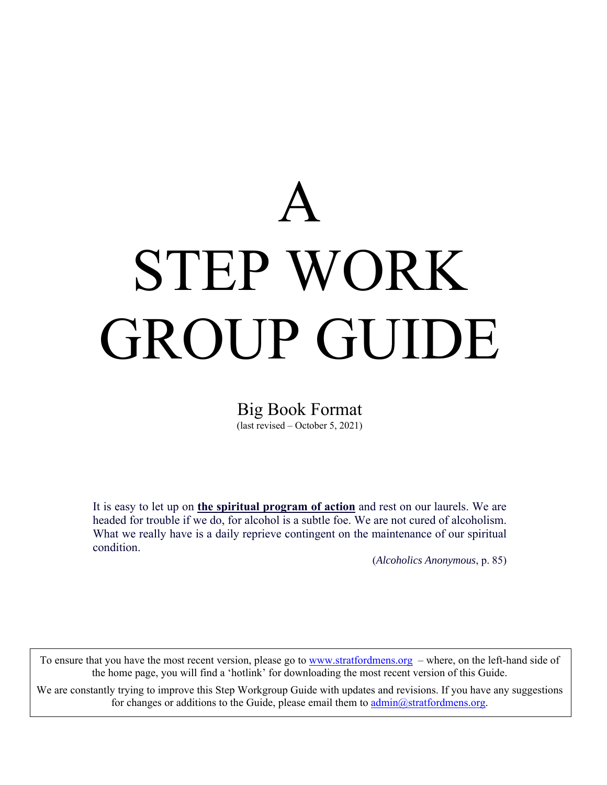# A STEP WORK GROUP GUIDE

Big Book Format (last revised – October 5, 2021)

It is easy to let up on **the spiritual program of action** and rest on our laurels. We are headed for trouble if we do, for alcohol is a subtle foe. We are not cured of alcoholism. What we really have is a daily reprieve contingent on the maintenance of our spiritual condition.

(*Alcoholics Anonymous*, p. 85)

To ensure that you have the most recent version, please go to www.stratfordmens.org – where, on the left-hand side of the home page, you will find a 'hotlink' for downloading the most recent version of this Guide.

We are constantly trying to improve this Step Workgroup Guide with updates and revisions. If you have any suggestions for changes or additions to the Guide, please email them to  $\frac{\text{admin}(a)\text{straffordmens.org}}{a}$ .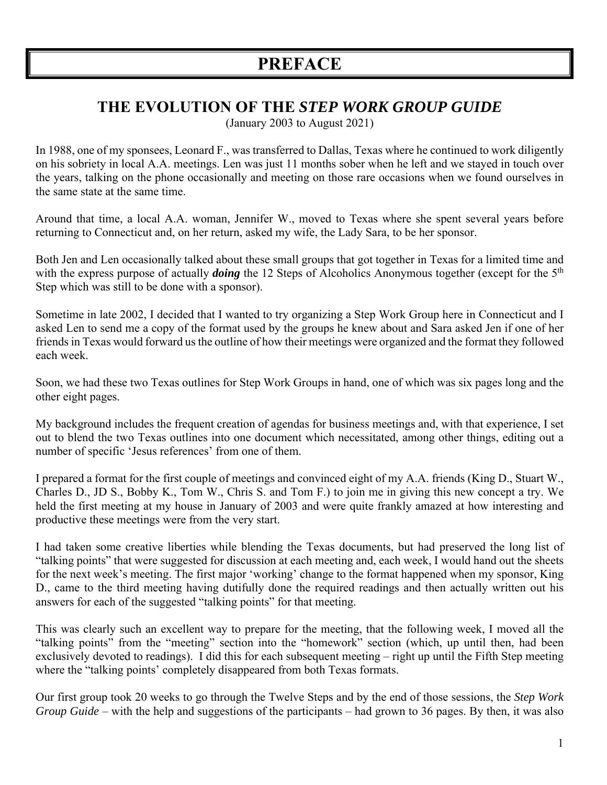# **PREFACE**

# **THE EVOLUTION OF THE** *STEP WORK GROUP GUIDE*

(January 2003 to August 2021)

In 1988, one of my sponsees, Leonard F., was transferred to Dallas, Texas where he continued to work diligently on his sobriety in local A.A. meetings. Len was just 11 months sober when he left and we stayed in touch over the years, talking on the phone occasionally and meeting on those rare occasions when we found ourselves in the same state at the same time.

Around that time, a local A.A. woman, Jennifer W., moved to Texas where she spent several years before returning to Connecticut and, on her return, asked my wife, the Lady Sara, to be her sponsor.

Both Jen and Len occasionally talked about these small groups that got together in Texas for a limited time and with the express purpose of actually *doing* the 12 Steps of Alcoholics Anonymous together (except for the 5<sup>th</sup>) Step which was still to be done with a sponsor).

Sometime in late 2002, I decided that I wanted to try organizing a Step Work Group here in Connecticut and I asked Len to send me a copy of the format used by the groups he knew about and Sara asked Jen if one of her friends in Texas would forward us the outline of how their meetings were organized and the format they followed each week.

Soon, we had these two Texas outlines for Step Work Groups in hand, one of which was six pages long and the other eight pages.

My background includes the frequent creation of agendas for business meetings and, with that experience, I set out to blend the two Texas outlines into one document which necessitated, among other things, editing out a number of specific 'Jesus references' from one of them.

I prepared a format for the first couple of meetings and convinced eight of my A.A. friends (King D., Stuart W., Charles D., JD S., Bobby K., Tom W., Chris S. and Tom F.) to join me in giving this new concept a try. We held the first meeting at my house in January of 2003 and were quite frankly amazed at how interesting and productive these meetings were from the very start.

I had taken some creative liberties while blending the Texas documents, but had preserved the long list of "talking points" that were suggested for discussion at each meeting and, each week, I would hand out the sheets for the next week's meeting. The first major 'working' change to the format happened when my sponsor, King D., came to the third meeting having dutifully done the required readings and then actually written out his answers for each of the suggested "talking points" for that meeting.

This was clearly such an excellent way to prepare for the meeting, that the following week, I moved all the "talking points" from the "meeting" section into the "homework" section (which, up until then, had been exclusively devoted to readings). I did this for each subsequent meeting – right up until the Fifth Step meeting where the "talking points' completely disappeared from both Texas formats.

Our first group took 20 weeks to go through the Twelve Steps and by the end of those sessions, the *Step Work Group Guide* – with the help and suggestions of the participants – had grown to 36 pages. By then, it was also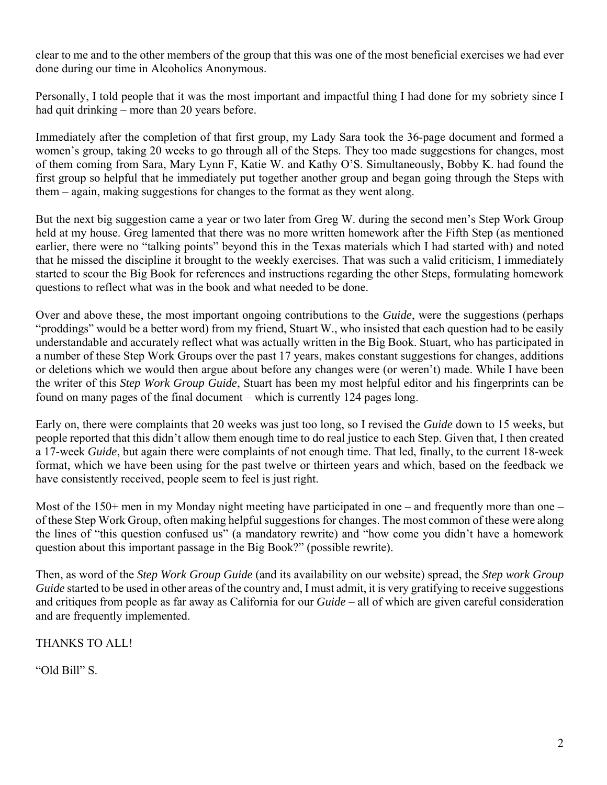clear to me and to the other members of the group that this was one of the most beneficial exercises we had ever done during our time in Alcoholics Anonymous.

Personally, I told people that it was the most important and impactful thing I had done for my sobriety since I had quit drinking – more than 20 years before.

Immediately after the completion of that first group, my Lady Sara took the 36-page document and formed a women's group, taking 20 weeks to go through all of the Steps. They too made suggestions for changes, most of them coming from Sara, Mary Lynn F, Katie W. and Kathy O'S. Simultaneously, Bobby K. had found the first group so helpful that he immediately put together another group and began going through the Steps with them – again, making suggestions for changes to the format as they went along.

But the next big suggestion came a year or two later from Greg W. during the second men's Step Work Group held at my house. Greg lamented that there was no more written homework after the Fifth Step (as mentioned earlier, there were no "talking points" beyond this in the Texas materials which I had started with) and noted that he missed the discipline it brought to the weekly exercises. That was such a valid criticism, I immediately started to scour the Big Book for references and instructions regarding the other Steps, formulating homework questions to reflect what was in the book and what needed to be done.

Over and above these, the most important ongoing contributions to the *Guide*, were the suggestions (perhaps "proddings" would be a better word) from my friend, Stuart W., who insisted that each question had to be easily understandable and accurately reflect what was actually written in the Big Book. Stuart, who has participated in a number of these Step Work Groups over the past 17 years, makes constant suggestions for changes, additions or deletions which we would then argue about before any changes were (or weren't) made. While I have been the writer of this *Step Work Group Guide*, Stuart has been my most helpful editor and his fingerprints can be found on many pages of the final document – which is currently 124 pages long.

Early on, there were complaints that 20 weeks was just too long, so I revised the *Guide* down to 15 weeks, but people reported that this didn't allow them enough time to do real justice to each Step. Given that, I then created a 17-week *Guide*, but again there were complaints of not enough time. That led, finally, to the current 18-week format, which we have been using for the past twelve or thirteen years and which, based on the feedback we have consistently received, people seem to feel is just right.

Most of the 150+ men in my Monday night meeting have participated in one – and frequently more than one – of these Step Work Group, often making helpful suggestions for changes. The most common of these were along the lines of "this question confused us" (a mandatory rewrite) and "how come you didn't have a homework question about this important passage in the Big Book?" (possible rewrite).

Then, as word of the *Step Work Group Guide* (and its availability on our website) spread, the *Step work Group Guide* started to be used in other areas of the country and, I must admit, it is very gratifying to receive suggestions and critiques from people as far away as California for our *Guide* – all of which are given careful consideration and are frequently implemented.

THANKS TO ALL!

"Old Bill" S.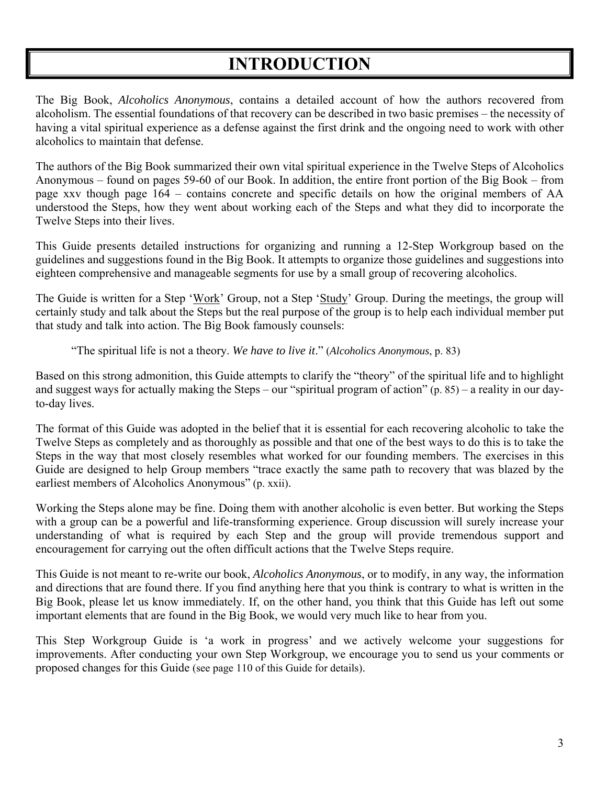# **INTRODUCTION**

The Big Book, *Alcoholics Anonymous*, contains a detailed account of how the authors recovered from alcoholism. The essential foundations of that recovery can be described in two basic premises – the necessity of having a vital spiritual experience as a defense against the first drink and the ongoing need to work with other alcoholics to maintain that defense.

The authors of the Big Book summarized their own vital spiritual experience in the Twelve Steps of Alcoholics Anonymous – found on pages 59-60 of our Book. In addition, the entire front portion of the Big Book – from page xxv though page 164 – contains concrete and specific details on how the original members of AA understood the Steps, how they went about working each of the Steps and what they did to incorporate the Twelve Steps into their lives.

This Guide presents detailed instructions for organizing and running a 12-Step Workgroup based on the guidelines and suggestions found in the Big Book. It attempts to organize those guidelines and suggestions into eighteen comprehensive and manageable segments for use by a small group of recovering alcoholics.

The Guide is written for a Step 'Work' Group, not a Step 'Study' Group. During the meetings, the group will certainly study and talk about the Steps but the real purpose of the group is to help each individual member put that study and talk into action. The Big Book famously counsels:

"The spiritual life is not a theory. *We have to live it*." (*Alcoholics Anonymous*, p. 83)

Based on this strong admonition, this Guide attempts to clarify the "theory" of the spiritual life and to highlight and suggest ways for actually making the Steps – our "spiritual program of action" (p. 85) – a reality in our dayto-day lives.

The format of this Guide was adopted in the belief that it is essential for each recovering alcoholic to take the Twelve Steps as completely and as thoroughly as possible and that one of the best ways to do this is to take the Steps in the way that most closely resembles what worked for our founding members. The exercises in this Guide are designed to help Group members "trace exactly the same path to recovery that was blazed by the earliest members of Alcoholics Anonymous" (p. xxii).

Working the Steps alone may be fine. Doing them with another alcoholic is even better. But working the Steps with a group can be a powerful and life-transforming experience. Group discussion will surely increase your understanding of what is required by each Step and the group will provide tremendous support and encouragement for carrying out the often difficult actions that the Twelve Steps require.

This Guide is not meant to re-write our book, *Alcoholics Anonymous*, or to modify, in any way, the information and directions that are found there. If you find anything here that you think is contrary to what is written in the Big Book, please let us know immediately. If, on the other hand, you think that this Guide has left out some important elements that are found in the Big Book, we would very much like to hear from you.

This Step Workgroup Guide is 'a work in progress' and we actively welcome your suggestions for improvements. After conducting your own Step Workgroup, we encourage you to send us your comments or proposed changes for this Guide (see page 110 of this Guide for details).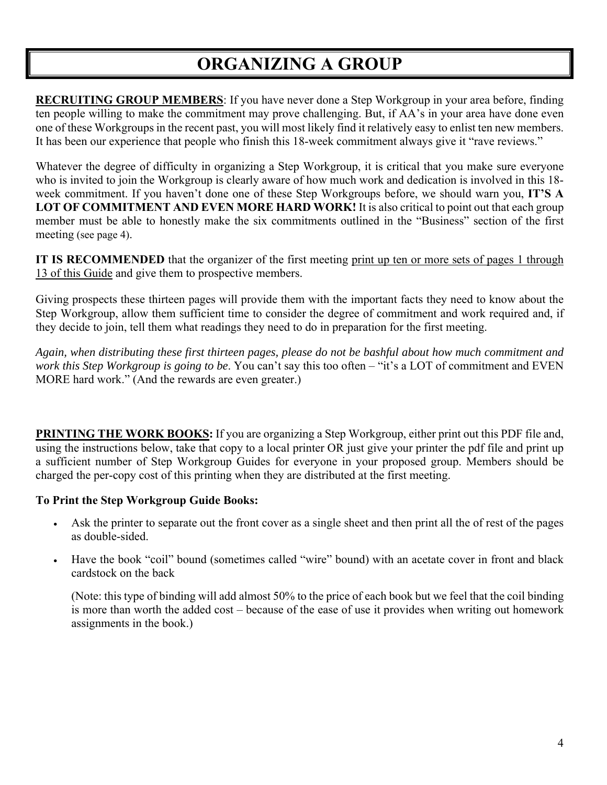# **ORGANIZING A GROUP**

**RECRUITING GROUP MEMBERS**: If you have never done a Step Workgroup in your area before, finding ten people willing to make the commitment may prove challenging. But, if AA's in your area have done even one of these Workgroups in the recent past, you will most likely find it relatively easy to enlist ten new members. It has been our experience that people who finish this 18-week commitment always give it "rave reviews."

Whatever the degree of difficulty in organizing a Step Workgroup, it is critical that you make sure everyone who is invited to join the Workgroup is clearly aware of how much work and dedication is involved in this 18 week commitment. If you haven't done one of these Step Workgroups before, we should warn you, **IT'S A**  LOT OF COMMITMENT AND EVEN MORE HARD WORK! It is also critical to point out that each group member must be able to honestly make the six commitments outlined in the "Business" section of the first meeting (see page 4).

**IT IS RECOMMENDED** that the organizer of the first meeting print up ten or more sets of pages 1 through 13 of this Guide and give them to prospective members.

Giving prospects these thirteen pages will provide them with the important facts they need to know about the Step Workgroup, allow them sufficient time to consider the degree of commitment and work required and, if they decide to join, tell them what readings they need to do in preparation for the first meeting.

*Again, when distributing these first thirteen pages, please do not be bashful about how much commitment and work this Step Workgroup is going to be*. You can't say this too often – "it's a LOT of commitment and EVEN MORE hard work." (And the rewards are even greater.)

**PRINTING THE WORK BOOKS:** If you are organizing a Step Workgroup, either print out this PDF file and, using the instructions below, take that copy to a local printer OR just give your printer the pdf file and print up a sufficient number of Step Workgroup Guides for everyone in your proposed group. Members should be charged the per-copy cost of this printing when they are distributed at the first meeting.

#### **To Print the Step Workgroup Guide Books:**

- Ask the printer to separate out the front cover as a single sheet and then print all the of rest of the pages as double-sided.
- Have the book "coil" bound (sometimes called "wire" bound) with an acetate cover in front and black cardstock on the back

(Note: this type of binding will add almost 50% to the price of each book but we feel that the coil binding is more than worth the added cost – because of the ease of use it provides when writing out homework assignments in the book.)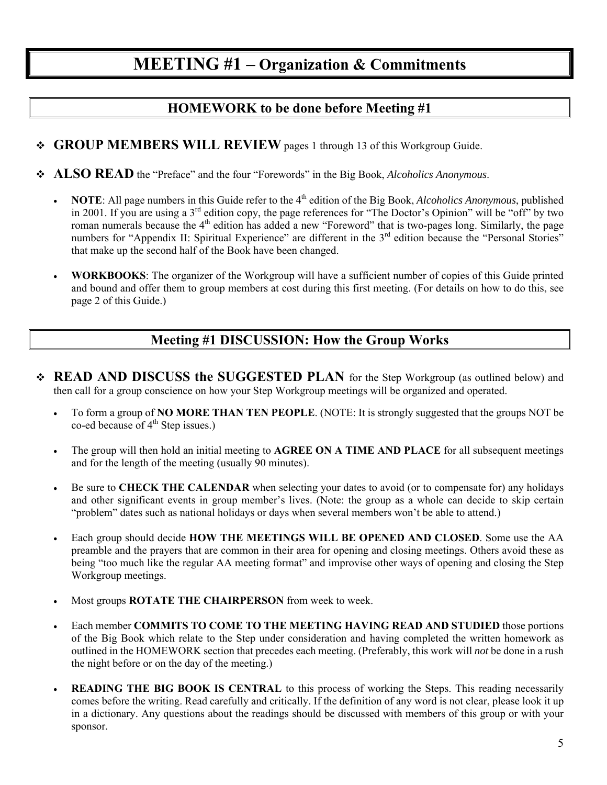# **MEETING #1 – Organization & Commitments**

## **HOMEWORK to be done before Meeting #1**

- **GROUP MEMBERS WILL REVIEW** pages 1 through 13 of this Workgroup Guide.
- **ALSO READ** the "Preface" and the four "Forewords" in the Big Book, *Alcoholics Anonymous*.
	- **NOTE**: All page numbers in this Guide refer to the 4<sup>th</sup> edition of the Big Book, *Alcoholics Anonymous*, published in 2001. If you are using a 3rd edition copy, the page references for "The Doctor's Opinion" will be "off" by two roman numerals because the 4th edition has added a new "Foreword" that is two-pages long. Similarly, the page numbers for "Appendix II: Spiritual Experience" are different in the 3<sup>rd</sup> edition because the "Personal Stories" that make up the second half of the Book have been changed.
	- **WORKBOOKS**: The organizer of the Workgroup will have a sufficient number of copies of this Guide printed and bound and offer them to group members at cost during this first meeting. (For details on how to do this, see page 2 of this Guide.)

# **Meeting #1 DISCUSSION: How the Group Works**

- **READ AND DISCUSS the SUGGESTED PLAN** for the Step Workgroup (as outlined below) and then call for a group conscience on how your Step Workgroup meetings will be organized and operated.
	- To form a group of **NO MORE THAN TEN PEOPLE**. (NOTE: It is strongly suggested that the groups NOT be co-ed because of  $4<sup>th</sup>$  Step issues.)
	- The group will then hold an initial meeting to **AGREE ON A TIME AND PLACE** for all subsequent meetings and for the length of the meeting (usually 90 minutes).
	- Be sure to **CHECK THE CALENDAR** when selecting your dates to avoid (or to compensate for) any holidays and other significant events in group member's lives. (Note: the group as a whole can decide to skip certain "problem" dates such as national holidays or days when several members won't be able to attend.)
	- Each group should decide **HOW THE MEETINGS WILL BE OPENED AND CLOSED**. Some use the AA preamble and the prayers that are common in their area for opening and closing meetings. Others avoid these as being "too much like the regular AA meeting format" and improvise other ways of opening and closing the Step Workgroup meetings.
	- Most groups **ROTATE THE CHAIRPERSON** from week to week.
	- Each member **COMMITS TO COME TO THE MEETING HAVING READ AND STUDIED** those portions of the Big Book which relate to the Step under consideration and having completed the written homework as outlined in the HOMEWORK section that precedes each meeting. (Preferably, this work will *not* be done in a rush the night before or on the day of the meeting.)
	- **READING THE BIG BOOK IS CENTRAL** to this process of working the Steps. This reading necessarily comes before the writing. Read carefully and critically. If the definition of any word is not clear, please look it up in a dictionary. Any questions about the readings should be discussed with members of this group or with your sponsor.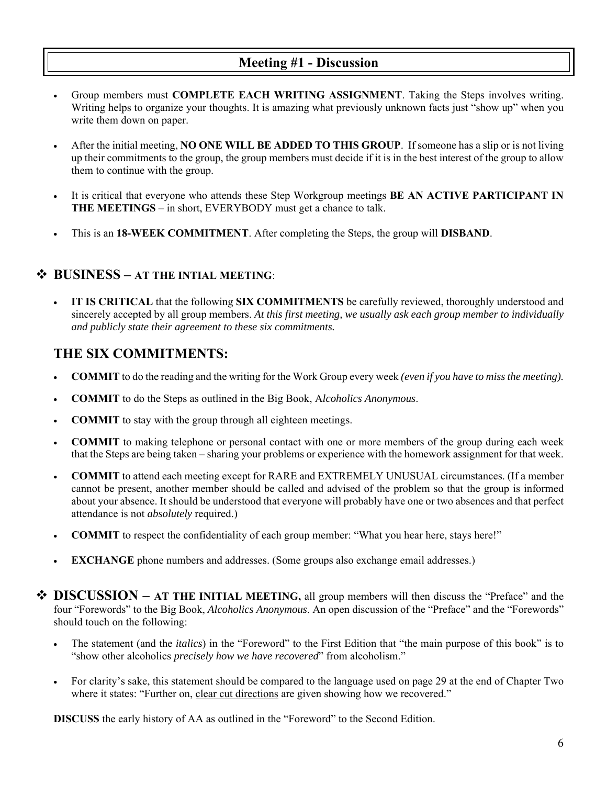## **Meeting #1 - Discussion**

- Group members must **COMPLETE EACH WRITING ASSIGNMENT**. Taking the Steps involves writing. Writing helps to organize your thoughts. It is amazing what previously unknown facts just "show up" when you write them down on paper.
- After the initial meeting, **NO ONE WILL BE ADDED TO THIS GROUP**. If someone has a slip or is not living up their commitments to the group, the group members must decide if it is in the best interest of the group to allow them to continue with the group.
- It is critical that everyone who attends these Step Workgroup meetings **BE AN ACTIVE PARTICIPANT IN THE MEETINGS** – in short, EVERYBODY must get a chance to talk.
- This is an **18-WEEK COMMITMENT**. After completing the Steps, the group will **DISBAND**.

## **BUSINESS – AT THE INTIAL MEETING**:

• **IT IS CRITICAL** that the following **SIX COMMITMENTS** be carefully reviewed, thoroughly understood and sincerely accepted by all group members. *At this first meeting, we usually ask each group member to individually and publicly state their agreement to these six commitments.* 

## **THE SIX COMMITMENTS:**

- **COMMIT** to do the reading and the writing for the Work Group every week *(even if you have to miss the meeting).*
- **COMMIT** to do the Steps as outlined in the Big Book, A*lcoholics Anonymous*.
- **COMMIT** to stay with the group through all eighteen meetings.
- **COMMIT** to making telephone or personal contact with one or more members of the group during each week that the Steps are being taken – sharing your problems or experience with the homework assignment for that week.
- **COMMIT** to attend each meeting except for RARE and EXTREMELY UNUSUAL circumstances. (If a member cannot be present, another member should be called and advised of the problem so that the group is informed about your absence. It should be understood that everyone will probably have one or two absences and that perfect attendance is not *absolutely* required.)
- **COMMIT** to respect the confidentiality of each group member: "What you hear here, stays here!"
- **EXCHANGE** phone numbers and addresses. (Some groups also exchange email addresses.)
- **DISCUSSION AT THE INITIAL MEETING,** all group members will then discuss the "Preface" and the four "Forewords" to the Big Book, *Alcoholics Anonymous*. An open discussion of the "Preface" and the "Forewords" should touch on the following:
	- The statement (and the *italics*) in the "Foreword" to the First Edition that "the main purpose of this book" is to "show other alcoholics *precisely how we have recovered*" from alcoholism."
	- For clarity's sake, this statement should be compared to the language used on page 29 at the end of Chapter Two where it states: "Further on, clear cut directions are given showing how we recovered."

**DISCUSS** the early history of AA as outlined in the "Foreword" to the Second Edition.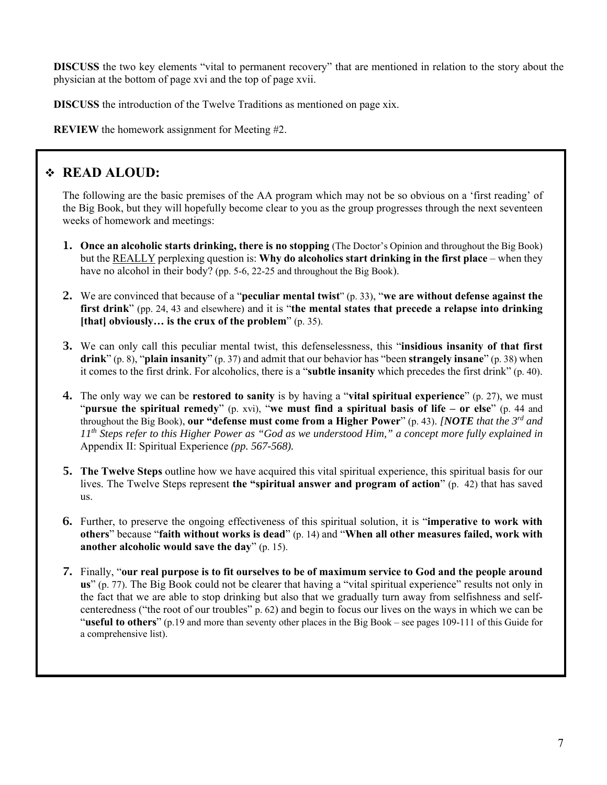**DISCUSS** the two key elements "vital to permanent recovery" that are mentioned in relation to the story about the physician at the bottom of page xvi and the top of page xvii.

**DISCUSS** the introduction of the Twelve Traditions as mentioned on page xix.

**REVIEW** the homework assignment for Meeting #2.

#### **READ ALOUD:**

The following are the basic premises of the AA program which may not be so obvious on a 'first reading' of the Big Book, but they will hopefully become clear to you as the group progresses through the next seventeen weeks of homework and meetings:

- **1. Once an alcoholic starts drinking, there is no stopping** (The Doctor's Opinion and throughout the Big Book) but the REALLY perplexing question is: **Why do alcoholics start drinking in the first place** – when they have no alcohol in their body? (pp. 5-6, 22-25 and throughout the Big Book).
- **2.** We are convinced that because of a "**peculiar mental twist**" (p. 33), "**we are without defense against the first drink**" (pp. 24, 43 and elsewhere) and it is "**the mental states that precede a relapse into drinking [that] obviously… is the crux of the problem**" (p. 35).
- **3.** We can only call this peculiar mental twist, this defenselessness, this "**insidious insanity of that first drink**" (p. 8), "**plain insanity**" (p. 37) and admit that our behavior has "been **strangely insane**" (p. 38) when it comes to the first drink. For alcoholics, there is a "**subtle insanity** which precedes the first drink" (p. 40).
- **4.** The only way we can be **restored to sanity** is by having a "**vital spiritual experience**" (p. 27), we must "**pursue the spiritual remedy**" (p. xvi), "**we must find a spiritual basis of life – or else**" (p. 44 and throughout the Big Book), **our "defense must come from a Higher Power**" (p. 43). *[NOTE that the 3rd and 11th Steps refer to this Higher Power as "God as we understood Him," a concept more fully explained in*  Appendix II: Spiritual Experience *(pp. 567-568).*
- **5. The Twelve Steps** outline how we have acquired this vital spiritual experience, this spiritual basis for our lives. The Twelve Steps represent **the "spiritual answer and program of action**" (p. 42) that has saved us.
- **6.** Further, to preserve the ongoing effectiveness of this spiritual solution, it is "**imperative to work with others**" because "**faith without works is dead**" (p. 14) and "**When all other measures failed, work with another alcoholic would save the day**" (p. 15).
- **7.** Finally, "**our real purpose is to fit ourselves to be of maximum service to God and the people around us**" (p. 77). The Big Book could not be clearer that having a "vital spiritual experience" results not only in the fact that we are able to stop drinking but also that we gradually turn away from selfishness and selfcenteredness ("the root of our troubles" p. 62) and begin to focus our lives on the ways in which we can be "**useful to others**" (p.19 and more than seventy other places in the Big Book – see pages 109-111 of this Guide for a comprehensive list).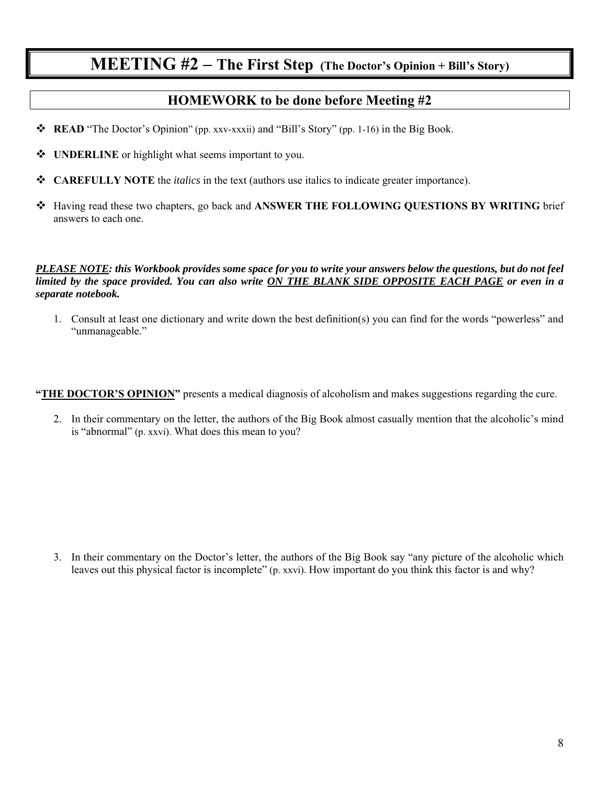# **MEETING #2 – The First Step (The Doctor's Opinion + Bill's Story)**

## **HOMEWORK to be done before Meeting #2**

- **<b>READ** "The Doctor's Opinion" (pp. xxv-xxxii) and "Bill's Story" (pp. 1-16) in the Big Book.
- **❖** UNDERLINE or highlight what seems important to you.
- **CAREFULLY NOTE** the *italics* in the text (authors use italics to indicate greater importance).
- Having read these two chapters, go back and **ANSWER THE FOLLOWING QUESTIONS BY WRITING** brief answers to each one.

#### *PLEASE NOTE: this Workbook provides some space for you to write your answers below the questions, but do not feel limited by the space provided. You can also write ON THE BLANK SIDE OPPOSITE EACH PAGE or even in a separate notebook.*

1. Consult at least one dictionary and write down the best definition(s) you can find for the words "powerless" and "unmanageable."

**"THE DOCTOR'S OPINION"** presents a medical diagnosis of alcoholism and makes suggestions regarding the cure.

2. In their commentary on the letter, the authors of the Big Book almost casually mention that the alcoholic's mind is "abnormal" (p. xxvi). What does this mean to you?

3. In their commentary on the Doctor's letter, the authors of the Big Book say "any picture of the alcoholic which leaves out this physical factor is incomplete" (p. xxvi). How important do you think this factor is and why?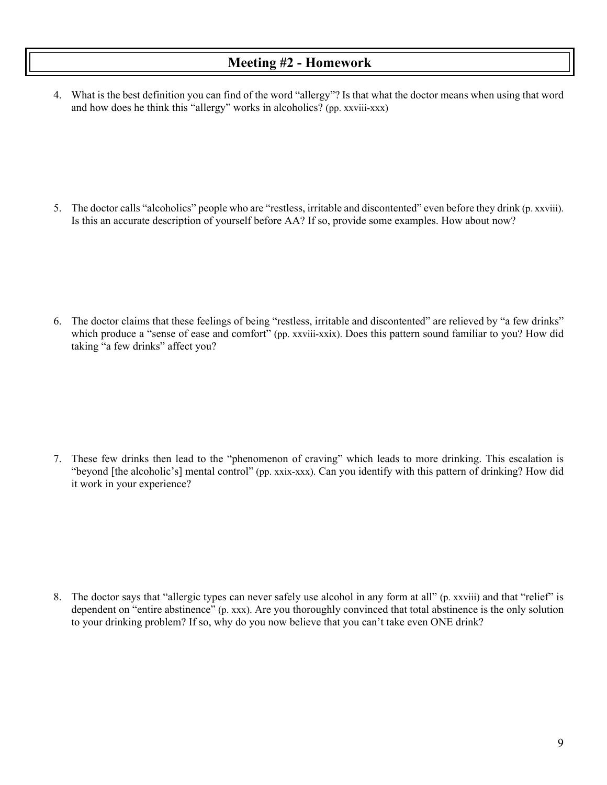4. What is the best definition you can find of the word "allergy"? Is that what the doctor means when using that word and how does he think this "allergy" works in alcoholics? (pp. xxviii-xxx)

5. The doctor calls "alcoholics" people who are "restless, irritable and discontented" even before they drink (p. xxviii). Is this an accurate description of yourself before AA? If so, provide some examples. How about now?

6. The doctor claims that these feelings of being "restless, irritable and discontented" are relieved by "a few drinks" which produce a "sense of ease and comfort" (pp. xxviii-xxix). Does this pattern sound familiar to you? How did taking "a few drinks" affect you?

7. These few drinks then lead to the "phenomenon of craving" which leads to more drinking. This escalation is "beyond [the alcoholic's] mental control" (pp. xxix-xxx). Can you identify with this pattern of drinking? How did it work in your experience?

8. The doctor says that "allergic types can never safely use alcohol in any form at all" (p. xxviii) and that "relief" is dependent on "entire abstinence" (p. xxx). Are you thoroughly convinced that total abstinence is the only solution to your drinking problem? If so, why do you now believe that you can't take even ONE drink?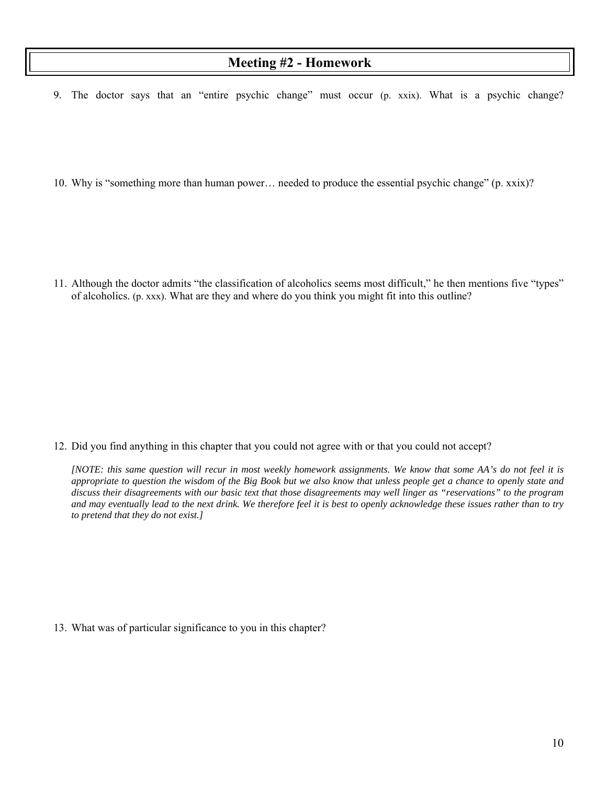- 9. The doctor says that an "entire psychic change" must occur (p. xxix). What is a psychic change?
- 10. Why is "something more than human power… needed to produce the essential psychic change" (p. xxix)?

11. Although the doctor admits "the classification of alcoholics seems most difficult," he then mentions five "types" of alcoholics. (p. xxx). What are they and where do you think you might fit into this outline?

12. Did you find anything in this chapter that you could not agree with or that you could not accept?

*[NOTE: this same question will recur in most weekly homework assignments. We know that some AA's do not feel it is appropriate to question the wisdom of the Big Book but we also know that unless people get a chance to openly state and discuss their disagreements with our basic text that those disagreements may well linger as "reservations" to the program and may eventually lead to the next drink. We therefore feel it is best to openly acknowledge these issues rather than to try to pretend that they do not exist.]* 

13. What was of particular significance to you in this chapter?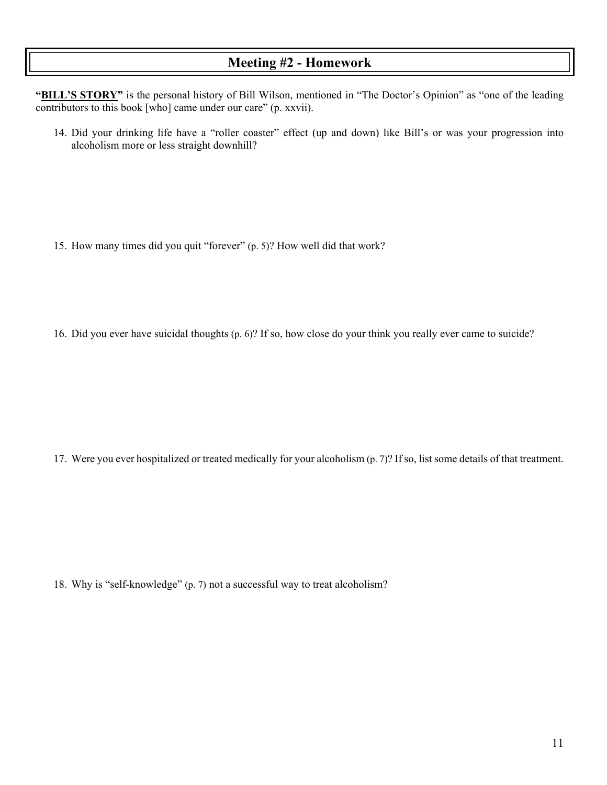## **Meeting #2 - Homework**

**"BILL'S STORY"** is the personal history of Bill Wilson, mentioned in "The Doctor's Opinion" as "one of the leading contributors to this book [who] came under our care" (p. xxvii).

14. Did your drinking life have a "roller coaster" effect (up and down) like Bill's or was your progression into alcoholism more or less straight downhill?

- 15. How many times did you quit "forever" (p. 5)? How well did that work?
- 16. Did you ever have suicidal thoughts (p. 6)? If so, how close do your think you really ever came to suicide?

17. Were you ever hospitalized or treated medically for your alcoholism (p. 7)? If so, list some details of that treatment.

18. Why is "self-knowledge" (p. 7) not a successful way to treat alcoholism?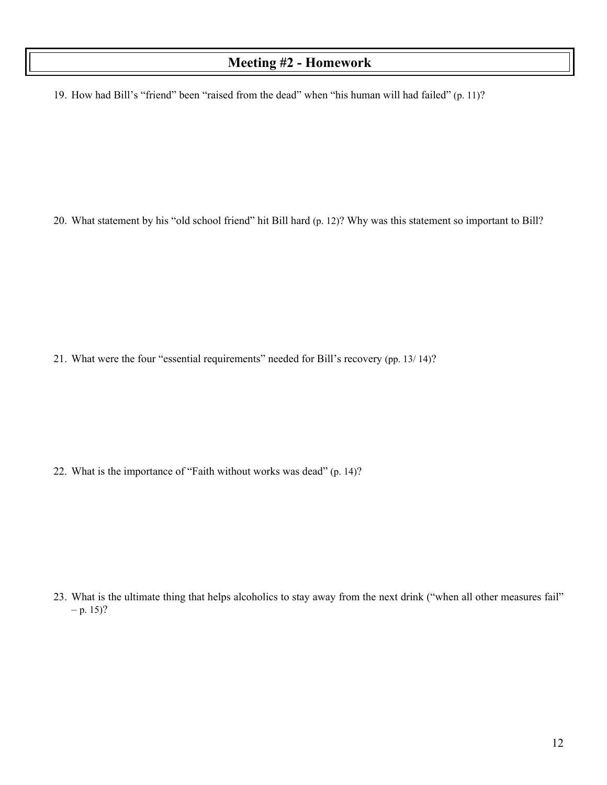19. How had Bill's "friend" been "raised from the dead" when "his human will had failed" (p. 11)?

20. What statement by his "old school friend" hit Bill hard (p. 12)? Why was this statement so important to Bill?

21. What were the four "essential requirements" needed for Bill's recovery (pp. 13/ 14)?

22. What is the importance of "Faith without works was dead" (p. 14)?

23. What is the ultimate thing that helps alcoholics to stay away from the next drink ("when all other measures fail"  $- p. 15$ ?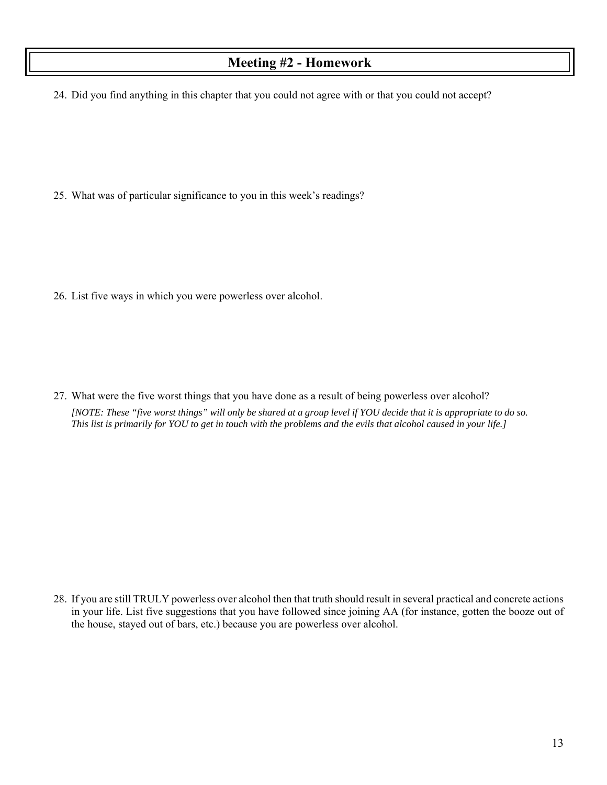24. Did you find anything in this chapter that you could not agree with or that you could not accept?

25. What was of particular significance to you in this week's readings?

26. List five ways in which you were powerless over alcohol.

27. What were the five worst things that you have done as a result of being powerless over alcohol? *[NOTE: These "five worst things" will only be shared at a group level if YOU decide that it is appropriate to do so. This list is primarily for YOU to get in touch with the problems and the evils that alcohol caused in your life.]* 

28. If you are still TRULY powerless over alcohol then that truth should result in several practical and concrete actions in your life. List five suggestions that you have followed since joining AA (for instance, gotten the booze out of the house, stayed out of bars, etc.) because you are powerless over alcohol.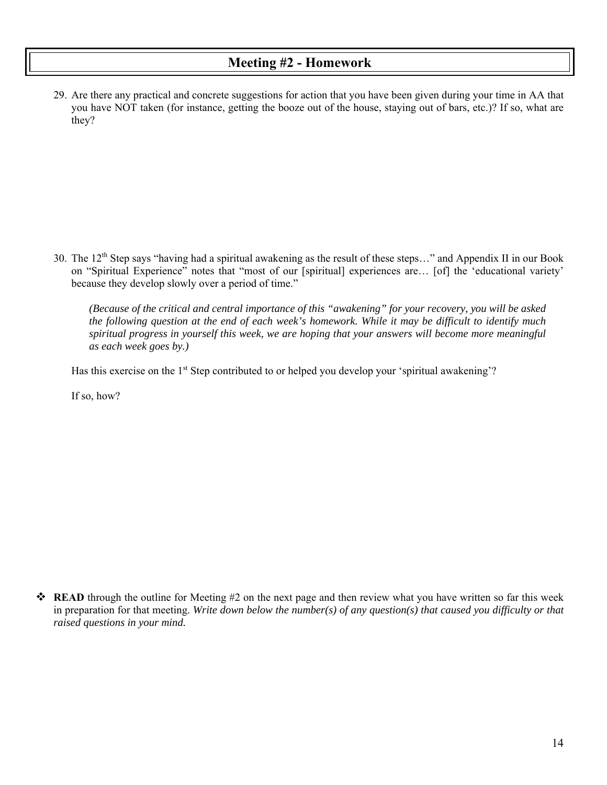#### **Meeting #2 - Homework**

29. Are there any practical and concrete suggestions for action that you have been given during your time in AA that you have NOT taken (for instance, getting the booze out of the house, staying out of bars, etc.)? If so, what are they?

30. The  $12<sup>th</sup>$  Step says "having had a spiritual awakening as the result of these steps..." and Appendix II in our Book on "Spiritual Experience" notes that "most of our [spiritual] experiences are… [of] the 'educational variety' because they develop slowly over a period of time."

*(Because of the critical and central importance of this "awakening" for your recovery, you will be asked the following question at the end of each week's homework. While it may be difficult to identify much spiritual progress in yourself this week, we are hoping that your answers will become more meaningful as each week goes by.)* 

Has this exercise on the 1<sup>st</sup> Step contributed to or helped you develop your 'spiritual awakening'?

If so, how?

**READ** through the outline for Meeting #2 on the next page and then review what you have written so far this week in preparation for that meeting. *Write down below the number(s) of any question(s) that caused you difficulty or that raised questions in your mind.*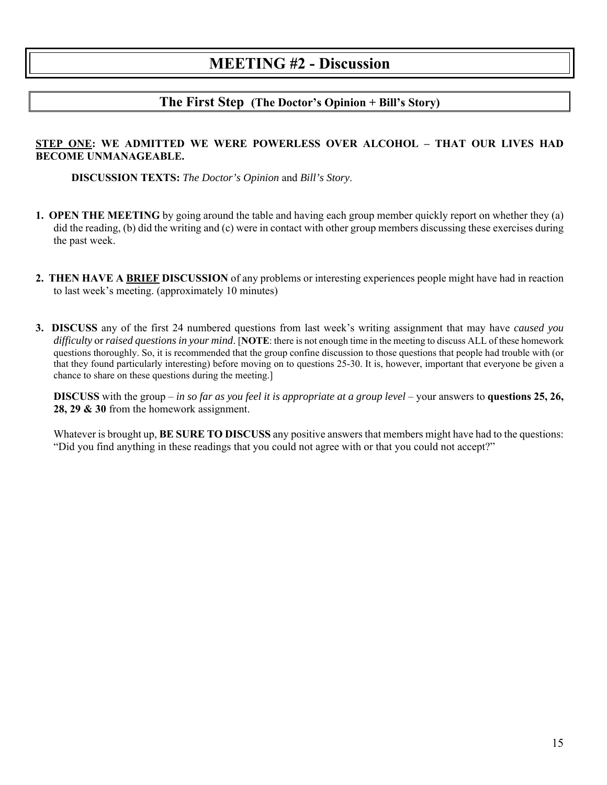# **MEETING #2 - Discussion**

#### **The First Step (The Doctor's Opinion + Bill's Story)**

#### **STEP ONE: WE ADMITTED WE WERE POWERLESS OVER ALCOHOL – THAT OUR LIVES HAD BECOME UNMANAGEABLE.**

**DISCUSSION TEXTS:** *The Doctor's Opinion* and *Bill's Story*.

- **1. OPEN THE MEETING** by going around the table and having each group member quickly report on whether they (a) did the reading, (b) did the writing and (c) were in contact with other group members discussing these exercises during the past week.
- **2. THEN HAVE A BRIEF DISCUSSION** of any problems or interesting experiences people might have had in reaction to last week's meeting. (approximately 10 minutes)
- **3. DISCUSS** any of the first 24 numbered questions from last week's writing assignment that may have *caused you difficulty* or *raised questions in your mind*. [**NOTE**: there is not enough time in the meeting to discuss ALL of these homework questions thoroughly. So, it is recommended that the group confine discussion to those questions that people had trouble with (or that they found particularly interesting) before moving on to questions 25-30. It is, however, important that everyone be given a chance to share on these questions during the meeting.]

**DISCUSS** with the group – *in so far as you feel it is appropriate at a group level* – your answers to **questions 25, 26, 28, 29 & 30** from the homework assignment.

Whatever is brought up, **BE SURE TO DISCUSS** any positive answers that members might have had to the questions: "Did you find anything in these readings that you could not agree with or that you could not accept?"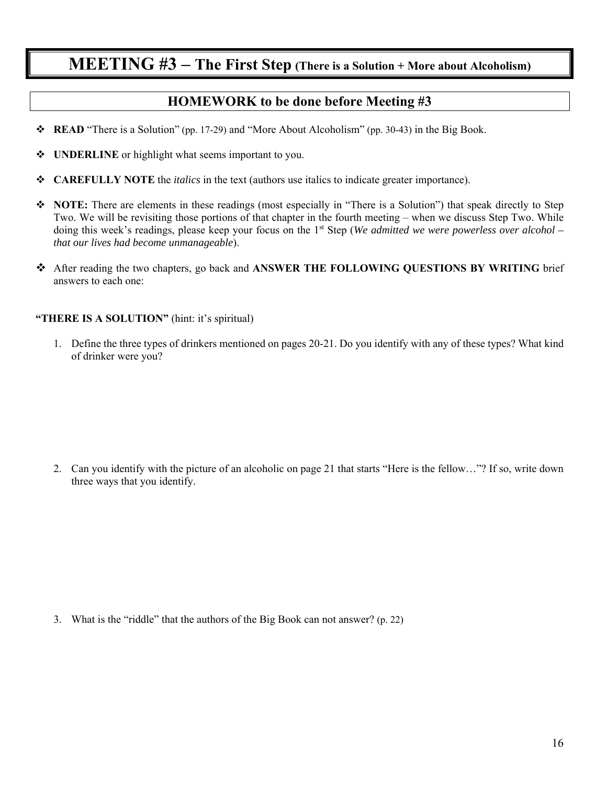# **MEETING #3 – The First Step (There is a Solution + More about Alcoholism)**

## **HOMEWORK to be done before Meeting #3**

- **READ** "There is a Solution" (pp. 17-29) and "More About Alcoholism" (pp. 30-43) in the Big Book.
- **EXECUTE** STATE OF highlight what seems important to you.
- **CAREFULLY NOTE** the *italics* in the text (authors use italics to indicate greater importance).
- **NOTE:** There are elements in these readings (most especially in "There is a Solution") that speak directly to Step Two. We will be revisiting those portions of that chapter in the fourth meeting – when we discuss Step Two. While doing this week's readings, please keep your focus on the 1<sup>st</sup> Step (*We admitted we were powerless over alcohol – that our lives had become unmanageable*).
- After reading the two chapters, go back and **ANSWER THE FOLLOWING QUESTIONS BY WRITING** brief answers to each one:

#### **"THERE IS A SOLUTION"** (hint: it's spiritual)

1. Define the three types of drinkers mentioned on pages 20-21. Do you identify with any of these types? What kind of drinker were you?

2. Can you identify with the picture of an alcoholic on page 21 that starts "Here is the fellow…"? If so, write down three ways that you identify.

3. What is the "riddle" that the authors of the Big Book can not answer? (p. 22)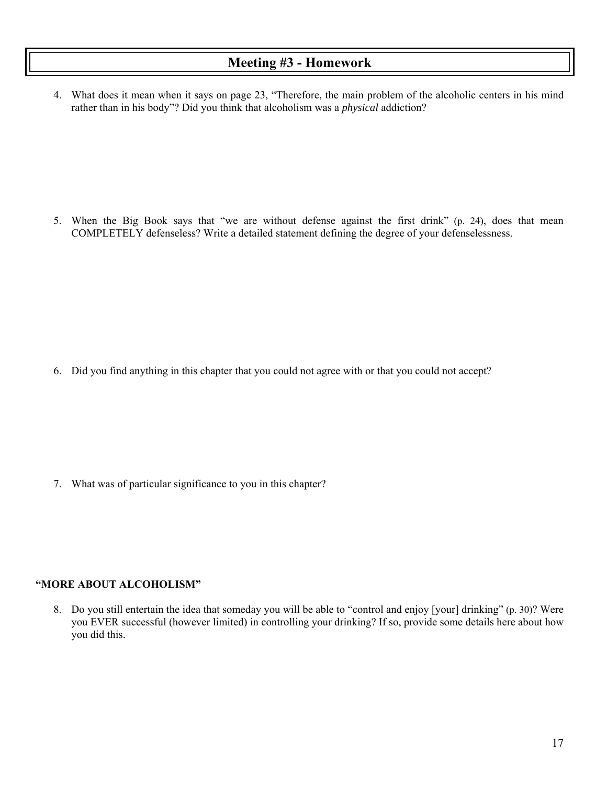#### **Meeting #3 - Homework**

4. What does it mean when it says on page 23, "Therefore, the main problem of the alcoholic centers in his mind rather than in his body"? Did you think that alcoholism was a *physical* addiction?

5. When the Big Book says that "we are without defense against the first drink" (p. 24), does that mean COMPLETELY defenseless? Write a detailed statement defining the degree of your defenselessness.

6. Did you find anything in this chapter that you could not agree with or that you could not accept?

7. What was of particular significance to you in this chapter?

#### **"MORE ABOUT ALCOHOLISM"**

8. Do you still entertain the idea that someday you will be able to "control and enjoy [your] drinking" (p. 30)? Were you EVER successful (however limited) in controlling your drinking? If so, provide some details here about how you did this.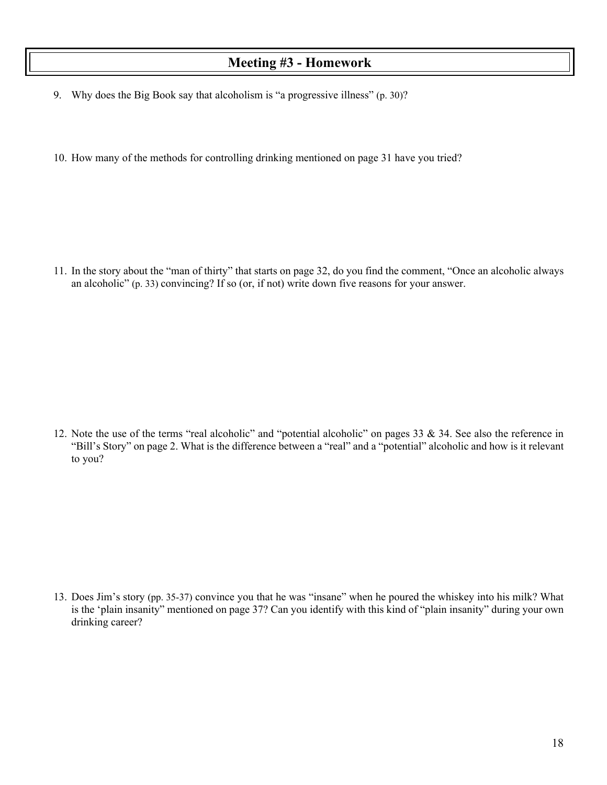- 9. Why does the Big Book say that alcoholism is "a progressive illness" (p. 30)?
- 10. How many of the methods for controlling drinking mentioned on page 31 have you tried?

11. In the story about the "man of thirty" that starts on page 32, do you find the comment, "Once an alcoholic always an alcoholic" (p. 33) convincing? If so (or, if not) write down five reasons for your answer.

12. Note the use of the terms "real alcoholic" and "potential alcoholic" on pages 33 & 34. See also the reference in "Bill's Story" on page 2. What is the difference between a "real" and a "potential" alcoholic and how is it relevant to you?

13. Does Jim's story (pp. 35-37) convince you that he was "insane" when he poured the whiskey into his milk? What is the 'plain insanity" mentioned on page 37? Can you identify with this kind of "plain insanity" during your own drinking career?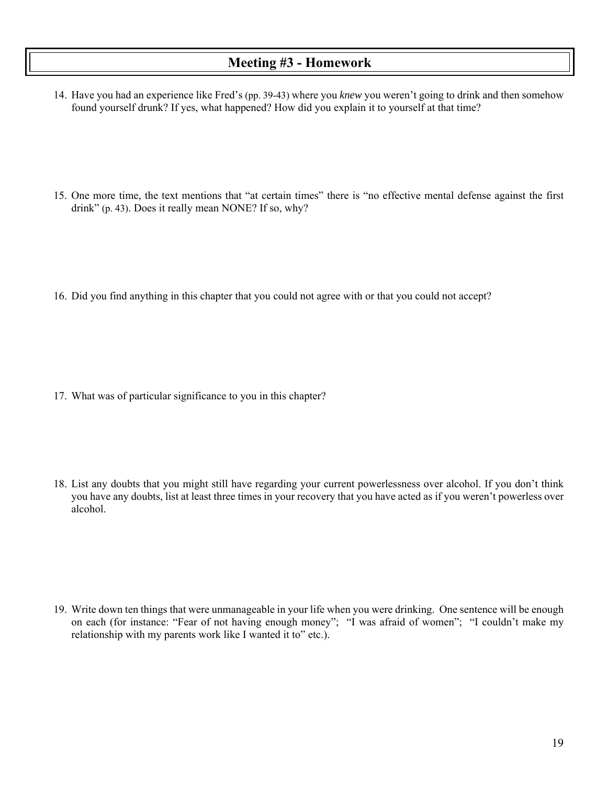- 14. Have you had an experience like Fred's (pp. 39-43) where you *knew* you weren't going to drink and then somehow found yourself drunk? If yes, what happened? How did you explain it to yourself at that time?
- 15. One more time, the text mentions that "at certain times" there is "no effective mental defense against the first drink" (p. 43). Does it really mean NONE? If so, why?
- 16. Did you find anything in this chapter that you could not agree with or that you could not accept?

- 17. What was of particular significance to you in this chapter?
- 18. List any doubts that you might still have regarding your current powerlessness over alcohol. If you don't think you have any doubts, list at least three times in your recovery that you have acted as if you weren't powerless over alcohol.

19. Write down ten things that were unmanageable in your life when you were drinking. One sentence will be enough on each (for instance: "Fear of not having enough money"; "I was afraid of women"; "I couldn't make my relationship with my parents work like I wanted it to" etc.).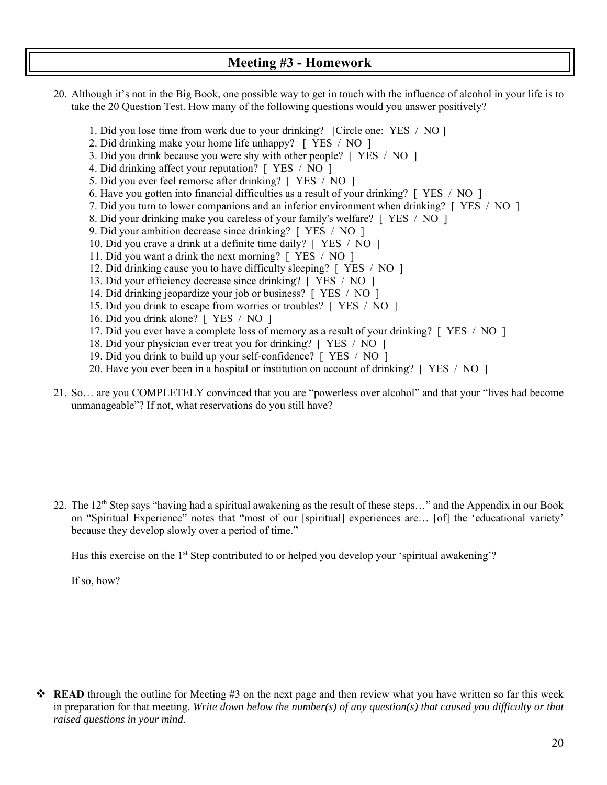#### **Meeting #3 - Homework**

- 20. Although it's not in the Big Book, one possible way to get in touch with the influence of alcohol in your life is to take the 20 Question Test. How many of the following questions would you answer positively?
	- 1. Did you lose time from work due to your drinking? [Circle one: YES / NO ]
	- 2. Did drinking make your home life unhappy? [ YES / NO ]
	- 3. Did you drink because you were shy with other people? [ YES / NO ]
	- 4. Did drinking affect your reputation? [ YES / NO ]
	- 5. Did you ever feel remorse after drinking? [ YES / NO ]
	- 6. Have you gotten into financial difficulties as a result of your drinking? [ YES / NO ]
	- 7. Did you turn to lower companions and an inferior environment when drinking? [ YES / NO ]
	- 8. Did your drinking make you careless of your family's welfare? [ YES / NO ]
	- 9. Did your ambition decrease since drinking? [ YES / NO ]
	- 10. Did you crave a drink at a definite time daily? [ YES / NO ]
	- 11. Did you want a drink the next morning? [ YES / NO ]
	- 12. Did drinking cause you to have difficulty sleeping? [ YES / NO ]
	- 13. Did your efficiency decrease since drinking? [ YES / NO ]
	- 14. Did drinking jeopardize your job or business? [ YES / NO ]
	- 15. Did you drink to escape from worries or troubles? [ YES / NO ]
	- 16. Did you drink alone? [ YES / NO ]
	- 17. Did you ever have a complete loss of memory as a result of your drinking? [ YES / NO ]
	- 18. Did your physician ever treat you for drinking? [ YES / NO ]
	- 19. Did you drink to build up your self-confidence? [ YES / NO ]
	- 20. Have you ever been in a hospital or institution on account of drinking? [ YES / NO ]
- 21. So… are you COMPLETELY convinced that you are "powerless over alcohol" and that your "lives had become unmanageable"? If not, what reservations do you still have?

22. The  $12<sup>th</sup>$  Step says "having had a spiritual awakening as the result of these steps..." and the Appendix in our Book on "Spiritual Experience" notes that "most of our [spiritual] experiences are… [of] the 'educational variety' because they develop slowly over a period of time."

Has this exercise on the 1<sup>st</sup> Step contributed to or helped you develop your 'spiritual awakening'?

If so, how?

**EXAD** through the outline for Meeting #3 on the next page and then review what you have written so far this week in preparation for that meeting. *Write down below the number(s) of any question(s) that caused you difficulty or that raised questions in your mind.*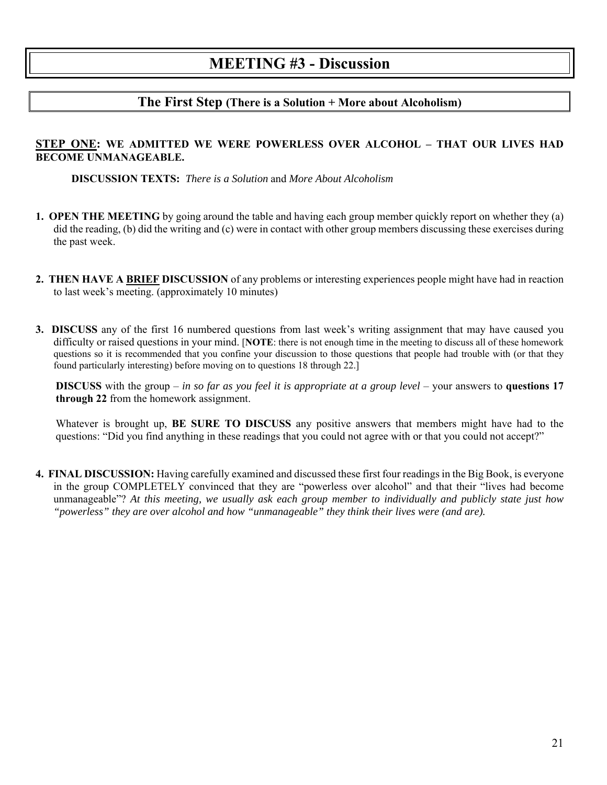## **MEETING #3 - Discussion**

#### **The First Step (There is a Solution + More about Alcoholism)**

#### **STEP ONE: WE ADMITTED WE WERE POWERLESS OVER ALCOHOL – THAT OUR LIVES HAD BECOME UNMANAGEABLE.**

**DISCUSSION TEXTS:** *There is a Solution* and *More About Alcoholism*

- **1. OPEN THE MEETING** by going around the table and having each group member quickly report on whether they (a) did the reading, (b) did the writing and (c) were in contact with other group members discussing these exercises during the past week.
- **2. THEN HAVE A BRIEF DISCUSSION** of any problems or interesting experiences people might have had in reaction to last week's meeting. (approximately 10 minutes)
- **3. DISCUSS** any of the first 16 numbered questions from last week's writing assignment that may have caused you difficulty or raised questions in your mind. [**NOTE**: there is not enough time in the meeting to discuss all of these homework questions so it is recommended that you confine your discussion to those questions that people had trouble with (or that they found particularly interesting) before moving on to questions 18 through 22.]

**DISCUSS** with the group – *in so far as you feel it is appropriate at a group level* – your answers to **questions 17 through 22** from the homework assignment.

Whatever is brought up, **BE SURE TO DISCUSS** any positive answers that members might have had to the questions: "Did you find anything in these readings that you could not agree with or that you could not accept?"

**4. FINAL DISCUSSION:** Having carefully examined and discussed these first four readings in the Big Book, is everyone in the group COMPLETELY convinced that they are "powerless over alcohol" and that their "lives had become unmanageable"? *At this meeting, we usually ask each group member to individually and publicly state just how "powerless" they are over alcohol and how "unmanageable" they think their lives were (and are).*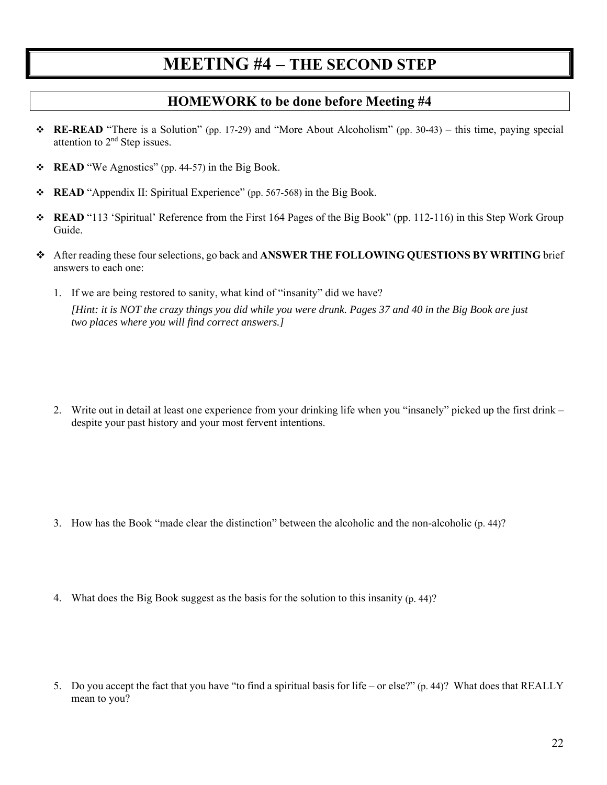# **MEETING #4 – THE SECOND STEP**

#### **HOMEWORK to be done before Meeting #4**

- **RE-READ** "There is a Solution" (pp. 17-29) and "More About Alcoholism" (pp. 30-43) this time, paying special attention to 2nd Step issues.
- **READ** "We Agnostics" (pp. 44-57) in the Big Book.
- **READ** "Appendix II: Spiritual Experience" (pp. 567-568) in the Big Book.
- **READ** "113 'Spiritual' Reference from the First 164 Pages of the Big Book" (pp. 112-116) in this Step Work Group Guide.
- After reading these four selections, go back and **ANSWER THE FOLLOWING QUESTIONS BY WRITING** brief answers to each one:
	- 1. If we are being restored to sanity, what kind of "insanity" did we have?

*[Hint: it is NOT the crazy things you did while you were drunk. Pages 37 and 40 in the Big Book are just two places where you will find correct answers.]* 

2. Write out in detail at least one experience from your drinking life when you "insanely" picked up the first drink – despite your past history and your most fervent intentions.

- 3. How has the Book "made clear the distinction" between the alcoholic and the non-alcoholic (p. 44)?
- 4. What does the Big Book suggest as the basis for the solution to this insanity (p. 44)?
- 5. Do you accept the fact that you have "to find a spiritual basis for life or else?" (p. 44)? What does that REALLY mean to you?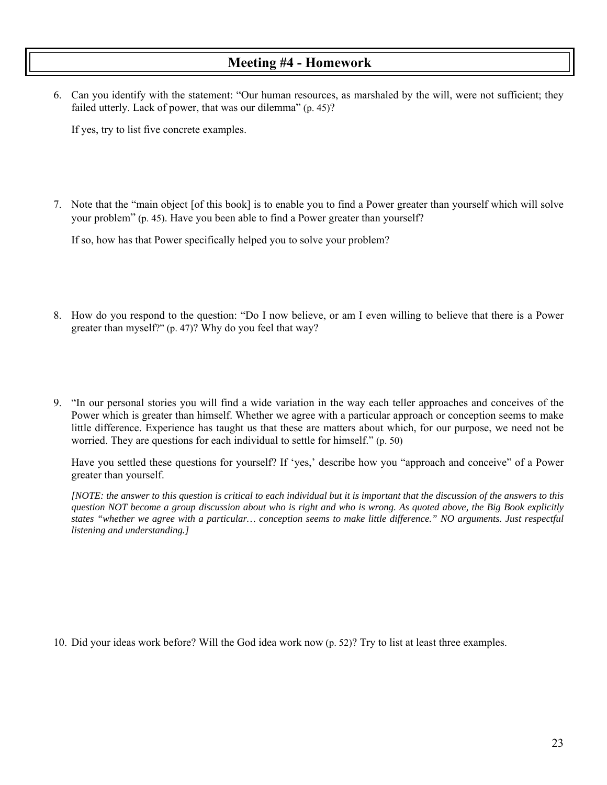#### **Meeting #4 - Homework**

6. Can you identify with the statement: "Our human resources, as marshaled by the will, were not sufficient; they failed utterly. Lack of power, that was our dilemma" (p. 45)?

If yes, try to list five concrete examples.

7. Note that the "main object [of this book] is to enable you to find a Power greater than yourself which will solve your problem" (p. 45). Have you been able to find a Power greater than yourself?

If so, how has that Power specifically helped you to solve your problem?

- 8. How do you respond to the question: "Do I now believe, or am I even willing to believe that there is a Power greater than myself?" (p. 47)? Why do you feel that way?
- 9. "In our personal stories you will find a wide variation in the way each teller approaches and conceives of the Power which is greater than himself. Whether we agree with a particular approach or conception seems to make little difference. Experience has taught us that these are matters about which, for our purpose, we need not be worried. They are questions for each individual to settle for himself." (p. 50)

Have you settled these questions for yourself? If 'yes,' describe how you "approach and conceive" of a Power greater than yourself.

*[NOTE: the answer to this question is critical to each individual but it is important that the discussion of the answers to this question NOT become a group discussion about who is right and who is wrong. As quoted above, the Big Book explicitly states "whether we agree with a particular… conception seems to make little difference." NO arguments. Just respectful listening and understanding.]* 

10. Did your ideas work before? Will the God idea work now (p. 52)? Try to list at least three examples.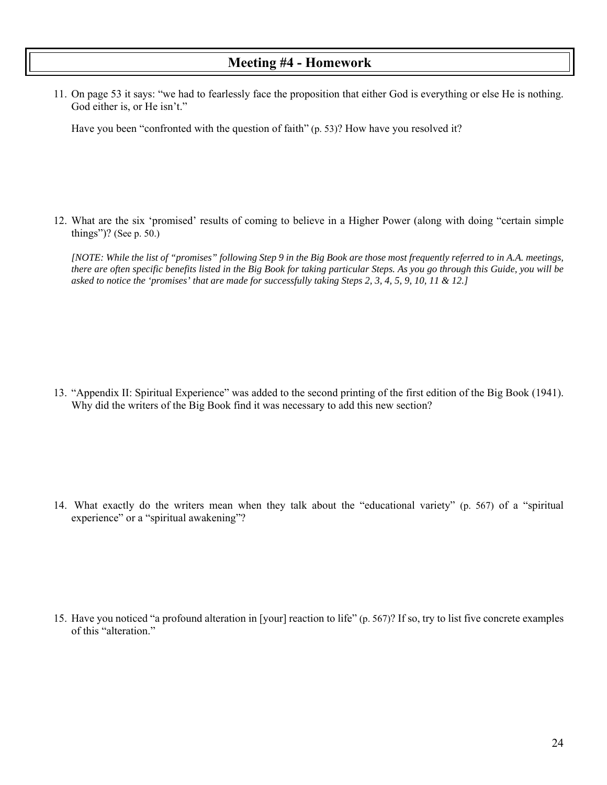#### **Meeting #4 - Homework**

11. On page 53 it says: "we had to fearlessly face the proposition that either God is everything or else He is nothing. God either is, or He isn't."

Have you been "confronted with the question of faith" (p. 53)? How have you resolved it?

12. What are the six 'promised' results of coming to believe in a Higher Power (along with doing "certain simple things")? (See p. 50.)

*[NOTE: While the list of "promises" following Step 9 in the Big Book are those most frequently referred to in A.A. meetings, there are often specific benefits listed in the Big Book for taking particular Steps. As you go through this Guide, you will be asked to notice the 'promises' that are made for successfully taking Steps 2, 3, 4, 5, 9, 10, 11 & 12.]* 

13. "Appendix II: Spiritual Experience" was added to the second printing of the first edition of the Big Book (1941). Why did the writers of the Big Book find it was necessary to add this new section?

14. What exactly do the writers mean when they talk about the "educational variety" (p. 567) of a "spiritual experience" or a "spiritual awakening"?

15. Have you noticed "a profound alteration in [your] reaction to life" (p. 567)? If so, try to list five concrete examples of this "alteration."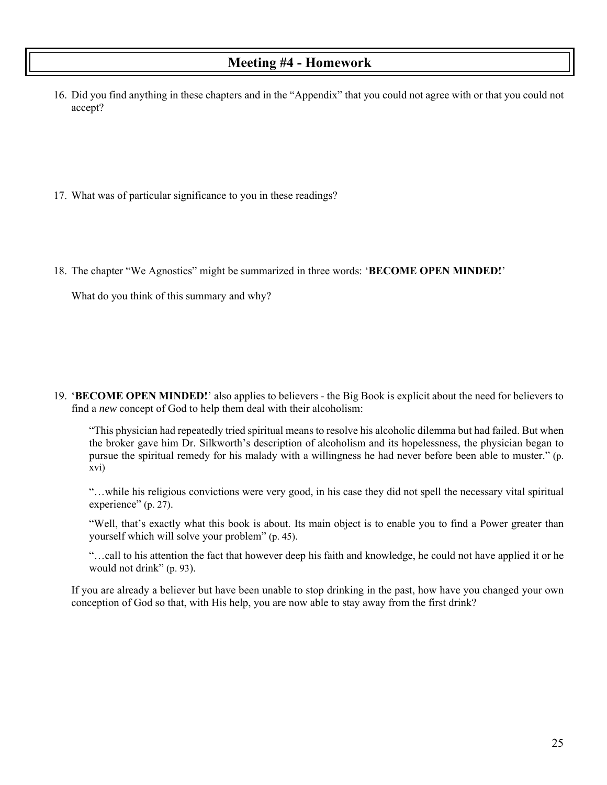- 16. Did you find anything in these chapters and in the "Appendix" that you could not agree with or that you could not accept?
- 17. What was of particular significance to you in these readings?
- 18. The chapter "We Agnostics" might be summarized in three words: '**BECOME OPEN MINDED!**'

What do you think of this summary and why?

19. '**BECOME OPEN MINDED!**' also applies to believers - the Big Book is explicit about the need for believers to find a *new* concept of God to help them deal with their alcoholism:

"This physician had repeatedly tried spiritual means to resolve his alcoholic dilemma but had failed. But when the broker gave him Dr. Silkworth's description of alcoholism and its hopelessness, the physician began to pursue the spiritual remedy for his malady with a willingness he had never before been able to muster." (p. xvi)

"…while his religious convictions were very good, in his case they did not spell the necessary vital spiritual experience" (p. 27).

"Well, that's exactly what this book is about. Its main object is to enable you to find a Power greater than yourself which will solve your problem" (p. 45).

"…call to his attention the fact that however deep his faith and knowledge, he could not have applied it or he would not drink" (p. 93).

If you are already a believer but have been unable to stop drinking in the past, how have you changed your own conception of God so that, with His help, you are now able to stay away from the first drink?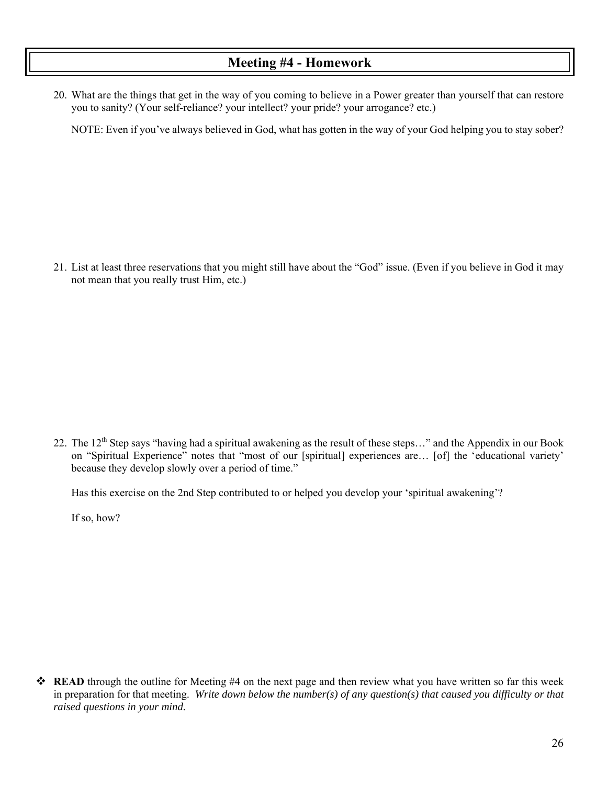20. What are the things that get in the way of you coming to believe in a Power greater than yourself that can restore you to sanity? (Your self-reliance? your intellect? your pride? your arrogance? etc.)

NOTE: Even if you've always believed in God, what has gotten in the way of your God helping you to stay sober?

21. List at least three reservations that you might still have about the "God" issue. (Even if you believe in God it may not mean that you really trust Him, etc.)

22. The 12<sup>th</sup> Step says "having had a spiritual awakening as the result of these steps..." and the Appendix in our Book on "Spiritual Experience" notes that "most of our [spiritual] experiences are… [of] the 'educational variety' because they develop slowly over a period of time."

Has this exercise on the 2nd Step contributed to or helped you develop your 'spiritual awakening'?

If so, how?

**\*** READ through the outline for Meeting #4 on the next page and then review what you have written so far this week in preparation for that meeting. *Write down below the number(s) of any question(s) that caused you difficulty or that raised questions in your mind.*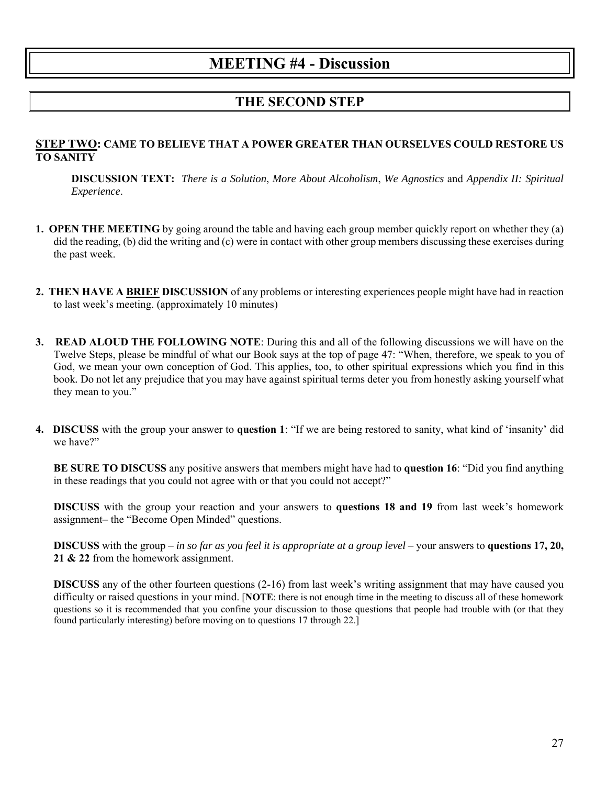# **MEETING #4 - Discussion**

## **THE SECOND STEP**

#### **STEP TWO: CAME TO BELIEVE THAT A POWER GREATER THAN OURSELVES COULD RESTORE US TO SANITY**

**DISCUSSION TEXT:** *There is a Solution*, *More About Alcoholism*, *We Agnostics* and *Appendix II: Spiritual Experience*.

- **1. OPEN THE MEETING** by going around the table and having each group member quickly report on whether they (a) did the reading, (b) did the writing and (c) were in contact with other group members discussing these exercises during the past week.
- **2. THEN HAVE A BRIEF DISCUSSION** of any problems or interesting experiences people might have had in reaction to last week's meeting. (approximately 10 minutes)
- **3. READ ALOUD THE FOLLOWING NOTE**: During this and all of the following discussions we will have on the Twelve Steps, please be mindful of what our Book says at the top of page 47: "When, therefore, we speak to you of God, we mean your own conception of God. This applies, too, to other spiritual expressions which you find in this book*.* Do not let any prejudice that you may have against spiritual terms deter you from honestly asking yourself what they mean to you."
- **4. DISCUSS** with the group your answer to **question 1**: "If we are being restored to sanity, what kind of 'insanity' did we have?"

**BE SURE TO DISCUSS** any positive answers that members might have had to **question 16**: "Did you find anything in these readings that you could not agree with or that you could not accept?"

**DISCUSS** with the group your reaction and your answers to **questions 18 and 19** from last week's homework assignment– the "Become Open Minded" questions.

**DISCUSS** with the group – *in so far as you feel it is appropriate at a group level* – your answers to **questions 17, 20, 21 & 22** from the homework assignment.

**DISCUSS** any of the other fourteen questions (2-16) from last week's writing assignment that may have caused you difficulty or raised questions in your mind. [**NOTE**: there is not enough time in the meeting to discuss all of these homework questions so it is recommended that you confine your discussion to those questions that people had trouble with (or that they found particularly interesting) before moving on to questions 17 through 22.]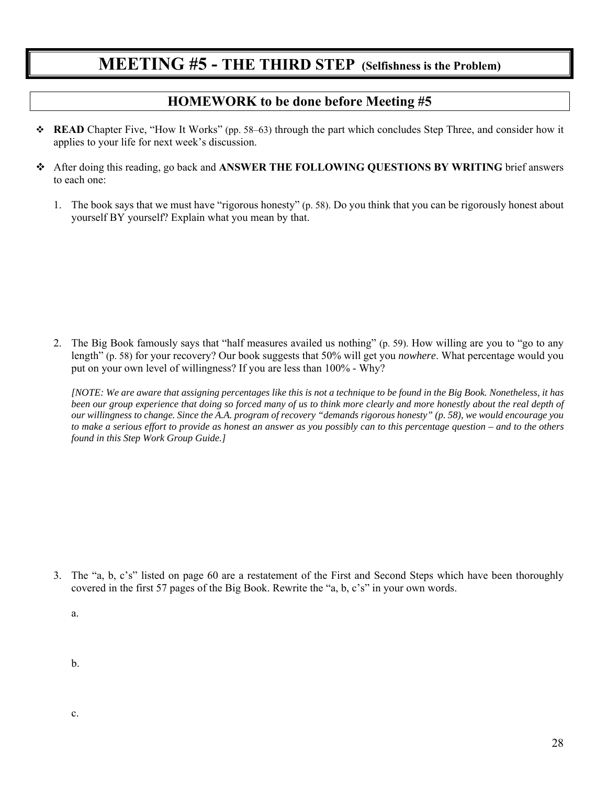# **MEETING #5 - THE THIRD STEP (Selfishness is the Problem)**

#### **HOMEWORK to be done before Meeting #5**

- **READ** Chapter Five, "How It Works" (pp. 58–63) through the part which concludes Step Three, and consider how it applies to your life for next week's discussion.
- After doing this reading, go back and **ANSWER THE FOLLOWING QUESTIONS BY WRITING** brief answers to each one:
	- 1. The book says that we must have "rigorous honesty" (p. 58). Do you think that you can be rigorously honest about yourself BY yourself? Explain what you mean by that.

2. The Big Book famously says that "half measures availed us nothing" (p. 59). How willing are you to "go to any length" (p. 58) for your recovery? Our book suggests that 50% will get you *nowhere*. What percentage would you put on your own level of willingness? If you are less than 100% - Why?

*[NOTE: We are aware that assigning percentages like this is not a technique to be found in the Big Book. Nonetheless, it has been our group experience that doing so forced many of us to think more clearly and more honestly about the real depth of our willingness to change. Since the A.A. program of recovery "demands rigorous honesty" (p. 58), we would encourage you to make a serious effort to provide as honest an answer as you possibly can to this percentage question – and to the others found in this Step Work Group Guide.]* 

- 3. The "a, b, c's" listed on page 60 are a restatement of the First and Second Steps which have been thoroughly covered in the first 57 pages of the Big Book. Rewrite the "a, b, c's" in your own words.
	- a.

b.

c.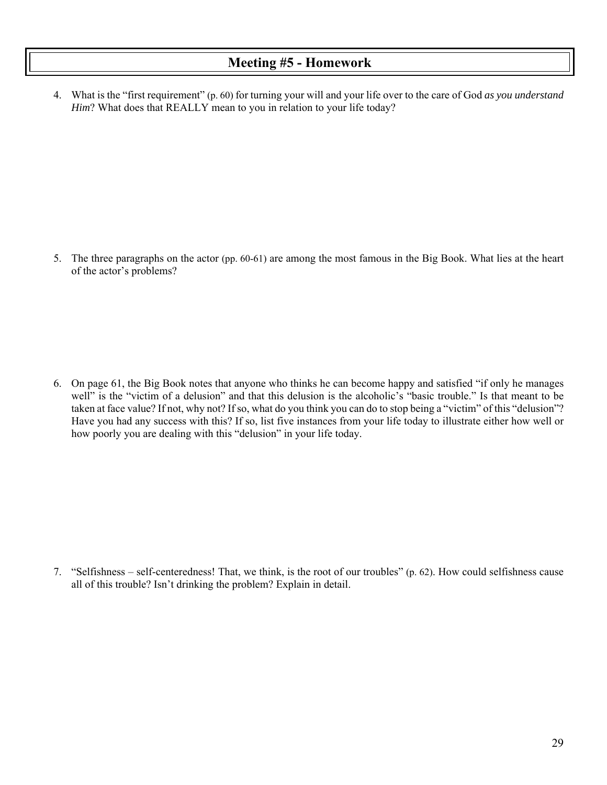4. What is the "first requirement" (p. 60) for turning your will and your life over to the care of God *as you understand Him*? What does that REALLY mean to you in relation to your life today?

5. The three paragraphs on the actor (pp. 60-61) are among the most famous in the Big Book. What lies at the heart of the actor's problems?

6. On page 61, the Big Book notes that anyone who thinks he can become happy and satisfied "if only he manages well" is the "victim of a delusion" and that this delusion is the alcoholic's "basic trouble." Is that meant to be taken at face value? If not, why not? If so, what do you think you can do to stop being a "victim" of this "delusion"? Have you had any success with this? If so, list five instances from your life today to illustrate either how well or how poorly you are dealing with this "delusion" in your life today.

7. "Selfishness – self-centeredness! That, we think, is the root of our troubles" (p. 62). How could selfishness cause all of this trouble? Isn't drinking the problem? Explain in detail.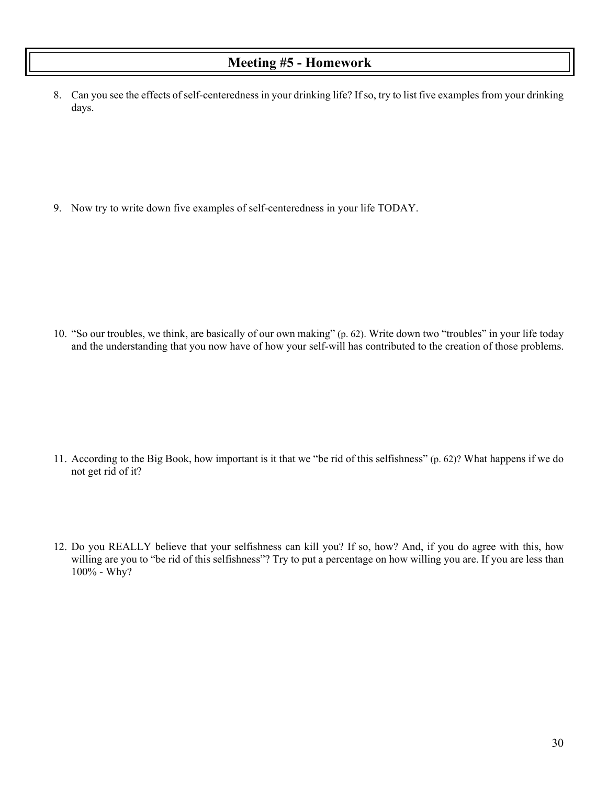8. Can you see the effects of self-centeredness in your drinking life? If so, try to list five examples from your drinking days.

9. Now try to write down five examples of self-centeredness in your life TODAY.

10. "So our troubles, we think, are basically of our own making" (p. 62). Write down two "troubles" in your life today and the understanding that you now have of how your self-will has contributed to the creation of those problems.

- 11. According to the Big Book, how important is it that we "be rid of this selfishness" (p. 62)? What happens if we do not get rid of it?
- 12. Do you REALLY believe that your selfishness can kill you? If so, how? And, if you do agree with this, how willing are you to "be rid of this selfishness"? Try to put a percentage on how willing you are. If you are less than 100% - Why?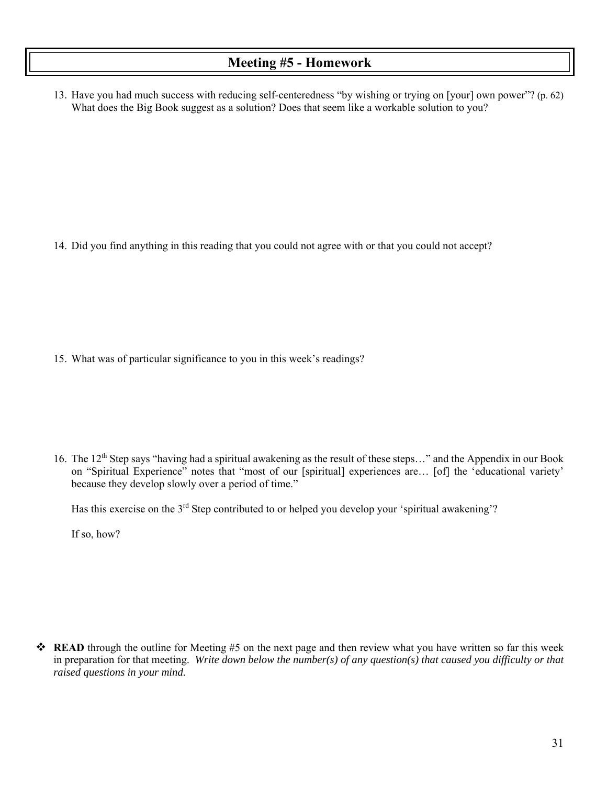13. Have you had much success with reducing self-centeredness "by wishing or trying on [your] own power"? (p. 62) What does the Big Book suggest as a solution? Does that seem like a workable solution to you?

14. Did you find anything in this reading that you could not agree with or that you could not accept?

15. What was of particular significance to you in this week's readings?

16. The  $12<sup>th</sup>$  Step says "having had a spiritual awakening as the result of these steps..." and the Appendix in our Book on "Spiritual Experience" notes that "most of our [spiritual] experiences are… [of] the 'educational variety' because they develop slowly over a period of time."

Has this exercise on the 3<sup>rd</sup> Step contributed to or helped you develop your 'spiritual awakening'?

If so, how?

**EXAD** through the outline for Meeting #5 on the next page and then review what you have written so far this week in preparation for that meeting. *Write down below the number(s) of any question(s) that caused you difficulty or that raised questions in your mind.*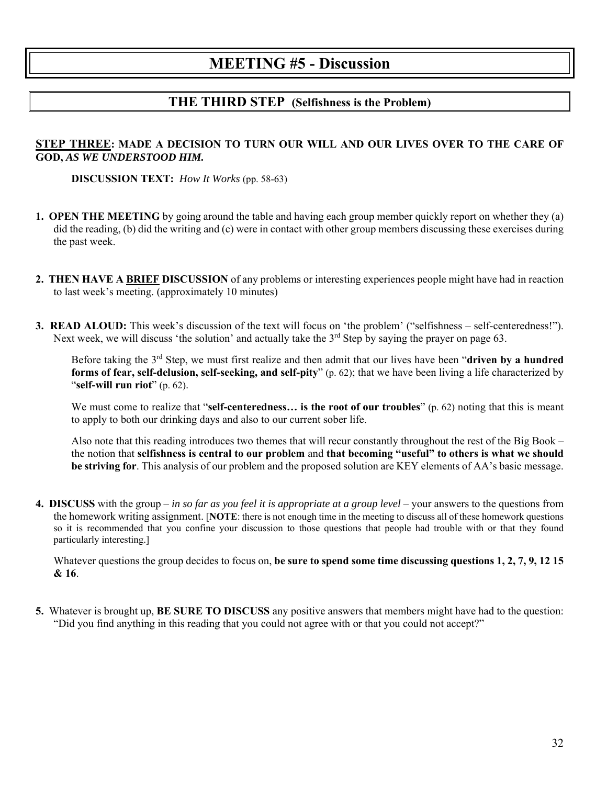## **MEETING #5 - Discussion**

#### **THE THIRD STEP (Selfishness is the Problem)**

#### **STEP THREE: MADE A DECISION TO TURN OUR WILL AND OUR LIVES OVER TO THE CARE OF GOD,** *AS WE UNDERSTOOD HIM.*

**DISCUSSION TEXT:** *How It Works* (pp. 58-63)

- **1. OPEN THE MEETING** by going around the table and having each group member quickly report on whether they (a) did the reading, (b) did the writing and (c) were in contact with other group members discussing these exercises during the past week.
- **2. THEN HAVE A BRIEF DISCUSSION** of any problems or interesting experiences people might have had in reaction to last week's meeting. (approximately 10 minutes)
- **3. READ ALOUD:** This week's discussion of the text will focus on 'the problem' ("selfishness self-centeredness!"). Next week, we will discuss 'the solution' and actually take the 3<sup>rd</sup> Step by saying the prayer on page 63.

Before taking the 3rd Step, we must first realize and then admit that our lives have been "**driven by a hundred forms of fear, self-delusion, self-seeking, and self-pity**" (p. 62); that we have been living a life characterized by "**self-will run riot**" (p. 62).

We must come to realize that "**self-centeredness… is the root of our troubles**" (p. 62) noting that this is meant to apply to both our drinking days and also to our current sober life.

Also note that this reading introduces two themes that will recur constantly throughout the rest of the Big Book – the notion that **selfishness is central to our problem** and **that becoming "useful" to others is what we should be striving for**. This analysis of our problem and the proposed solution are KEY elements of AA's basic message.

**4. DISCUSS** with the group – *in so far as you feel it is appropriate at a group level* – your answers to the questions from the homework writing assignment. [**NOTE**: there is not enough time in the meeting to discuss all of these homework questions so it is recommended that you confine your discussion to those questions that people had trouble with or that they found particularly interesting.]

Whatever questions the group decides to focus on, **be sure to spend some time discussing questions 1, 2, 7, 9, 12 15 & 16**.

**5.** Whatever is brought up, **BE SURE TO DISCUSS** any positive answers that members might have had to the question: "Did you find anything in this reading that you could not agree with or that you could not accept?"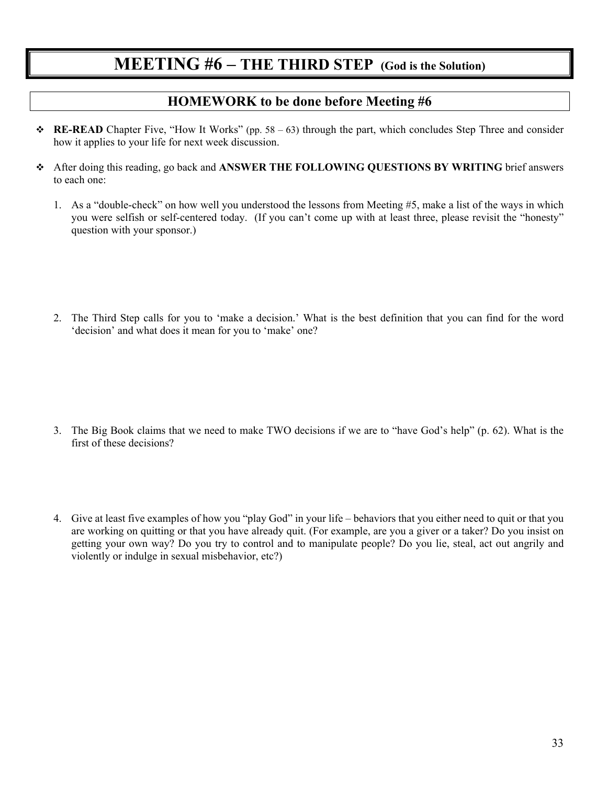# **MEETING #6 – THE THIRD STEP (God is the Solution)**

#### **HOMEWORK to be done before Meeting #6**

- **RE-READ** Chapter Five, "How It Works" (pp. 58 63) through the part, which concludes Step Three and consider how it applies to your life for next week discussion.
- After doing this reading, go back and **ANSWER THE FOLLOWING QUESTIONS BY WRITING** brief answers to each one:
	- 1. As a "double-check" on how well you understood the lessons from Meeting #5, make a list of the ways in which you were selfish or self-centered today. (If you can't come up with at least three, please revisit the "honesty" question with your sponsor.)
	- 2. The Third Step calls for you to 'make a decision.' What is the best definition that you can find for the word 'decision' and what does it mean for you to 'make' one?

- 3. The Big Book claims that we need to make TWO decisions if we are to "have God's help" (p. 62). What is the first of these decisions?
- 4. Give at least five examples of how you "play God" in your life behaviors that you either need to quit or that you are working on quitting or that you have already quit. (For example, are you a giver or a taker? Do you insist on getting your own way? Do you try to control and to manipulate people? Do you lie, steal, act out angrily and violently or indulge in sexual misbehavior, etc?)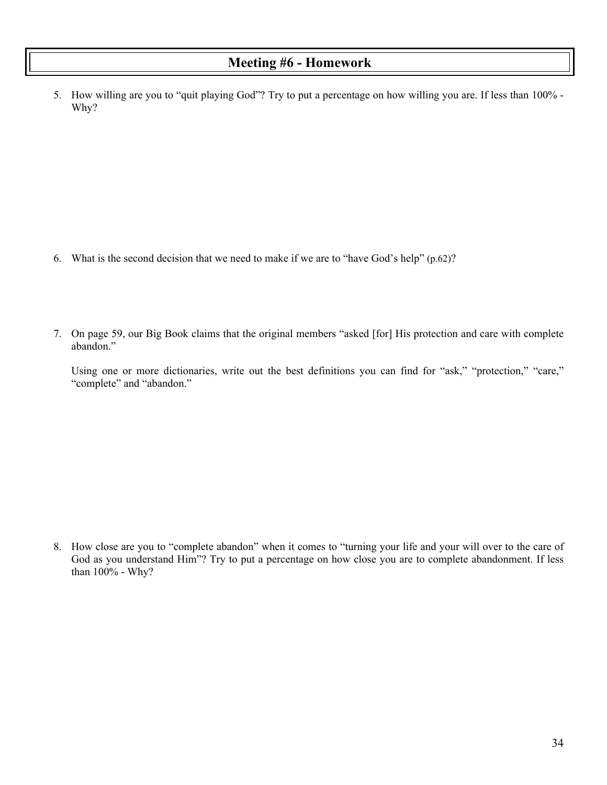5. How willing are you to "quit playing God"? Try to put a percentage on how willing you are. If less than 100% - Why?

- 6. What is the second decision that we need to make if we are to "have God's help" (p.62)?
- 7. On page 59, our Big Book claims that the original members "asked [for] His protection and care with complete abandon."

Using one or more dictionaries, write out the best definitions you can find for "ask," "protection," "care," "complete" and "abandon."

8. How close are you to "complete abandon" when it comes to "turning your life and your will over to the care of God as you understand Him"? Try to put a percentage on how close you are to complete abandonment. If less than 100% - Why?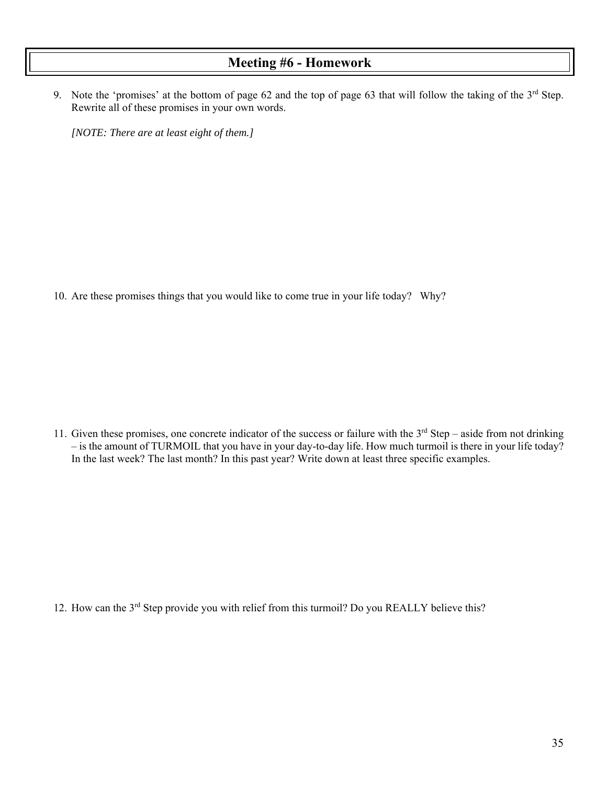9. Note the 'promises' at the bottom of page 62 and the top of page 63 that will follow the taking of the  $3<sup>rd</sup>$  Step. Rewrite all of these promises in your own words.

*[NOTE: There are at least eight of them.]* 

10. Are these promises things that you would like to come true in your life today? Why?

11. Given these promises, one concrete indicator of the success or failure with the  $3<sup>rd</sup>$  Step – aside from not drinking – is the amount of TURMOIL that you have in your day-to-day life. How much turmoil is there in your life today? In the last week? The last month? In this past year? Write down at least three specific examples.

12. How can the 3<sup>rd</sup> Step provide you with relief from this turmoil? Do you REALLY believe this?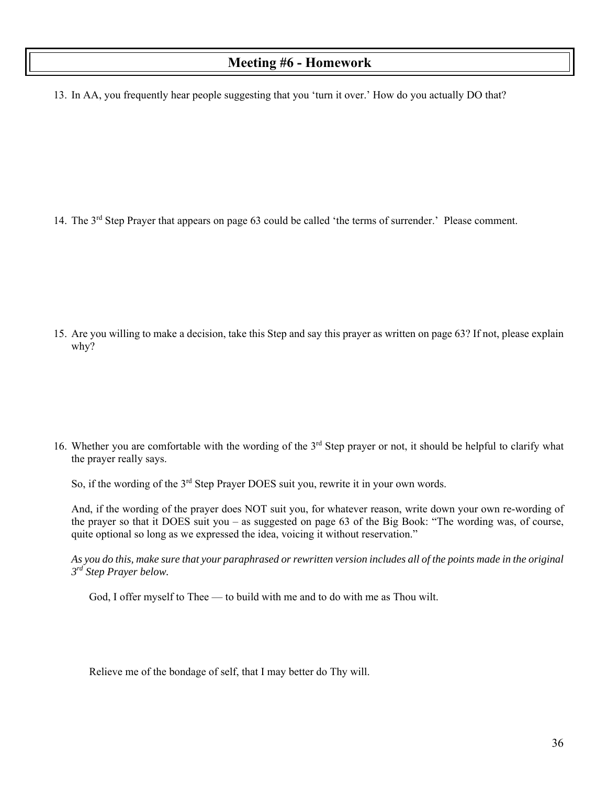13. In AA, you frequently hear people suggesting that you 'turn it over.' How do you actually DO that?

14. The 3<sup>rd</sup> Step Prayer that appears on page 63 could be called 'the terms of surrender.' Please comment.

15. Are you willing to make a decision, take this Step and say this prayer as written on page 63? If not, please explain why?

16. Whether you are comfortable with the wording of the 3<sup>rd</sup> Step prayer or not, it should be helpful to clarify what the prayer really says.

So, if the wording of the 3<sup>rd</sup> Step Prayer DOES suit you, rewrite it in your own words.

And, if the wording of the prayer does NOT suit you, for whatever reason, write down your own re-wording of the prayer so that it DOES suit you – as suggested on page 63 of the Big Book: "The wording was, of course, quite optional so long as we expressed the idea, voicing it without reservation."

*As you do this, make sure that your paraphrased or rewritten version includes all of the points made in the original 3rd Step Prayer below.* 

God, I offer myself to Thee — to build with me and to do with me as Thou wilt.

Relieve me of the bondage of self, that I may better do Thy will.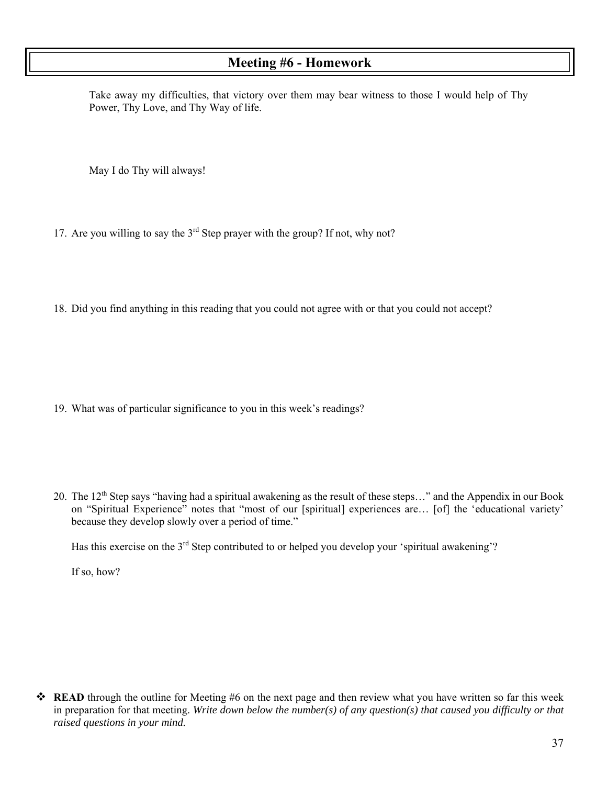Take away my difficulties, that victory over them may bear witness to those I would help of Thy Power, Thy Love, and Thy Way of life.

May I do Thy will always!

- 17. Are you willing to say the  $3<sup>rd</sup>$  Step prayer with the group? If not, why not?
- 18. Did you find anything in this reading that you could not agree with or that you could not accept?

- 19. What was of particular significance to you in this week's readings?
- 20. The 12<sup>th</sup> Step says "having had a spiritual awakening as the result of these steps..." and the Appendix in our Book on "Spiritual Experience" notes that "most of our [spiritual] experiences are… [of] the 'educational variety' because they develop slowly over a period of time."

Has this exercise on the 3<sup>rd</sup> Step contributed to or helped you develop your 'spiritual awakening'?

If so, how?

**READ** through the outline for Meeting #6 on the next page and then review what you have written so far this week in preparation for that meeting. *Write down below the number(s) of any question(s) that caused you difficulty or that raised questions in your mind.*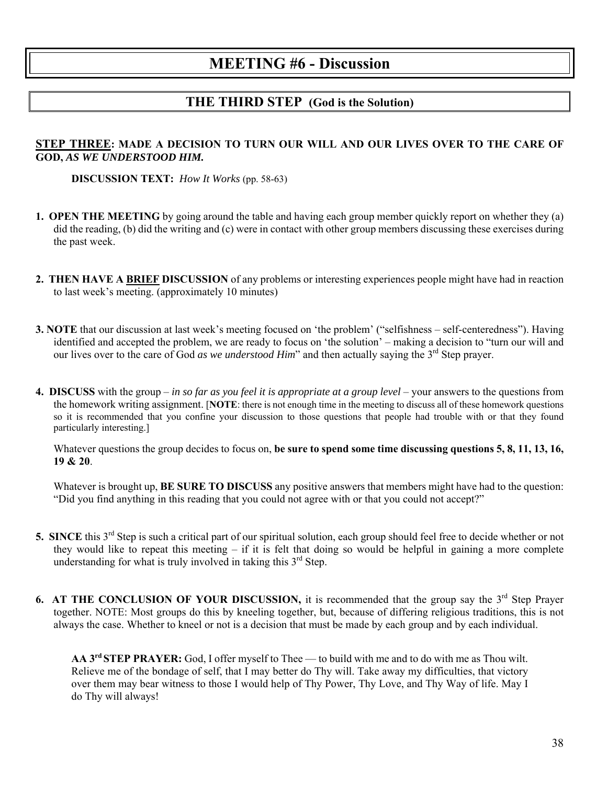## **MEETING #6 - Discussion**

#### **THE THIRD STEP (God is the Solution)**

#### **STEP THREE: MADE A DECISION TO TURN OUR WILL AND OUR LIVES OVER TO THE CARE OF GOD,** *AS WE UNDERSTOOD HIM.*

**DISCUSSION TEXT:** *How It Works* (pp. 58-63)

- **1. OPEN THE MEETING** by going around the table and having each group member quickly report on whether they (a) did the reading, (b) did the writing and (c) were in contact with other group members discussing these exercises during the past week.
- **2. THEN HAVE A BRIEF DISCUSSION** of any problems or interesting experiences people might have had in reaction to last week's meeting. (approximately 10 minutes)
- **3. NOTE** that our discussion at last week's meeting focused on 'the problem' ("selfishness self-centeredness"). Having identified and accepted the problem, we are ready to focus on 'the solution' – making a decision to "turn our will and our lives over to the care of God *as we understood Him*" and then actually saying the 3<sup>rd</sup> Step prayer.
- **4. DISCUSS** with the group *in so far as you feel it is appropriate at a group level* your answers to the questions from the homework writing assignment. [**NOTE**: there is not enough time in the meeting to discuss all of these homework questions so it is recommended that you confine your discussion to those questions that people had trouble with or that they found particularly interesting.]

Whatever questions the group decides to focus on, **be sure to spend some time discussing questions 5, 8, 11, 13, 16, 19 & 20**.

Whatever is brought up, **BE SURE TO DISCUSS** any positive answers that members might have had to the question: "Did you find anything in this reading that you could not agree with or that you could not accept?"

- **5. SINCE** this 3<sup>rd</sup> Step is such a critical part of our spiritual solution, each group should feel free to decide whether or not they would like to repeat this meeting – if it is felt that doing so would be helpful in gaining a more complete understanding for what is truly involved in taking this  $3<sup>rd</sup>$  Step.
- **6. AT THE CONCLUSION OF YOUR DISCUSSION,** it is recommended that the group say the 3<sup>rd</sup> Step Prayer together. NOTE: Most groups do this by kneeling together, but, because of differing religious traditions, this is not always the case. Whether to kneel or not is a decision that must be made by each group and by each individual.

**AA 3rd STEP PRAYER:** God, I offer myself to Thee — to build with me and to do with me as Thou wilt. Relieve me of the bondage of self, that I may better do Thy will. Take away my difficulties, that victory over them may bear witness to those I would help of Thy Power, Thy Love, and Thy Way of life. May I do Thy will always!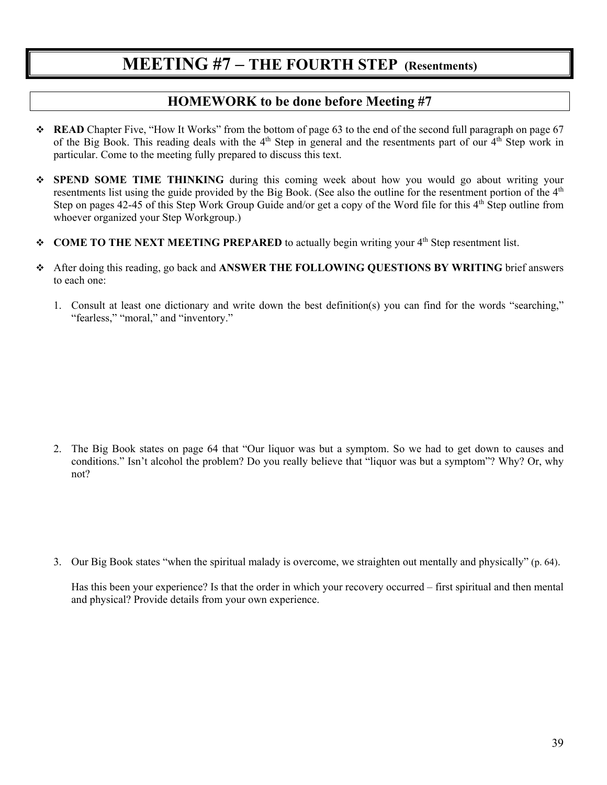## **MEETING #7 – THE FOURTH STEP (Resentments)**

#### **HOMEWORK to be done before Meeting #7**

- **READ** Chapter Five, "How It Works" from the bottom of page 63 to the end of the second full paragraph on page 67 of the Big Book. This reading deals with the  $4<sup>th</sup>$  Step in general and the resentments part of our  $4<sup>th</sup>$  Step work in particular. Come to the meeting fully prepared to discuss this text.
- **SPEND SOME TIME THINKING** during this coming week about how you would go about writing your resentments list using the guide provided by the Big Book. (See also the outline for the resentment portion of the 4<sup>th</sup> Step on pages 42-45 of this Step Work Group Guide and/or get a copy of the Word file for this  $4<sup>th</sup>$  Step outline from whoever organized your Step Workgroup.)
- **COME TO THE NEXT MEETING PREPARED** to actually begin writing your 4<sup>th</sup> Step resentment list.
- After doing this reading, go back and **ANSWER THE FOLLOWING QUESTIONS BY WRITING** brief answers to each one:
	- 1. Consult at least one dictionary and write down the best definition(s) you can find for the words "searching," "fearless," "moral," and "inventory."

- 2. The Big Book states on page 64 that "Our liquor was but a symptom. So we had to get down to causes and conditions." Isn't alcohol the problem? Do you really believe that "liquor was but a symptom"? Why? Or, why not?
- 3. Our Big Book states "when the spiritual malady is overcome, we straighten out mentally and physically" (p. 64).

Has this been your experience? Is that the order in which your recovery occurred – first spiritual and then mental and physical? Provide details from your own experience.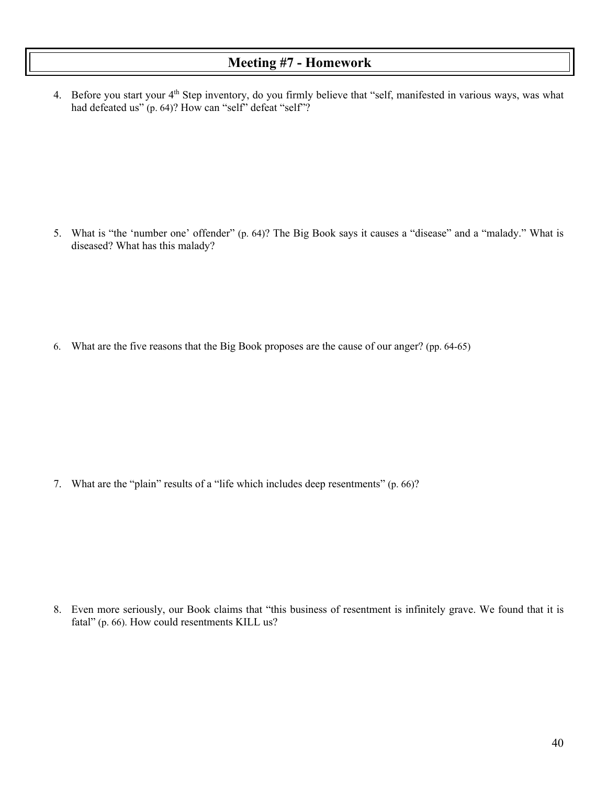4. Before you start your 4<sup>th</sup> Step inventory, do you firmly believe that "self, manifested in various ways, was what had defeated us" (p. 64)? How can "self" defeat "self"?

5. What is "the 'number one' offender" (p. 64)? The Big Book says it causes a "disease" and a "malady." What is diseased? What has this malady?

6. What are the five reasons that the Big Book proposes are the cause of our anger? (pp. 64-65)

7. What are the "plain" results of a "life which includes deep resentments" (p. 66)?

8. Even more seriously, our Book claims that "this business of resentment is infinitely grave. We found that it is fatal" (p. 66). How could resentments KILL us?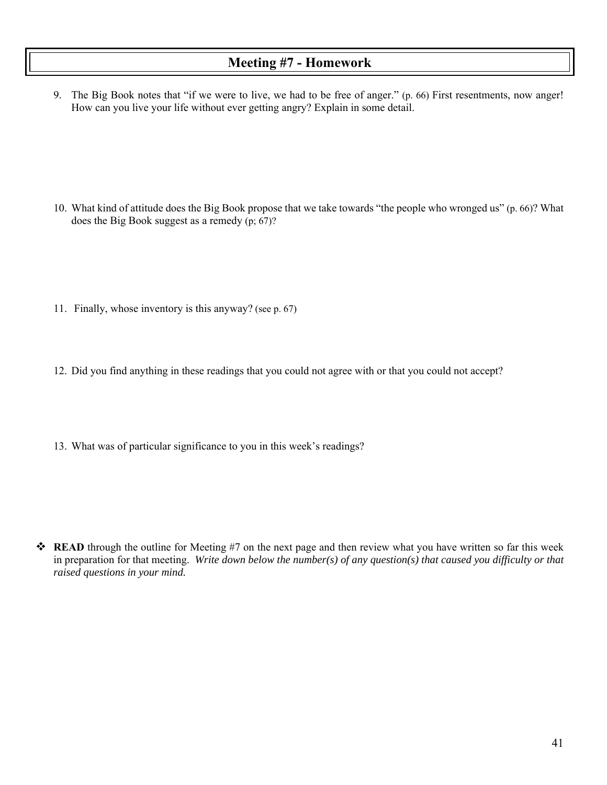### **Meeting #7 - Homework**

9. The Big Book notes that "if we were to live, we had to be free of anger." (p. 66) First resentments, now anger! How can you live your life without ever getting angry? Explain in some detail.

- 10. What kind of attitude does the Big Book propose that we take towards "the people who wronged us" (p. 66)? What does the Big Book suggest as a remedy (p; 67)?
- 11. Finally, whose inventory is this anyway? (see p. 67)
- 12. Did you find anything in these readings that you could not agree with or that you could not accept?
- 13. What was of particular significance to you in this week's readings?

**EXAD** through the outline for Meeting #7 on the next page and then review what you have written so far this week in preparation for that meeting. *Write down below the number(s) of any question(s) that caused you difficulty or that raised questions in your mind.*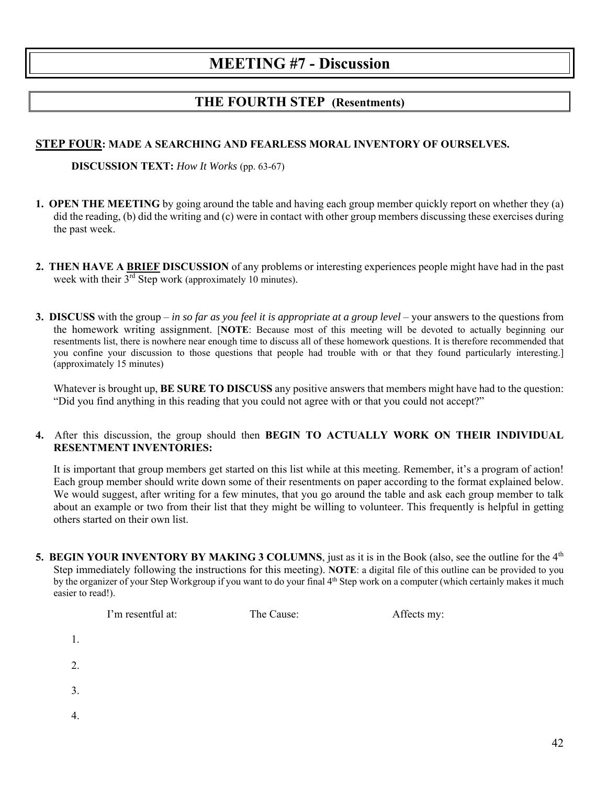## **MEETING #7 - Discussion**

### **THE FOURTH STEP (Resentments)**

#### **STEP FOUR: MADE A SEARCHING AND FEARLESS MORAL INVENTORY OF OURSELVES.**

**DISCUSSION TEXT:** *How It Works* (pp. 63-67)

- **1. OPEN THE MEETING** by going around the table and having each group member quickly report on whether they (a) did the reading, (b) did the writing and (c) were in contact with other group members discussing these exercises during the past week.
- **2. THEN HAVE A BRIEF DISCUSSION** of any problems or interesting experiences people might have had in the past week with their  $3<sup>rd</sup>$  Step work (approximately 10 minutes).
- **3. DISCUSS** with the group *in so far as you feel it is appropriate at a group level* your answers to the questions from the homework writing assignment. [**NOTE**: Because most of this meeting will be devoted to actually beginning our resentments list, there is nowhere near enough time to discuss all of these homework questions. It is therefore recommended that you confine your discussion to those questions that people had trouble with or that they found particularly interesting.] (approximately 15 minutes)

Whatever is brought up, **BE SURE TO DISCUSS** any positive answers that members might have had to the question: "Did you find anything in this reading that you could not agree with or that you could not accept?"

**4.** After this discussion, the group should then **BEGIN TO ACTUALLY WORK ON THEIR INDIVIDUAL RESENTMENT INVENTORIES:** 

It is important that group members get started on this list while at this meeting. Remember, it's a program of action! Each group member should write down some of their resentments on paper according to the format explained below. We would suggest, after writing for a few minutes, that you go around the table and ask each group member to talk about an example or two from their list that they might be willing to volunteer. This frequently is helpful in getting others started on their own list.

**5. BEGIN YOUR INVENTORY BY MAKING 3 COLUMNS**, just as it is in the Book (also, see the outline for the 4<sup>th</sup> Step immediately following the instructions for this meeting). **NOTE**: a digital file of this outline can be provided to you by the organizer of your Step Workgroup if you want to do your final 4<sup>th</sup> Step work on a computer (which certainly makes it much easier to read!).

|    | I'm resentful at: | The Cause: | Affects my: |
|----|-------------------|------------|-------------|
| 1. |                   |            |             |
| 2. |                   |            |             |
| 3. |                   |            |             |

4.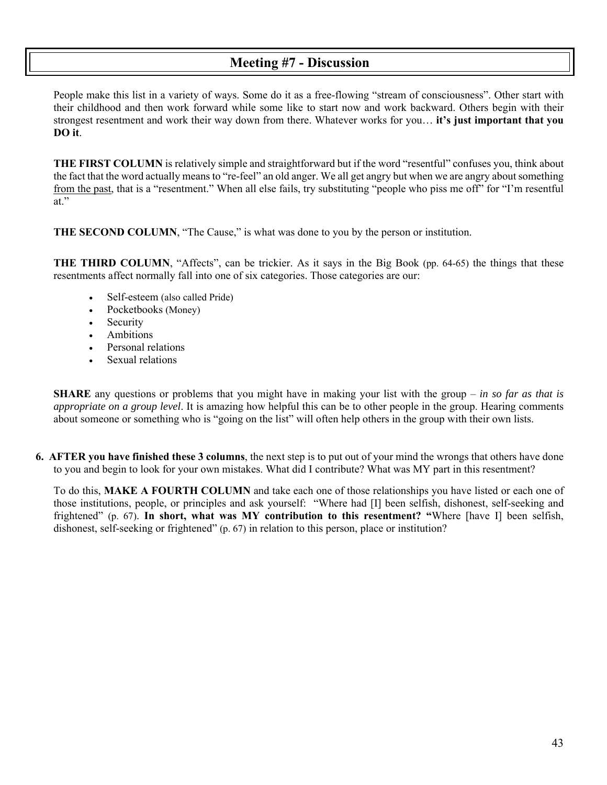### **Meeting #7 - Discussion**

People make this list in a variety of ways. Some do it as a free-flowing "stream of consciousness". Other start with their childhood and then work forward while some like to start now and work backward. Others begin with their strongest resentment and work their way down from there. Whatever works for you… **it's just important that you DO it**.

**THE FIRST COLUMN** is relatively simple and straightforward but if the word "resentful" confuses you, think about the fact that the word actually means to "re-feel" an old anger. We all get angry but when we are angry about something from the past, that is a "resentment." When all else fails, try substituting "people who piss me off" for "I'm resentful at."

THE SECOND COLUMN, "The Cause," is what was done to you by the person or institution.

**THE THIRD COLUMN,** "Affects", can be trickier. As it says in the Big Book (pp. 64-65) the things that these resentments affect normally fall into one of six categories. Those categories are our:

- Self-esteem (also called Pride)
- Pocketbooks (Money)
- Security
- Ambitions
- Personal relations
- Sexual relations

**SHARE** any questions or problems that you might have in making your list with the group – *in so far as that is appropriate on a group level*. It is amazing how helpful this can be to other people in the group. Hearing comments about someone or something who is "going on the list" will often help others in the group with their own lists.

**6. AFTER you have finished these 3 columns**, the next step is to put out of your mind the wrongs that others have done to you and begin to look for your own mistakes. What did I contribute? What was MY part in this resentment?

To do this, **MAKE A FOURTH COLUMN** and take each one of those relationships you have listed or each one of those institutions, people, or principles and ask yourself: "Where had [I] been selfish, dishonest, self-seeking and frightened" (p. 67). **In short, what was MY contribution to this resentment? "**Where [have I] been selfish, dishonest, self-seeking or frightened" (p. 67) in relation to this person, place or institution?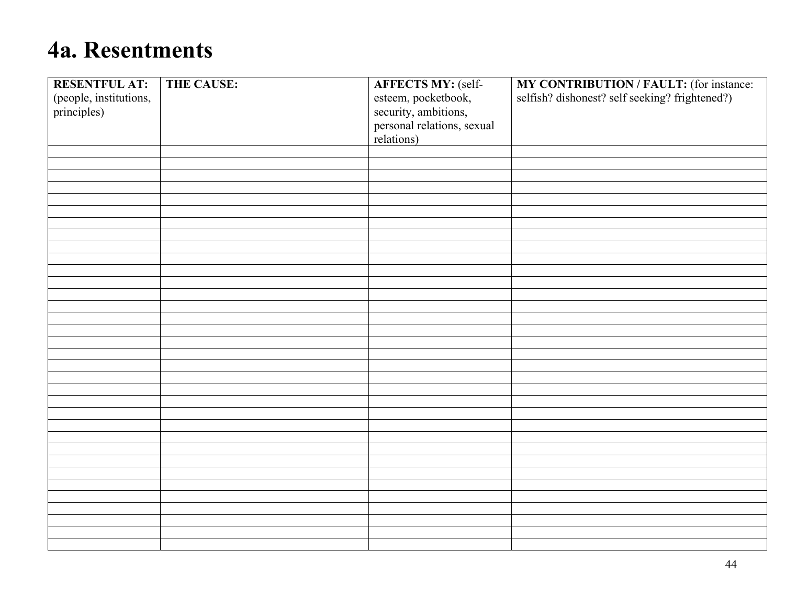# **4a. Resentments**

| <b>RESENTFUL AT:</b><br>(people, institutions,<br>principles) | <b>THE CAUSE:</b> | AFFECTS MY: (self-<br>esteem, pocketbook,<br>security, ambitions,<br>personal relations, sexual<br>relations) | MY CONTRIBUTION / FAULT: (for instance:<br>selfish? dishonest? self seeking? frightened?) |
|---------------------------------------------------------------|-------------------|---------------------------------------------------------------------------------------------------------------|-------------------------------------------------------------------------------------------|
|                                                               |                   |                                                                                                               |                                                                                           |
|                                                               |                   |                                                                                                               |                                                                                           |
|                                                               |                   |                                                                                                               |                                                                                           |
|                                                               |                   |                                                                                                               |                                                                                           |
|                                                               |                   |                                                                                                               |                                                                                           |
|                                                               |                   |                                                                                                               |                                                                                           |
|                                                               |                   |                                                                                                               |                                                                                           |
|                                                               |                   |                                                                                                               |                                                                                           |
|                                                               |                   |                                                                                                               |                                                                                           |
|                                                               |                   |                                                                                                               |                                                                                           |
|                                                               |                   |                                                                                                               |                                                                                           |
|                                                               |                   |                                                                                                               |                                                                                           |
|                                                               |                   |                                                                                                               |                                                                                           |
|                                                               |                   |                                                                                                               |                                                                                           |
|                                                               |                   |                                                                                                               |                                                                                           |
|                                                               |                   |                                                                                                               |                                                                                           |
|                                                               |                   |                                                                                                               |                                                                                           |
|                                                               |                   |                                                                                                               |                                                                                           |
|                                                               |                   |                                                                                                               |                                                                                           |
|                                                               |                   |                                                                                                               |                                                                                           |
|                                                               |                   |                                                                                                               |                                                                                           |
|                                                               |                   |                                                                                                               |                                                                                           |
|                                                               |                   |                                                                                                               |                                                                                           |
|                                                               |                   |                                                                                                               |                                                                                           |
|                                                               |                   |                                                                                                               |                                                                                           |
|                                                               |                   |                                                                                                               |                                                                                           |
|                                                               |                   |                                                                                                               |                                                                                           |
|                                                               |                   |                                                                                                               |                                                                                           |
|                                                               |                   |                                                                                                               |                                                                                           |
|                                                               |                   |                                                                                                               |                                                                                           |
|                                                               |                   |                                                                                                               |                                                                                           |
|                                                               |                   |                                                                                                               |                                                                                           |
|                                                               |                   |                                                                                                               |                                                                                           |
|                                                               |                   |                                                                                                               |                                                                                           |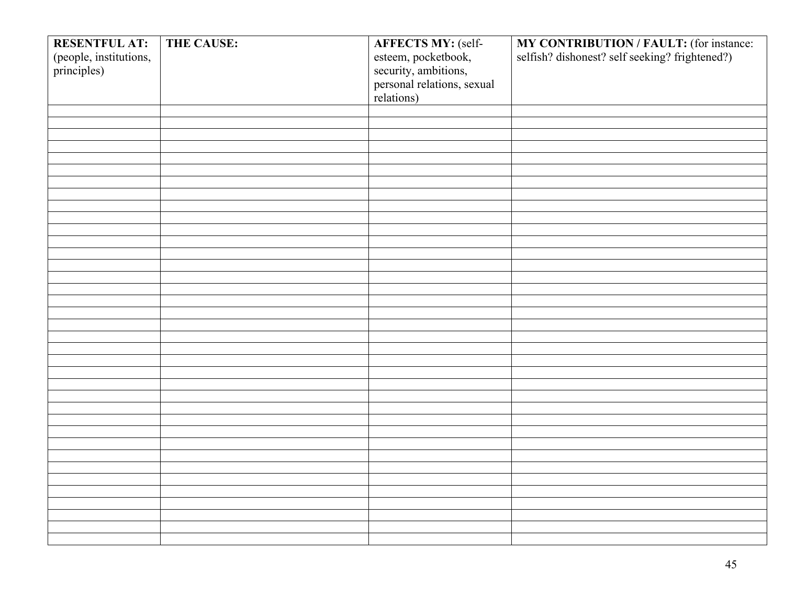| <b>RESENTFUL AT:</b>   | <b>THE CAUSE:</b> | AFFECTS MY: (self-         | MY CONTRIBUTION / FAULT: (for instance:<br>selfish? dishonest? self seeking? frightened?) |
|------------------------|-------------------|----------------------------|-------------------------------------------------------------------------------------------|
| (people, institutions, |                   | esteem, pocketbook,        |                                                                                           |
| principles)            |                   | security, ambitions,       |                                                                                           |
|                        |                   |                            |                                                                                           |
|                        |                   | personal relations, sexual |                                                                                           |
|                        |                   | relations)                 |                                                                                           |
|                        |                   |                            |                                                                                           |
|                        |                   |                            |                                                                                           |
|                        |                   |                            |                                                                                           |
|                        |                   |                            |                                                                                           |
|                        |                   |                            |                                                                                           |
|                        |                   |                            |                                                                                           |
|                        |                   |                            |                                                                                           |
|                        |                   |                            |                                                                                           |
|                        |                   |                            |                                                                                           |
|                        |                   |                            |                                                                                           |
|                        |                   |                            |                                                                                           |
|                        |                   |                            |                                                                                           |
|                        |                   |                            |                                                                                           |
|                        |                   |                            |                                                                                           |
|                        |                   |                            |                                                                                           |
|                        |                   |                            |                                                                                           |
|                        |                   |                            |                                                                                           |
|                        |                   |                            |                                                                                           |
|                        |                   |                            |                                                                                           |
|                        |                   |                            |                                                                                           |
|                        |                   |                            |                                                                                           |
|                        |                   |                            |                                                                                           |
|                        |                   |                            |                                                                                           |
|                        |                   |                            |                                                                                           |
|                        |                   |                            |                                                                                           |
|                        |                   |                            |                                                                                           |
|                        |                   |                            |                                                                                           |
|                        |                   |                            |                                                                                           |
|                        |                   |                            |                                                                                           |
|                        |                   |                            |                                                                                           |
|                        |                   |                            |                                                                                           |
|                        |                   |                            |                                                                                           |
|                        |                   |                            |                                                                                           |
|                        |                   |                            |                                                                                           |
|                        |                   |                            |                                                                                           |
|                        |                   |                            |                                                                                           |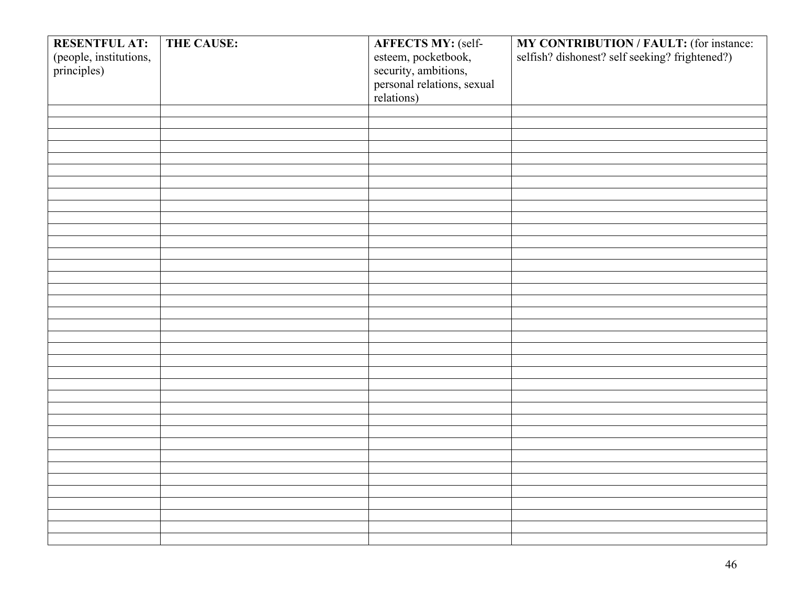| <b>RESENTFUL AT:</b>   | <b>THE CAUSE:</b> | AFFECTS MY: (self-         | MY CONTRIBUTION / FAULT: (for instance:<br>selfish? dishonest? self seeking? frightened?) |
|------------------------|-------------------|----------------------------|-------------------------------------------------------------------------------------------|
| (people, institutions, |                   | esteem, pocketbook,        |                                                                                           |
| principles)            |                   | security, ambitions,       |                                                                                           |
|                        |                   |                            |                                                                                           |
|                        |                   | personal relations, sexual |                                                                                           |
|                        |                   | relations)                 |                                                                                           |
|                        |                   |                            |                                                                                           |
|                        |                   |                            |                                                                                           |
|                        |                   |                            |                                                                                           |
|                        |                   |                            |                                                                                           |
|                        |                   |                            |                                                                                           |
|                        |                   |                            |                                                                                           |
|                        |                   |                            |                                                                                           |
|                        |                   |                            |                                                                                           |
|                        |                   |                            |                                                                                           |
|                        |                   |                            |                                                                                           |
|                        |                   |                            |                                                                                           |
|                        |                   |                            |                                                                                           |
|                        |                   |                            |                                                                                           |
|                        |                   |                            |                                                                                           |
|                        |                   |                            |                                                                                           |
|                        |                   |                            |                                                                                           |
|                        |                   |                            |                                                                                           |
|                        |                   |                            |                                                                                           |
|                        |                   |                            |                                                                                           |
|                        |                   |                            |                                                                                           |
|                        |                   |                            |                                                                                           |
|                        |                   |                            |                                                                                           |
|                        |                   |                            |                                                                                           |
|                        |                   |                            |                                                                                           |
|                        |                   |                            |                                                                                           |
|                        |                   |                            |                                                                                           |
|                        |                   |                            |                                                                                           |
|                        |                   |                            |                                                                                           |
|                        |                   |                            |                                                                                           |
|                        |                   |                            |                                                                                           |
|                        |                   |                            |                                                                                           |
|                        |                   |                            |                                                                                           |
|                        |                   |                            |                                                                                           |
|                        |                   |                            |                                                                                           |
|                        |                   |                            |                                                                                           |
|                        |                   |                            |                                                                                           |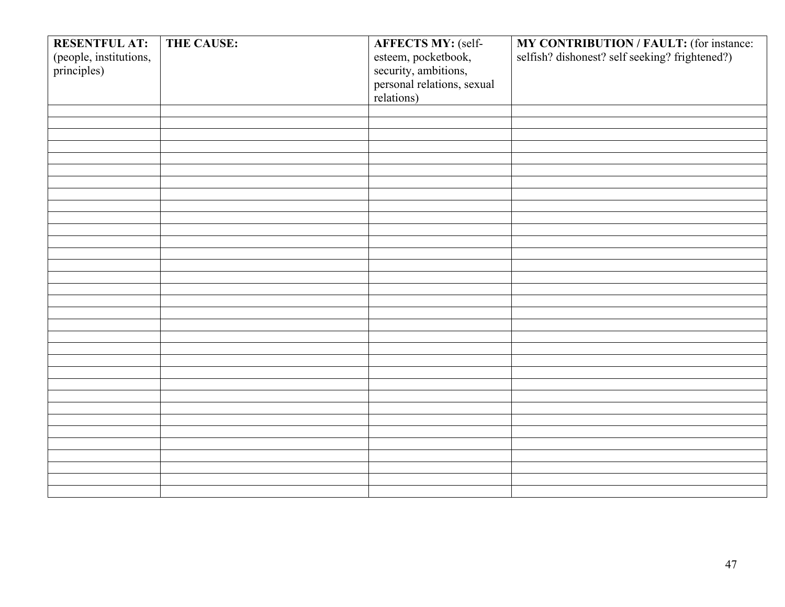| <b>RESENTFUL AT:</b>   | <b>THE CAUSE:</b> | AFFECTS MY: (self-         | MY CONTRIBUTION / FAULT: (for instance:        |
|------------------------|-------------------|----------------------------|------------------------------------------------|
| (people, institutions, |                   | esteem, pocketbook,        | selfish? dishonest? self seeking? frightened?) |
| principles)            |                   | security, ambitions,       |                                                |
|                        |                   | personal relations, sexual |                                                |
|                        |                   | relations)                 |                                                |
|                        |                   |                            |                                                |
|                        |                   |                            |                                                |
|                        |                   |                            |                                                |
|                        |                   |                            |                                                |
|                        |                   |                            |                                                |
|                        |                   |                            |                                                |
|                        |                   |                            |                                                |
|                        |                   |                            |                                                |
|                        |                   |                            |                                                |
|                        |                   |                            |                                                |
|                        |                   |                            |                                                |
|                        |                   |                            |                                                |
|                        |                   |                            |                                                |
|                        |                   |                            |                                                |
|                        |                   |                            |                                                |
|                        |                   |                            |                                                |
|                        |                   |                            |                                                |
|                        |                   |                            |                                                |
|                        |                   |                            |                                                |
|                        |                   |                            |                                                |
|                        |                   |                            |                                                |
|                        |                   |                            |                                                |
|                        |                   |                            |                                                |
|                        |                   |                            |                                                |
|                        |                   |                            |                                                |
|                        |                   |                            |                                                |
|                        |                   |                            |                                                |
|                        |                   |                            |                                                |
|                        |                   |                            |                                                |
|                        |                   |                            |                                                |
|                        |                   |                            |                                                |
|                        |                   |                            |                                                |
|                        |                   |                            |                                                |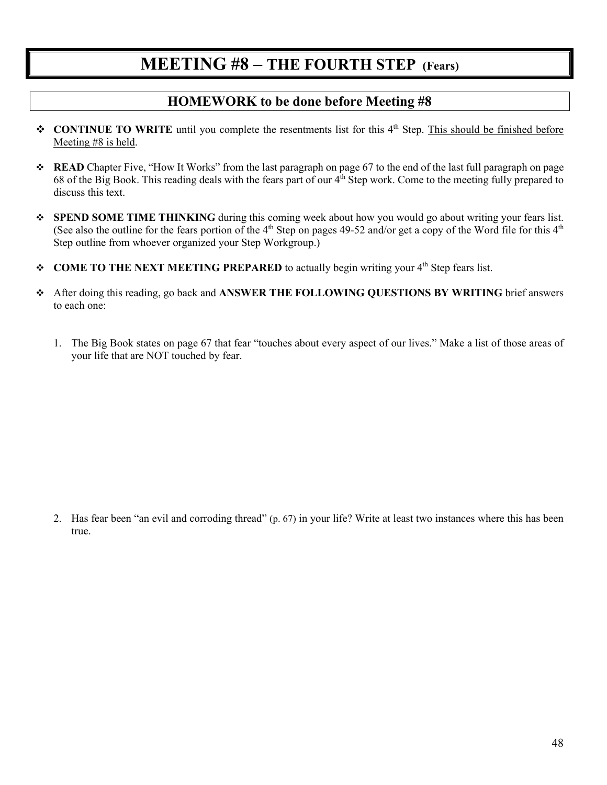## **MEETING #8 – THE FOURTH STEP (Fears)**

#### **HOMEWORK to be done before Meeting #8**

- **CONTINUE TO WRITE** until you complete the resentments list for this 4<sup>th</sup> Step. This should be finished before Meeting #8 is held.
- **READ** Chapter Five, "How It Works" from the last paragraph on page 67 to the end of the last full paragraph on page 68 of the Big Book. This reading deals with the fears part of our  $4<sup>th</sup>$  Step work. Come to the meeting fully prepared to discuss this text.
- **SPEND SOME TIME THINKING** during this coming week about how you would go about writing your fears list. (See also the outline for the fears portion of the 4<sup>th</sup> Step on pages 49-52 and/or get a copy of the Word file for this  $4<sup>th</sup>$ Step outline from whoever organized your Step Workgroup.)
- **COME TO THE NEXT MEETING PREPARED** to actually begin writing your 4<sup>th</sup> Step fears list.
- After doing this reading, go back and **ANSWER THE FOLLOWING QUESTIONS BY WRITING** brief answers to each one:
	- 1. The Big Book states on page 67 that fear "touches about every aspect of our lives." Make a list of those areas of your life that are NOT touched by fear.

2. Has fear been "an evil and corroding thread" (p. 67) in your life? Write at least two instances where this has been true.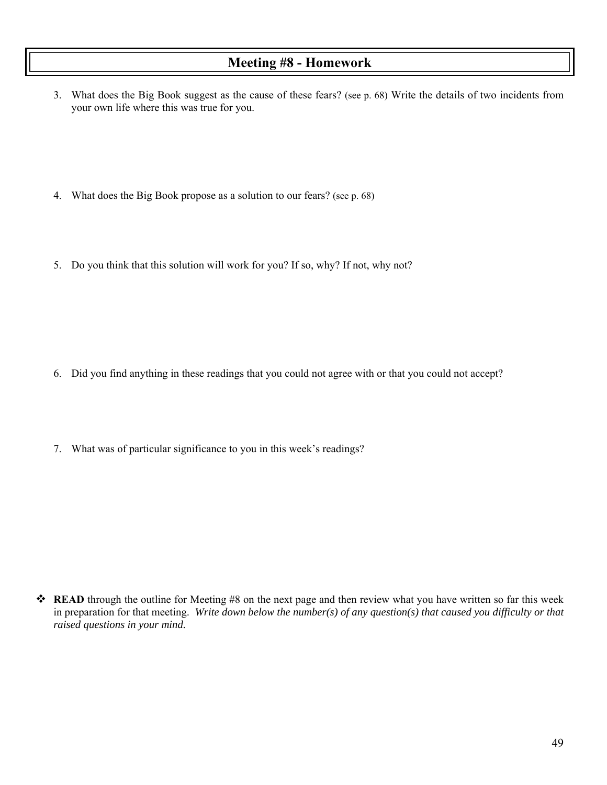- 3. What does the Big Book suggest as the cause of these fears? (see p. 68) Write the details of two incidents from your own life where this was true for you.
- 4. What does the Big Book propose as a solution to our fears? (see p. 68)
- 5. Do you think that this solution will work for you? If so, why? If not, why not?

- 6. Did you find anything in these readings that you could not agree with or that you could not accept?
- 7. What was of particular significance to you in this week's readings?

 **READ** through the outline for Meeting #8 on the next page and then review what you have written so far this week in preparation for that meeting. *Write down below the number(s) of any question(s) that caused you difficulty or that raised questions in your mind.*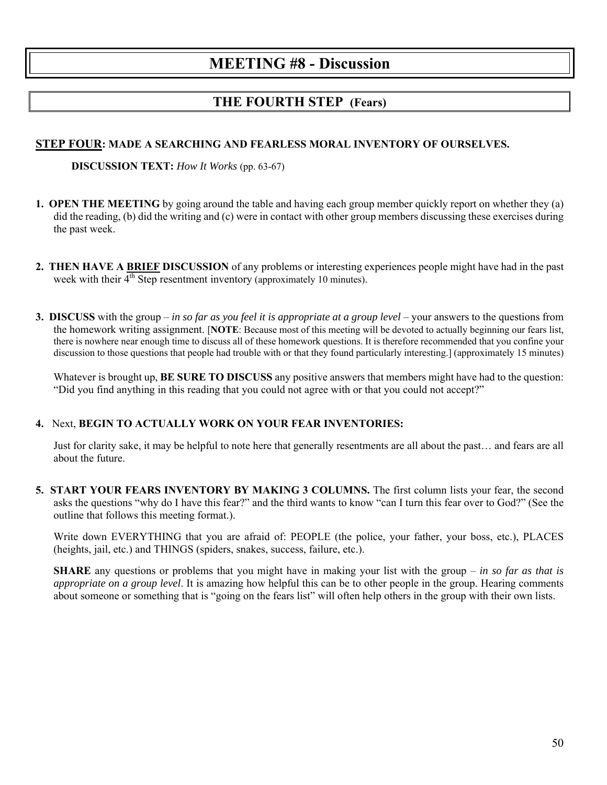## **MEETING #8 - Discussion**

## **THE FOURTH STEP (Fears)**

#### **STEP FOUR: MADE A SEARCHING AND FEARLESS MORAL INVENTORY OF OURSELVES.**

**DISCUSSION TEXT:** *How It Works* (pp. 63-67)

- **1. OPEN THE MEETING** by going around the table and having each group member quickly report on whether they (a) did the reading, (b) did the writing and (c) were in contact with other group members discussing these exercises during the past week.
- **2. THEN HAVE A BRIEF DISCUSSION** of any problems or interesting experiences people might have had in the past week with their  $4<sup>th</sup>$  Step resentment inventory (approximately 10 minutes).
- **3. DISCUSS** with the group *in so far as you feel it is appropriate at a group level* your answers to the questions from the homework writing assignment. [**NOTE**: Because most of this meeting will be devoted to actually beginning our fears list, there is nowhere near enough time to discuss all of these homework questions. It is therefore recommended that you confine your discussion to those questions that people had trouble with or that they found particularly interesting.] (approximately 15 minutes)

Whatever is brought up, **BE SURE TO DISCUSS** any positive answers that members might have had to the question: "Did you find anything in this reading that you could not agree with or that you could not accept?"

#### **4.** Next, **BEGIN TO ACTUALLY WORK ON YOUR FEAR INVENTORIES:**

Just for clarity sake, it may be helpful to note here that generally resentments are all about the past… and fears are all about the future.

**5. START YOUR FEARS INVENTORY BY MAKING 3 COLUMNS.** The first column lists your fear, the second asks the questions "why do I have this fear?" and the third wants to know "can I turn this fear over to God?" (See the outline that follows this meeting format.).

Write down EVERYTHING that you are afraid of: PEOPLE (the police, your father, your boss, etc.), PLACES (heights, jail, etc.) and THINGS (spiders, snakes, success, failure, etc.).

**SHARE** any questions or problems that you might have in making your list with the group – *in so far as that is appropriate on a group level*. It is amazing how helpful this can be to other people in the group. Hearing comments about someone or something that is "going on the fears list" will often help others in the group with their own lists.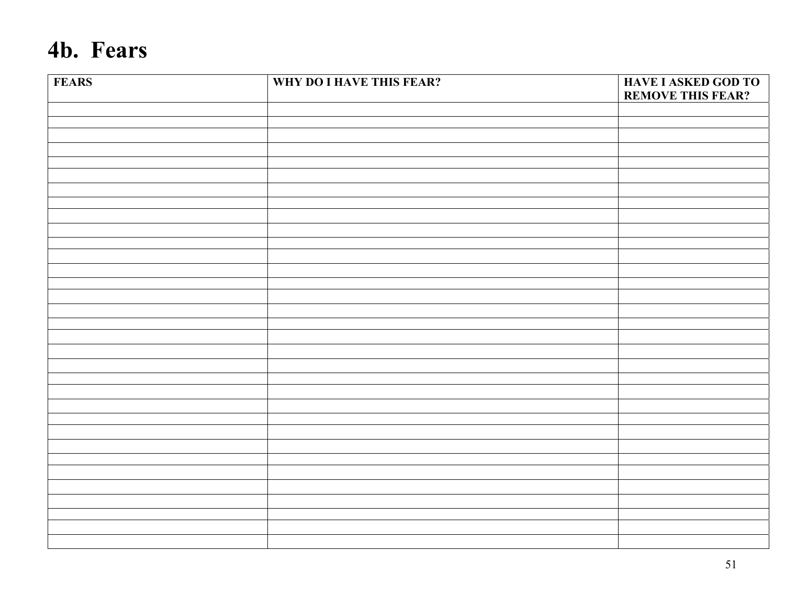# **4b. Fears**

| <b>FEARS</b> | <b>WHY DO I HAVE THIS FEAR?</b> | <b>HAVE I ASKED GOD TO</b><br><b>REMOVE THIS FEAR?</b> |
|--------------|---------------------------------|--------------------------------------------------------|
|              |                                 |                                                        |
|              |                                 |                                                        |
|              |                                 |                                                        |
|              |                                 |                                                        |
|              |                                 |                                                        |
|              |                                 |                                                        |
|              |                                 |                                                        |
|              |                                 |                                                        |
|              |                                 |                                                        |
|              |                                 |                                                        |
|              |                                 |                                                        |
|              |                                 |                                                        |
|              |                                 |                                                        |
|              |                                 |                                                        |
|              |                                 |                                                        |
|              |                                 |                                                        |
|              |                                 |                                                        |
|              |                                 |                                                        |
|              |                                 |                                                        |
|              |                                 |                                                        |
|              |                                 |                                                        |
|              |                                 |                                                        |
|              |                                 |                                                        |
|              |                                 |                                                        |
|              |                                 |                                                        |
|              |                                 |                                                        |
|              |                                 |                                                        |
|              |                                 |                                                        |
|              |                                 |                                                        |
|              |                                 |                                                        |
|              |                                 |                                                        |
|              |                                 |                                                        |
|              |                                 |                                                        |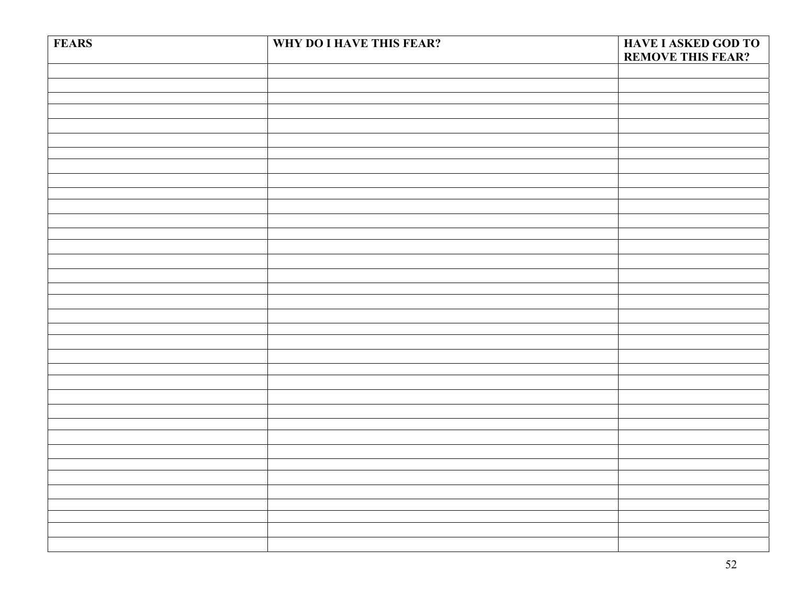| <b>FEARS</b> | WHY DO I HAVE THIS FEAR? | <b>HAVE I ASKED GOD TO</b><br><b>REMOVE THIS FEAR?</b> |
|--------------|--------------------------|--------------------------------------------------------|
|              |                          |                                                        |
|              |                          |                                                        |
|              |                          |                                                        |
|              |                          |                                                        |
|              |                          |                                                        |
|              |                          |                                                        |
|              |                          |                                                        |
|              |                          |                                                        |
|              |                          |                                                        |
|              |                          |                                                        |
|              |                          |                                                        |
|              |                          |                                                        |
|              |                          |                                                        |
|              |                          |                                                        |
|              |                          |                                                        |
|              |                          |                                                        |
|              |                          |                                                        |
|              |                          |                                                        |
|              |                          |                                                        |
|              |                          |                                                        |
|              |                          |                                                        |
|              |                          |                                                        |
|              |                          |                                                        |
|              |                          |                                                        |
|              |                          |                                                        |
|              |                          |                                                        |
|              |                          |                                                        |
|              |                          |                                                        |
|              |                          |                                                        |
|              |                          |                                                        |
|              |                          |                                                        |
|              |                          |                                                        |
|              |                          |                                                        |
|              |                          |                                                        |
|              |                          |                                                        |
|              |                          |                                                        |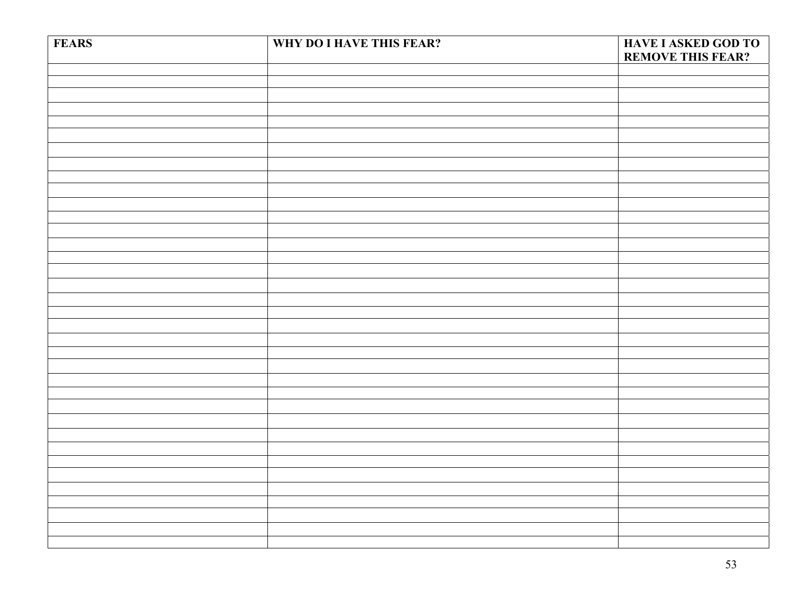| <b>FEARS</b> | WHY DO I HAVE THIS FEAR? | <b>HAVE I ASKED GOD TO</b><br><b>REMOVE THIS FEAR?</b> |
|--------------|--------------------------|--------------------------------------------------------|
|              |                          |                                                        |
|              |                          |                                                        |
|              |                          |                                                        |
|              |                          |                                                        |
|              |                          |                                                        |
|              |                          |                                                        |
|              |                          |                                                        |
|              |                          |                                                        |
|              |                          |                                                        |
|              |                          |                                                        |
|              |                          |                                                        |
|              |                          |                                                        |
|              |                          |                                                        |
|              |                          |                                                        |
|              |                          |                                                        |
|              |                          |                                                        |
|              |                          |                                                        |
|              |                          |                                                        |
|              |                          |                                                        |
|              |                          |                                                        |
|              |                          |                                                        |
|              |                          |                                                        |
|              |                          |                                                        |
|              |                          |                                                        |
|              |                          |                                                        |
|              |                          |                                                        |
|              |                          |                                                        |
|              |                          |                                                        |
|              |                          |                                                        |
|              |                          |                                                        |
|              |                          |                                                        |
|              |                          |                                                        |
|              |                          |                                                        |
|              |                          |                                                        |
|              |                          |                                                        |
|              |                          |                                                        |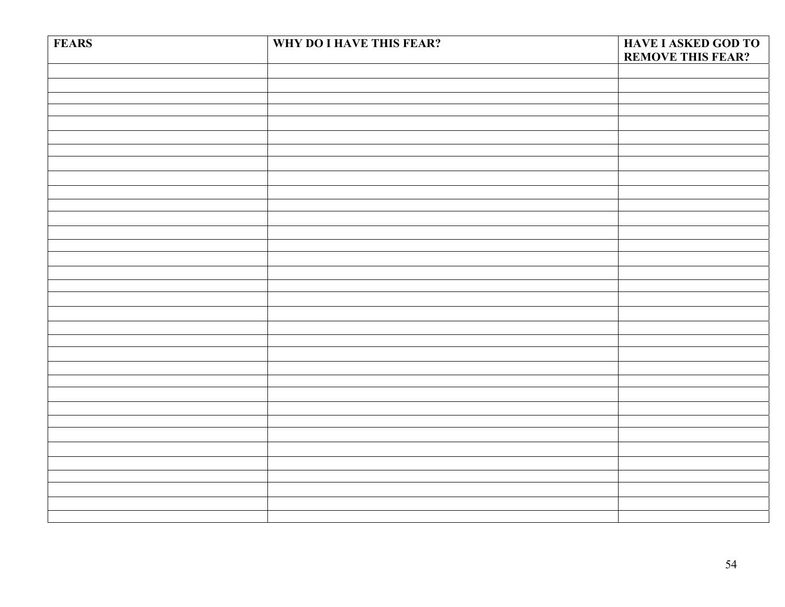| <b>FEARS</b> | WHY DO I HAVE THIS FEAR? | <b>HAVE I ASKED GOD TO</b> |
|--------------|--------------------------|----------------------------|
|              |                          | <b>REMOVE THIS FEAR?</b>   |
|              |                          |                            |
|              |                          |                            |
|              |                          |                            |
|              |                          |                            |
|              |                          |                            |
|              |                          |                            |
|              |                          |                            |
|              |                          |                            |
|              |                          |                            |
|              |                          |                            |
|              |                          |                            |
|              |                          |                            |
|              |                          |                            |
|              |                          |                            |
|              |                          |                            |
|              |                          |                            |
|              |                          |                            |
|              |                          |                            |
|              |                          |                            |
|              |                          |                            |
|              |                          |                            |
|              |                          |                            |
|              |                          |                            |
|              |                          |                            |
|              |                          |                            |
|              |                          |                            |
|              |                          |                            |
|              |                          |                            |
|              |                          |                            |
|              |                          |                            |
|              |                          |                            |
|              |                          |                            |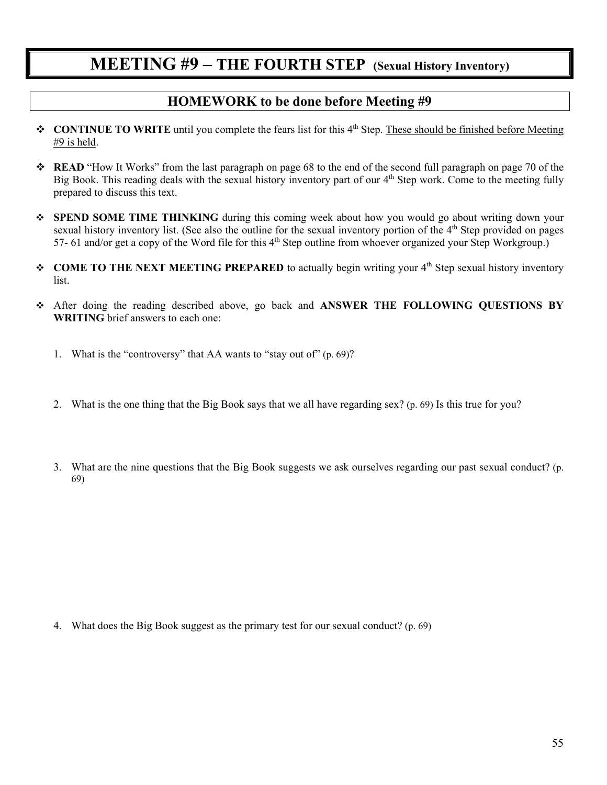# **MEETING #9 – THE FOURTH STEP (Sexual History Inventory)**

#### **HOMEWORK to be done before Meeting #9**

- **CONTINUE TO WRITE** until you complete the fears list for this 4<sup>th</sup> Step. These should be finished before Meeting #9 is held.
- **READ** "How It Works" from the last paragraph on page 68 to the end of the second full paragraph on page 70 of the Big Book. This reading deals with the sexual history inventory part of our 4<sup>th</sup> Step work. Come to the meeting fully prepared to discuss this text.
- **SPEND SOME TIME THINKING** during this coming week about how you would go about writing down your sexual history inventory list. (See also the outline for the sexual inventory portion of the 4<sup>th</sup> Step provided on pages 57- 61 and/or get a copy of the Word file for this  $4<sup>th</sup>$  Step outline from whoever organized your Step Workgroup.)
- **COME TO THE NEXT MEETING PREPARED** to actually begin writing your  $4<sup>th</sup>$  Step sexual history inventory list.
- After doing the reading described above, go back and **ANSWER THE FOLLOWING QUESTIONS BY WRITING** brief answers to each one:
	- 1. What is the "controversy" that AA wants to "stay out of" (p. 69)?
	- 2. What is the one thing that the Big Book says that we all have regarding sex? (p. 69) Is this true for you?
	- 3. What are the nine questions that the Big Book suggests we ask ourselves regarding our past sexual conduct? (p. 69)

4. What does the Big Book suggest as the primary test for our sexual conduct? (p. 69)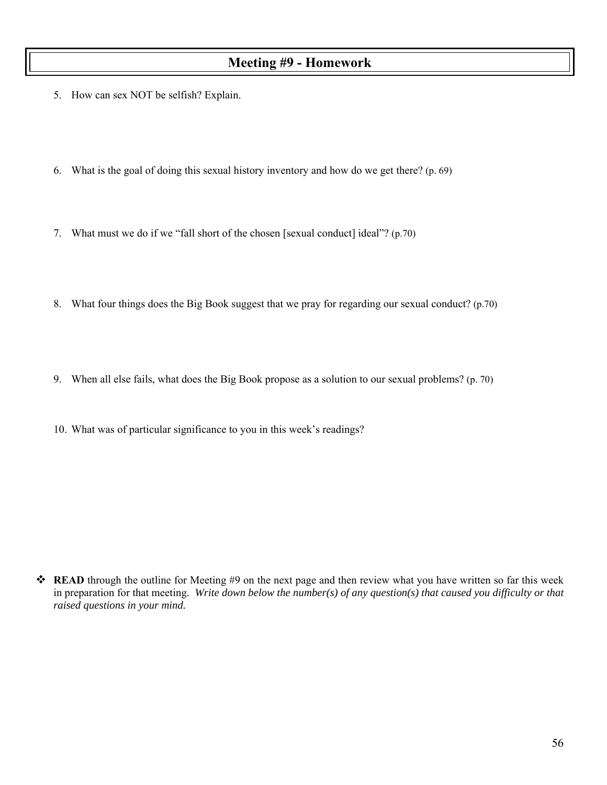- 5. How can sex NOT be selfish? Explain.
- 6. What is the goal of doing this sexual history inventory and how do we get there? (p. 69)
- 7. What must we do if we "fall short of the chosen [sexual conduct] ideal"? (p.70)
- 8. What four things does the Big Book suggest that we pray for regarding our sexual conduct? (p.70)
- 9. When all else fails, what does the Big Book propose as a solution to our sexual problems? (p. 70)
- 10. What was of particular significance to you in this week's readings?

**READ** through the outline for Meeting #9 on the next page and then review what you have written so far this week in preparation for that meeting. *Write down below the number(s) of any question(s) that caused you difficulty or that raised questions in your mind.*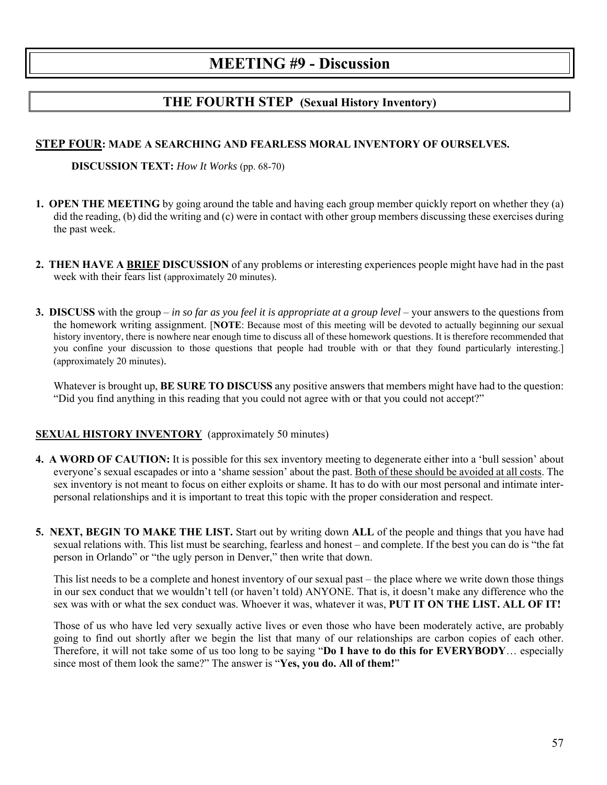## **MEETING #9 - Discussion**

### **THE FOURTH STEP (Sexual History Inventory)**

#### **STEP FOUR: MADE A SEARCHING AND FEARLESS MORAL INVENTORY OF OURSELVES.**

**DISCUSSION TEXT:** *How It Works* (pp. 68-70)

- **1. OPEN THE MEETING** by going around the table and having each group member quickly report on whether they (a) did the reading, (b) did the writing and (c) were in contact with other group members discussing these exercises during the past week.
- **2. THEN HAVE A BRIEF DISCUSSION** of any problems or interesting experiences people might have had in the past week with their fears list (approximately 20 minutes).
- **3. DISCUSS** with the group *in so far as you feel it is appropriate at a group level* your answers to the questions from the homework writing assignment. [**NOTE**: Because most of this meeting will be devoted to actually beginning our sexual history inventory, there is nowhere near enough time to discuss all of these homework questions. It is therefore recommended that you confine your discussion to those questions that people had trouble with or that they found particularly interesting.] (approximately 20 minutes).

Whatever is brought up, **BE SURE TO DISCUSS** any positive answers that members might have had to the question: "Did you find anything in this reading that you could not agree with or that you could not accept?"

#### **SEXUAL HISTORY INVENTORY** (approximately 50 minutes)

- **4. A WORD OF CAUTION:** It is possible for this sex inventory meeting to degenerate either into a 'bull session' about everyone's sexual escapades or into a 'shame session' about the past. Both of these should be avoided at all costs. The sex inventory is not meant to focus on either exploits or shame. It has to do with our most personal and intimate interpersonal relationships and it is important to treat this topic with the proper consideration and respect.
- **5. NEXT, BEGIN TO MAKE THE LIST.** Start out by writing down **ALL** of the people and things that you have had sexual relations with. This list must be searching, fearless and honest – and complete. If the best you can do is "the fat person in Orlando" or "the ugly person in Denver," then write that down.

This list needs to be a complete and honest inventory of our sexual past – the place where we write down those things in our sex conduct that we wouldn't tell (or haven't told) ANYONE. That is, it doesn't make any difference who the sex was with or what the sex conduct was. Whoever it was, whatever it was, **PUT IT ON THE LIST. ALL OF IT!**

Those of us who have led very sexually active lives or even those who have been moderately active, are probably going to find out shortly after we begin the list that many of our relationships are carbon copies of each other. Therefore, it will not take some of us too long to be saying "**Do I have to do this for EVERYBODY**… especially since most of them look the same?" The answer is "**Yes, you do. All of them!**"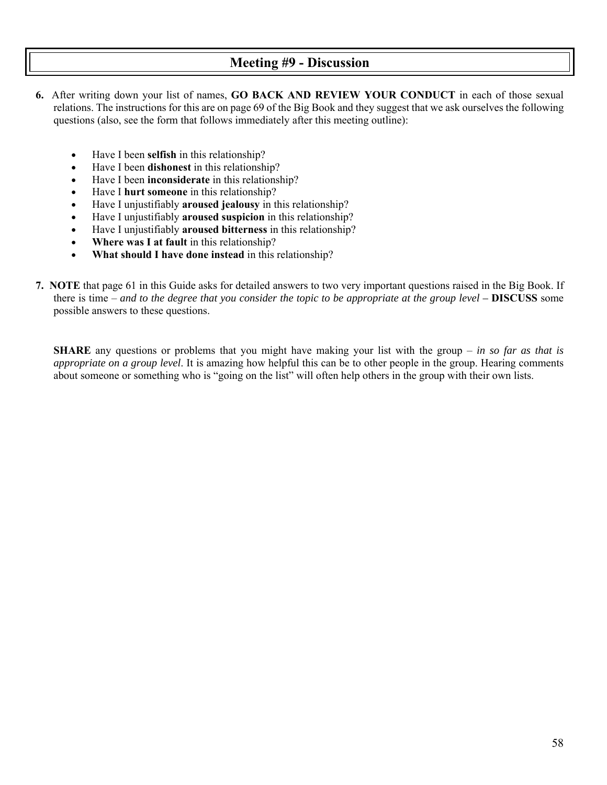#### **Meeting #9 - Discussion**

- **6.** After writing down your list of names, **GO BACK AND REVIEW YOUR CONDUCT** in each of those sexual relations. The instructions for this are on page 69 of the Big Book and they suggest that we ask ourselves the following questions (also, see the form that follows immediately after this meeting outline):
	- Have I been **selfish** in this relationship?
	- Have I been **dishonest** in this relationship?
	- Have I been **inconsiderate** in this relationship?
	- Have I **hurt someone** in this relationship?
	- Have I unjustifiably **aroused jealousy** in this relationship?
	- Have I unjustifiably **aroused suspicion** in this relationship?
	- Have I unjustifiably **aroused bitterness** in this relationship?
	- **Where was I at fault** in this relationship?
	- **What should I have done instead** in this relationship?
- **7. NOTE** that page 61 in this Guide asks for detailed answers to two very important questions raised in the Big Book. If there is time – *and to the degree that you consider the topic to be appropriate at the group level –* **DISCUSS** some possible answers to these questions.

**SHARE** any questions or problems that you might have making your list with the group – *in so far as that is appropriate on a group level*. It is amazing how helpful this can be to other people in the group. Hearing comments about someone or something who is "going on the list" will often help others in the group with their own lists.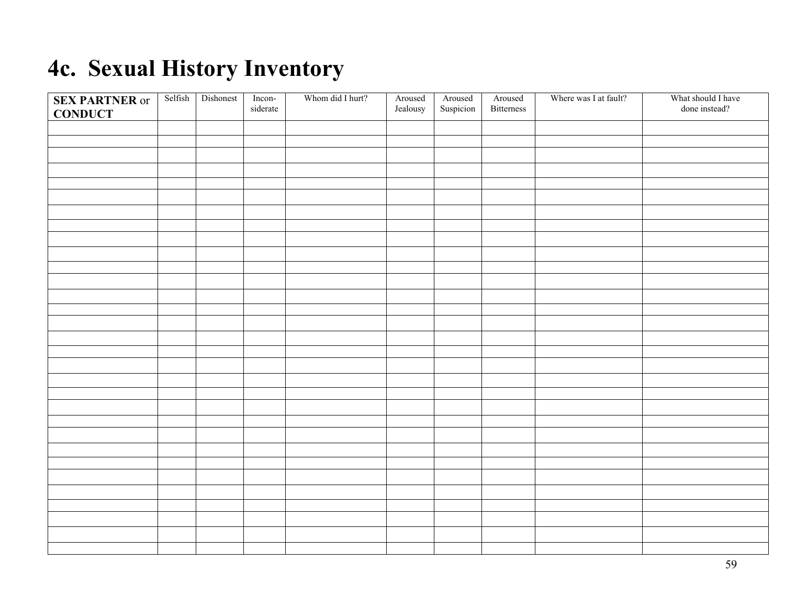# **4c. Sexual History Inventory**

| <b>SEX PARTNER or</b><br><b>CONDUCT</b> | Selfish | Dishonest | Incon-<br>siderate | Whom did I hurt? | Aroused<br>Jealousy | Aroused<br>Suspicion | Aroused<br>Bitterness | Where was I at fault? | What should I have<br>done instead? |
|-----------------------------------------|---------|-----------|--------------------|------------------|---------------------|----------------------|-----------------------|-----------------------|-------------------------------------|
|                                         |         |           |                    |                  |                     |                      |                       |                       |                                     |
|                                         |         |           |                    |                  |                     |                      |                       |                       |                                     |
|                                         |         |           |                    |                  |                     |                      |                       |                       |                                     |
|                                         |         |           |                    |                  |                     |                      |                       |                       |                                     |
|                                         |         |           |                    |                  |                     |                      |                       |                       |                                     |
|                                         |         |           |                    |                  |                     |                      |                       |                       |                                     |
|                                         |         |           |                    |                  |                     |                      |                       |                       |                                     |
|                                         |         |           |                    |                  |                     |                      |                       |                       |                                     |
|                                         |         |           |                    |                  |                     |                      |                       |                       |                                     |
|                                         |         |           |                    |                  |                     |                      |                       |                       |                                     |
|                                         |         |           |                    |                  |                     |                      |                       |                       |                                     |
|                                         |         |           |                    |                  |                     |                      |                       |                       |                                     |
|                                         |         |           |                    |                  |                     |                      |                       |                       |                                     |
|                                         |         |           |                    |                  |                     |                      |                       |                       |                                     |
|                                         |         |           |                    |                  |                     |                      |                       |                       |                                     |
|                                         |         |           |                    |                  |                     |                      |                       |                       |                                     |
|                                         |         |           |                    |                  |                     |                      |                       |                       |                                     |
|                                         |         |           |                    |                  |                     |                      |                       |                       |                                     |
|                                         |         |           |                    |                  |                     |                      |                       |                       |                                     |
|                                         |         |           |                    |                  |                     |                      |                       |                       |                                     |
|                                         |         |           |                    |                  |                     |                      |                       |                       |                                     |
|                                         |         |           |                    |                  |                     |                      |                       |                       |                                     |
|                                         |         |           |                    |                  |                     |                      |                       |                       |                                     |
|                                         |         |           |                    |                  |                     |                      |                       |                       |                                     |
|                                         |         |           |                    |                  |                     |                      |                       |                       |                                     |
|                                         |         |           |                    |                  |                     |                      |                       |                       |                                     |
|                                         |         |           |                    |                  |                     |                      |                       |                       |                                     |
|                                         |         |           |                    |                  |                     |                      |                       |                       |                                     |
|                                         |         |           |                    |                  |                     |                      |                       |                       |                                     |
|                                         |         |           |                    |                  |                     |                      |                       |                       |                                     |
|                                         |         |           |                    |                  |                     |                      |                       |                       |                                     |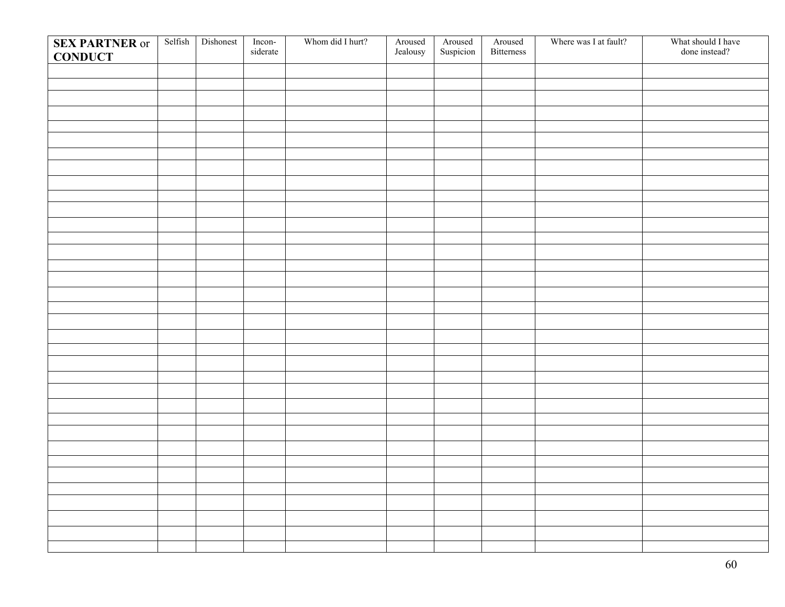| <b>CONDUCT</b> |  |
|----------------|--|
|                |  |
|                |  |
|                |  |
|                |  |
|                |  |
|                |  |
|                |  |
|                |  |
|                |  |
|                |  |
|                |  |
|                |  |
|                |  |
|                |  |
|                |  |
|                |  |
|                |  |
|                |  |
|                |  |
|                |  |
|                |  |
|                |  |
|                |  |
|                |  |
|                |  |
|                |  |
|                |  |
|                |  |
|                |  |
|                |  |
|                |  |
|                |  |
|                |  |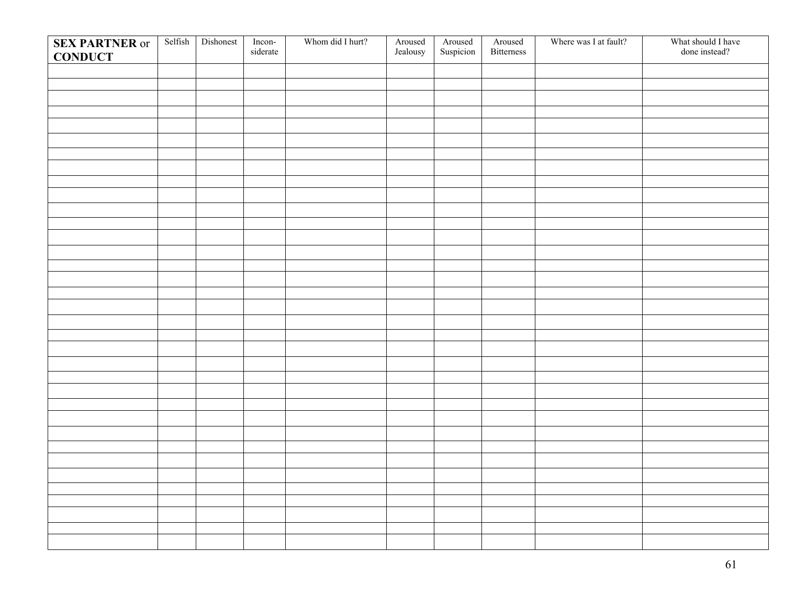| <b>SEX PARTNER or</b><br><b>CONDUCT</b> | Selfish | Dishonest | Incon-<br>siderate | Whom did I hurt? | Aroused<br>Jealousy | Aroused<br>Suspicion | Aroused<br>Bitterness | Where was I at fault? | What should I have<br>done instead? |
|-----------------------------------------|---------|-----------|--------------------|------------------|---------------------|----------------------|-----------------------|-----------------------|-------------------------------------|
|                                         |         |           |                    |                  |                     |                      |                       |                       |                                     |
|                                         |         |           |                    |                  |                     |                      |                       |                       |                                     |
|                                         |         |           |                    |                  |                     |                      |                       |                       |                                     |
|                                         |         |           |                    |                  |                     |                      |                       |                       |                                     |
|                                         |         |           |                    |                  |                     |                      |                       |                       |                                     |
|                                         |         |           |                    |                  |                     |                      |                       |                       |                                     |
|                                         |         |           |                    |                  |                     |                      |                       |                       |                                     |
|                                         |         |           |                    |                  |                     |                      |                       |                       |                                     |
|                                         |         |           |                    |                  |                     |                      |                       |                       |                                     |
|                                         |         |           |                    |                  |                     |                      |                       |                       |                                     |
|                                         |         |           |                    |                  |                     |                      |                       |                       |                                     |
|                                         |         |           |                    |                  |                     |                      |                       |                       |                                     |
|                                         |         |           |                    |                  |                     |                      |                       |                       |                                     |
|                                         |         |           |                    |                  |                     |                      |                       |                       |                                     |
|                                         |         |           |                    |                  |                     |                      |                       |                       |                                     |
|                                         |         |           |                    |                  |                     |                      |                       |                       |                                     |
|                                         |         |           |                    |                  |                     |                      |                       |                       |                                     |
|                                         |         |           |                    |                  |                     |                      |                       |                       |                                     |
|                                         |         |           |                    |                  |                     |                      |                       |                       |                                     |
|                                         |         |           |                    |                  |                     |                      |                       |                       |                                     |
|                                         |         |           |                    |                  |                     |                      |                       |                       |                                     |
|                                         |         |           |                    |                  |                     |                      |                       |                       |                                     |
|                                         |         |           |                    |                  |                     |                      |                       |                       |                                     |
|                                         |         |           |                    |                  |                     |                      |                       |                       |                                     |
|                                         |         |           |                    |                  |                     |                      |                       |                       |                                     |
|                                         |         |           |                    |                  |                     |                      |                       |                       |                                     |
|                                         |         |           |                    |                  |                     |                      |                       |                       |                                     |
|                                         |         |           |                    |                  |                     |                      |                       |                       |                                     |
|                                         |         |           |                    |                  |                     |                      |                       |                       |                                     |
|                                         |         |           |                    |                  |                     |                      |                       |                       |                                     |
|                                         |         |           |                    |                  |                     |                      |                       |                       |                                     |
|                                         |         |           |                    |                  |                     |                      |                       |                       |                                     |
|                                         |         |           |                    |                  |                     |                      |                       |                       |                                     |
|                                         |         |           |                    |                  |                     |                      |                       |                       |                                     |
|                                         |         |           |                    |                  |                     |                      |                       |                       |                                     |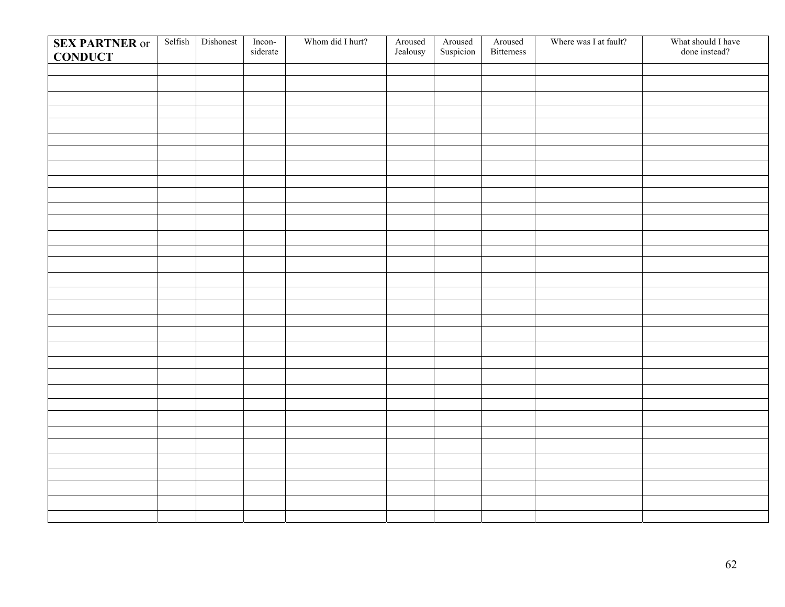| <b>SEX PARTNER or</b> | Selfish | Dishonest | Incon-<br>siderate | Whom did I hurt? | Aroused<br>Jealousy | Aroused<br>Suspicion | Aroused<br>Bitterness | Where was I at fault? | What should I have<br>done instead? |
|-----------------------|---------|-----------|--------------------|------------------|---------------------|----------------------|-----------------------|-----------------------|-------------------------------------|
| <b>CONDUCT</b>        |         |           |                    |                  |                     |                      |                       |                       |                                     |
|                       |         |           |                    |                  |                     |                      |                       |                       |                                     |
|                       |         |           |                    |                  |                     |                      |                       |                       |                                     |
|                       |         |           |                    |                  |                     |                      |                       |                       |                                     |
|                       |         |           |                    |                  |                     |                      |                       |                       |                                     |
|                       |         |           |                    |                  |                     |                      |                       |                       |                                     |
|                       |         |           |                    |                  |                     |                      |                       |                       |                                     |
|                       |         |           |                    |                  |                     |                      |                       |                       |                                     |
|                       |         |           |                    |                  |                     |                      |                       |                       |                                     |
|                       |         |           |                    |                  |                     |                      |                       |                       |                                     |
|                       |         |           |                    |                  |                     |                      |                       |                       |                                     |
|                       |         |           |                    |                  |                     |                      |                       |                       |                                     |
|                       |         |           |                    |                  |                     |                      |                       |                       |                                     |
|                       |         |           |                    |                  |                     |                      |                       |                       |                                     |
|                       |         |           |                    |                  |                     |                      |                       |                       |                                     |
|                       |         |           |                    |                  |                     |                      |                       |                       |                                     |
|                       |         |           |                    |                  |                     |                      |                       |                       |                                     |
|                       |         |           |                    |                  |                     |                      |                       |                       |                                     |
|                       |         |           |                    |                  |                     |                      |                       |                       |                                     |
|                       |         |           |                    |                  |                     |                      |                       |                       |                                     |
|                       |         |           |                    |                  |                     |                      |                       |                       |                                     |
|                       |         |           |                    |                  |                     |                      |                       |                       |                                     |
|                       |         |           |                    |                  |                     |                      |                       |                       |                                     |
|                       |         |           |                    |                  |                     |                      |                       |                       |                                     |
|                       |         |           |                    |                  |                     |                      |                       |                       |                                     |
|                       |         |           |                    |                  |                     |                      |                       |                       |                                     |
|                       |         |           |                    |                  |                     |                      |                       |                       |                                     |
|                       |         |           |                    |                  |                     |                      |                       |                       |                                     |
|                       |         |           |                    |                  |                     |                      |                       |                       |                                     |
|                       |         |           |                    |                  |                     |                      |                       |                       |                                     |
|                       |         |           |                    |                  |                     |                      |                       |                       |                                     |
|                       |         |           |                    |                  |                     |                      |                       |                       |                                     |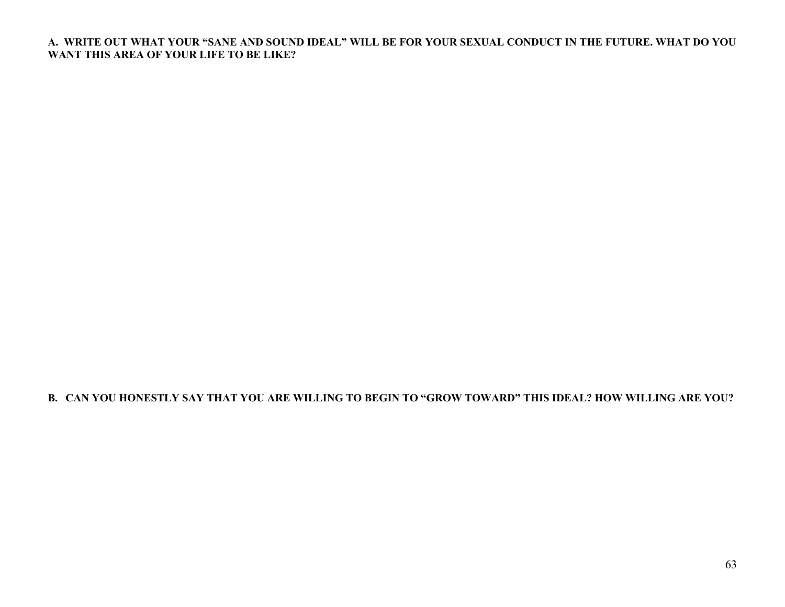**A. WRITE OUT WHAT YOUR "SANE AND SOUND IDEAL" WILL BE FOR YOUR SEXUAL CONDUCT IN THE FUTURE. WHAT DO YOU WANT THIS AREA OF YOUR LIFE TO BE LIKE?** 

**B. CAN YOU HONESTLY SAY THAT YOU ARE WILLING TO BEGIN TO "GROW TOWARD" THIS IDEAL? HOW WILLING ARE YOU?**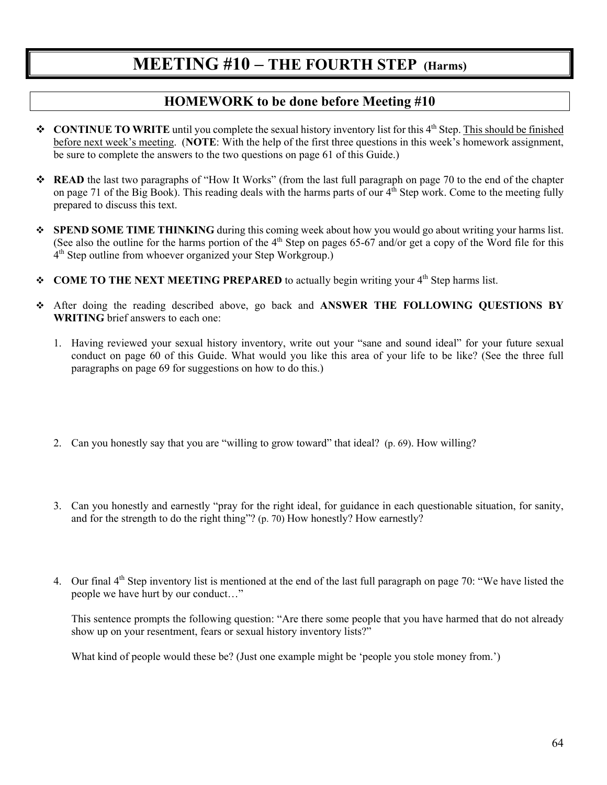# **MEETING #10 – THE FOURTH STEP (Harms)**

#### **HOMEWORK to be done before Meeting #10**

- ◆ **CONTINUE TO WRITE** until you complete the sexual history inventory list for this 4<sup>th</sup> Step. This should be finished before next week's meeting. (**NOTE**: With the help of the first three questions in this week's homework assignment, be sure to complete the answers to the two questions on page 61 of this Guide.)
- **READ** the last two paragraphs of "How It Works" (from the last full paragraph on page 70 to the end of the chapter on page 71 of the Big Book). This reading deals with the harms parts of our  $4<sup>th</sup>$  Step work. Come to the meeting fully prepared to discuss this text.
- **SPEND SOME TIME THINKING** during this coming week about how you would go about writing your harms list. (See also the outline for the harms portion of the  $4<sup>th</sup>$  Step on pages 65-67 and/or get a copy of the Word file for this 4<sup>th</sup> Step outline from whoever organized your Step Workgroup.)
- **COME TO THE NEXT MEETING PREPARED** to actually begin writing your 4<sup>th</sup> Step harms list.
- After doing the reading described above, go back and **ANSWER THE FOLLOWING QUESTIONS BY WRITING** brief answers to each one:
	- 1. Having reviewed your sexual history inventory, write out your "sane and sound ideal" for your future sexual conduct on page 60 of this Guide. What would you like this area of your life to be like? (See the three full paragraphs on page 69 for suggestions on how to do this.)
	- 2. Can you honestly say that you are "willing to grow toward" that ideal? (p. 69). How willing?
	- 3. Can you honestly and earnestly "pray for the right ideal, for guidance in each questionable situation, for sanity, and for the strength to do the right thing"? (p. 70) How honestly? How earnestly?
	- 4. Our final  $4<sup>th</sup>$  Step inventory list is mentioned at the end of the last full paragraph on page 70: "We have listed the people we have hurt by our conduct…"

This sentence prompts the following question: "Are there some people that you have harmed that do not already show up on your resentment, fears or sexual history inventory lists?"

What kind of people would these be? (Just one example might be 'people you stole money from.')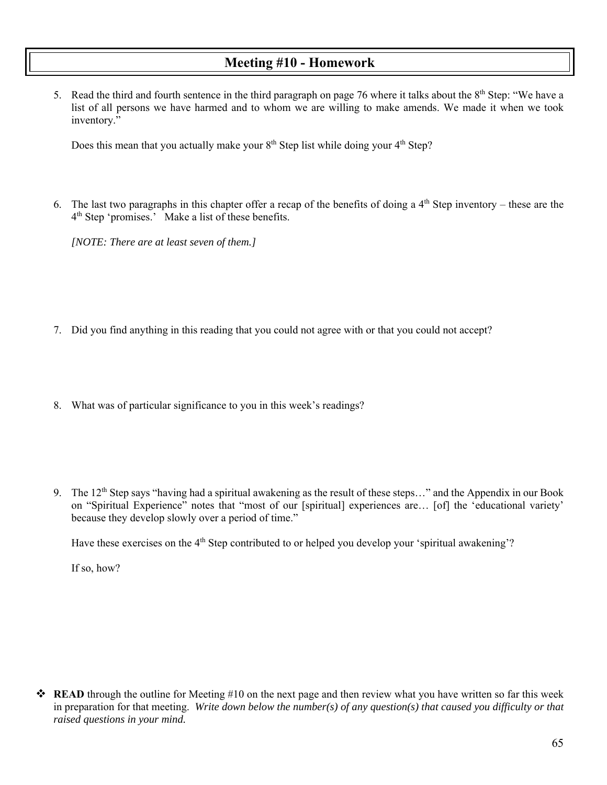## **Meeting #10 - Homework**

5. Read the third and fourth sentence in the third paragraph on page 76 where it talks about the  $8<sup>th</sup>$  Step: "We have a list of all persons we have harmed and to whom we are willing to make amends. We made it when we took inventory."

Does this mean that you actually make your  $8<sup>th</sup>$  Step list while doing your  $4<sup>th</sup>$  Step?

6. The last two paragraphs in this chapter offer a recap of the benefits of doing a  $4<sup>th</sup>$  Step inventory – these are the 4th Step 'promises.' Make a list of these benefits.

*[NOTE: There are at least seven of them.]* 

- 7. Did you find anything in this reading that you could not agree with or that you could not accept?
- 8. What was of particular significance to you in this week's readings?
- 9. The 12<sup>th</sup> Step says "having had a spiritual awakening as the result of these steps..." and the Appendix in our Book on "Spiritual Experience" notes that "most of our [spiritual] experiences are… [of] the 'educational variety' because they develop slowly over a period of time."

Have these exercises on the  $4<sup>th</sup>$  Step contributed to or helped you develop your 'spiritual awakening'?

If so, how?

**READ** through the outline for Meeting #10 on the next page and then review what you have written so far this week in preparation for that meeting. *Write down below the number(s) of any question(s) that caused you difficulty or that raised questions in your mind.*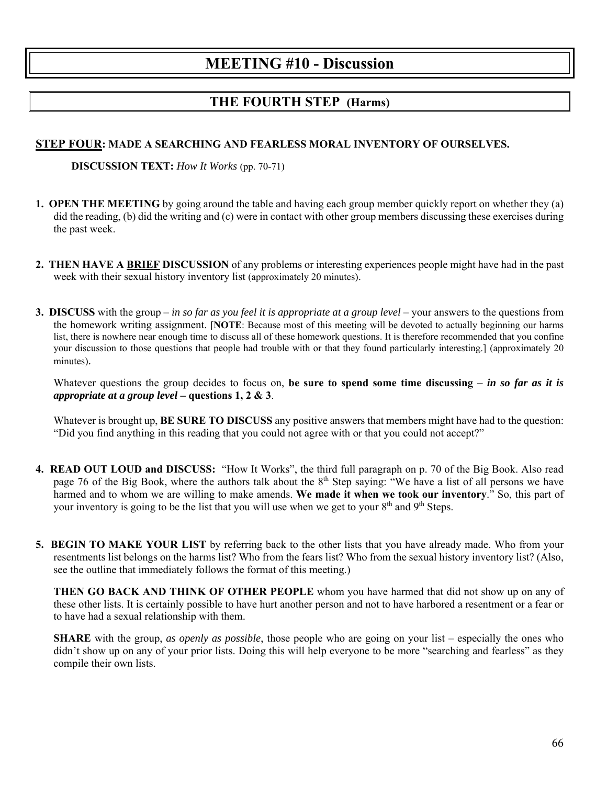## **MEETING #10 - Discussion**

## **THE FOURTH STEP (Harms)**

#### **STEP FOUR: MADE A SEARCHING AND FEARLESS MORAL INVENTORY OF OURSELVES.**

**DISCUSSION TEXT:** *How It Works* (pp. 70-71)

- **1. OPEN THE MEETING** by going around the table and having each group member quickly report on whether they (a) did the reading, (b) did the writing and (c) were in contact with other group members discussing these exercises during the past week.
- **2. THEN HAVE A BRIEF DISCUSSION** of any problems or interesting experiences people might have had in the past week with their sexual history inventory list (approximately 20 minutes).
- **3. DISCUSS** with the group *in so far as you feel it is appropriate at a group level* your answers to the questions from the homework writing assignment. [**NOTE**: Because most of this meeting will be devoted to actually beginning our harms list, there is nowhere near enough time to discuss all of these homework questions. It is therefore recommended that you confine your discussion to those questions that people had trouble with or that they found particularly interesting.] (approximately 20 minutes).

Whatever questions the group decides to focus on, be sure to spend some time discussing – *in so far as it is appropriate at a group level* **– questions 1, 2 & 3**.

Whatever is brought up, **BE SURE TO DISCUSS** any positive answers that members might have had to the question: "Did you find anything in this reading that you could not agree with or that you could not accept?"

- **4. READ OUT LOUD and DISCUSS:** "How It Works", the third full paragraph on p. 70 of the Big Book. Also read page 76 of the Big Book, where the authors talk about the 8<sup>th</sup> Step saying: "We have a list of all persons we have harmed and to whom we are willing to make amends. **We made it when we took our inventory**." So, this part of your inventory is going to be the list that you will use when we get to your  $8<sup>th</sup>$  and  $9<sup>th</sup>$  Steps.
- **5. BEGIN TO MAKE YOUR LIST** by referring back to the other lists that you have already made. Who from your resentments list belongs on the harms list? Who from the fears list? Who from the sexual history inventory list? (Also, see the outline that immediately follows the format of this meeting.)

**THEN GO BACK AND THINK OF OTHER PEOPLE** whom you have harmed that did not show up on any of these other lists. It is certainly possible to have hurt another person and not to have harbored a resentment or a fear or to have had a sexual relationship with them.

**SHARE** with the group, *as openly as possible*, those people who are going on your list – especially the ones who didn't show up on any of your prior lists. Doing this will help everyone to be more "searching and fearless" as they compile their own lists.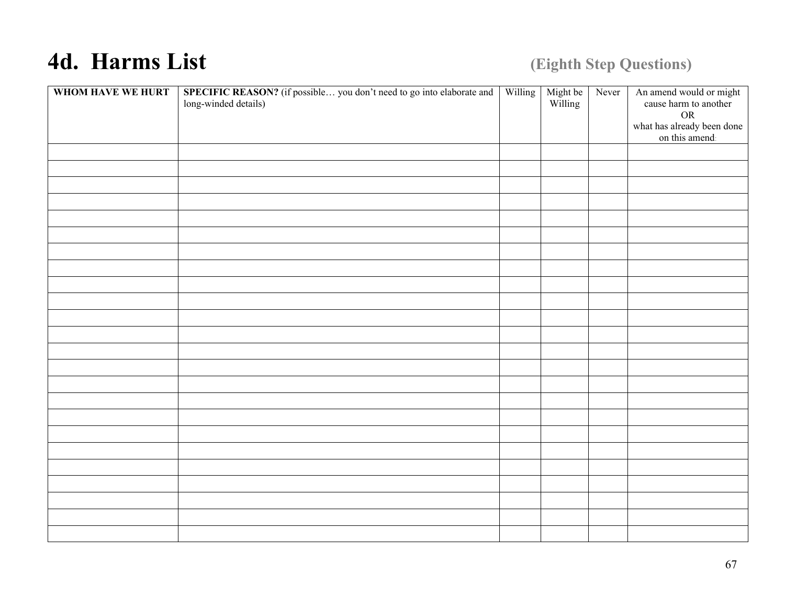# **4d. Harms List**

# **(Eighth Step Questions)**

| WHOM HAVE WE HURT | SPECIFIC REASON? (if possible you don't need to go into elaborate and long-winded details) | Willing | Might be<br>Willing | Never | An amend would or might<br>cause harm to another<br>${\rm OR}$<br>what has already been done<br>on this amend: |
|-------------------|--------------------------------------------------------------------------------------------|---------|---------------------|-------|----------------------------------------------------------------------------------------------------------------|
|                   |                                                                                            |         |                     |       |                                                                                                                |
|                   |                                                                                            |         |                     |       |                                                                                                                |
|                   |                                                                                            |         |                     |       |                                                                                                                |
|                   |                                                                                            |         |                     |       |                                                                                                                |
|                   |                                                                                            |         |                     |       |                                                                                                                |
|                   |                                                                                            |         |                     |       |                                                                                                                |
|                   |                                                                                            |         |                     |       |                                                                                                                |
|                   |                                                                                            |         |                     |       |                                                                                                                |
|                   |                                                                                            |         |                     |       |                                                                                                                |
|                   |                                                                                            |         |                     |       |                                                                                                                |
|                   |                                                                                            |         |                     |       |                                                                                                                |
|                   |                                                                                            |         |                     |       |                                                                                                                |
|                   |                                                                                            |         |                     |       |                                                                                                                |
|                   |                                                                                            |         |                     |       |                                                                                                                |
|                   |                                                                                            |         |                     |       |                                                                                                                |
|                   |                                                                                            |         |                     |       |                                                                                                                |
|                   |                                                                                            |         |                     |       |                                                                                                                |
|                   |                                                                                            |         |                     |       |                                                                                                                |
|                   |                                                                                            |         |                     |       |                                                                                                                |
|                   |                                                                                            |         |                     |       |                                                                                                                |
|                   |                                                                                            |         |                     |       |                                                                                                                |
|                   |                                                                                            |         |                     |       |                                                                                                                |
|                   |                                                                                            |         |                     |       |                                                                                                                |
|                   |                                                                                            |         |                     |       |                                                                                                                |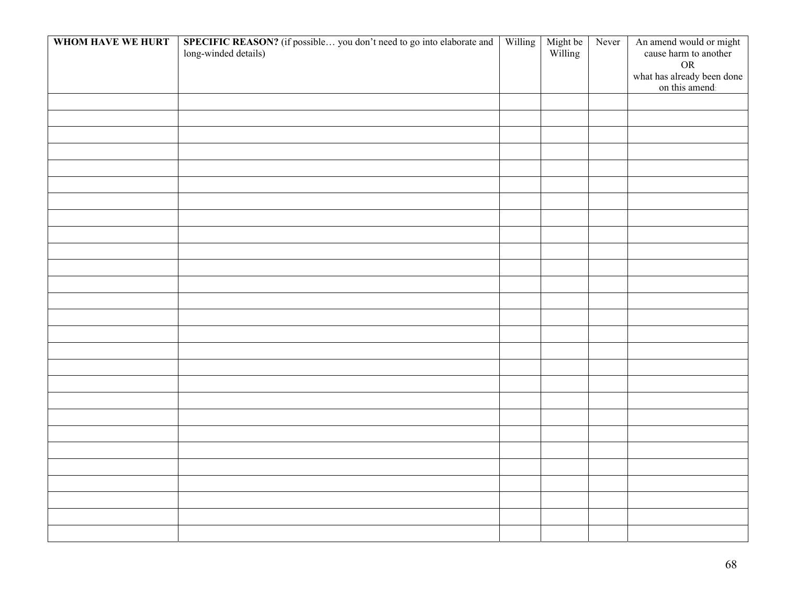| WHOM HAVE WE HURT | <b>SPECIFIC REASON?</b> (if possible you don't need to go into elaborate and long-winded details) | Willing | Might be<br>Willing | Never | An amend would or might                      |
|-------------------|---------------------------------------------------------------------------------------------------|---------|---------------------|-------|----------------------------------------------|
|                   |                                                                                                   |         |                     |       | cause harm to another<br><b>OR</b>           |
|                   |                                                                                                   |         |                     |       | what has already been done<br>on this amend: |
|                   |                                                                                                   |         |                     |       |                                              |
|                   |                                                                                                   |         |                     |       |                                              |
|                   |                                                                                                   |         |                     |       |                                              |
|                   |                                                                                                   |         |                     |       |                                              |
|                   |                                                                                                   |         |                     |       |                                              |
|                   |                                                                                                   |         |                     |       |                                              |
|                   |                                                                                                   |         |                     |       |                                              |
|                   |                                                                                                   |         |                     |       |                                              |
|                   |                                                                                                   |         |                     |       |                                              |
|                   |                                                                                                   |         |                     |       |                                              |
|                   |                                                                                                   |         |                     |       |                                              |
|                   |                                                                                                   |         |                     |       |                                              |
|                   |                                                                                                   |         |                     |       |                                              |
|                   |                                                                                                   |         |                     |       |                                              |
|                   |                                                                                                   |         |                     |       |                                              |
|                   |                                                                                                   |         |                     |       |                                              |
|                   |                                                                                                   |         |                     |       |                                              |
|                   |                                                                                                   |         |                     |       |                                              |
|                   |                                                                                                   |         |                     |       |                                              |
|                   |                                                                                                   |         |                     |       |                                              |
|                   |                                                                                                   |         |                     |       |                                              |
|                   |                                                                                                   |         |                     |       |                                              |
|                   |                                                                                                   |         |                     |       |                                              |
|                   |                                                                                                   |         |                     |       |                                              |
|                   |                                                                                                   |         |                     |       |                                              |
|                   |                                                                                                   |         |                     |       |                                              |
|                   |                                                                                                   |         |                     |       |                                              |
|                   |                                                                                                   |         |                     |       |                                              |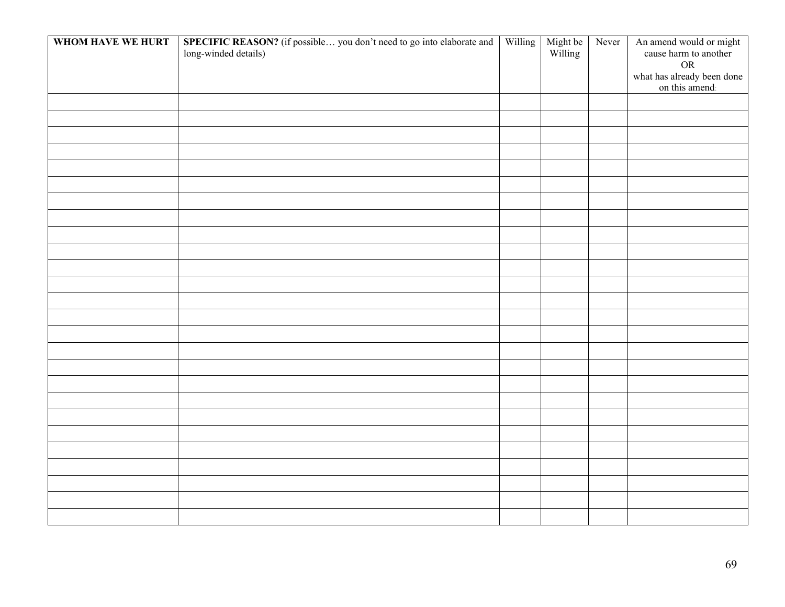| <b>WHOM HAVE WE HURT</b> | SPECIFIC REASON? (if possible you don't need to go into elaborate and long-winded details) | Willing | Might be<br>Willing | Never | An amend would or might<br>cause harm to another |
|--------------------------|--------------------------------------------------------------------------------------------|---------|---------------------|-------|--------------------------------------------------|
|                          |                                                                                            |         |                     |       | <b>OR</b>                                        |
|                          |                                                                                            |         |                     |       | what has already been done<br>on this amend:     |
|                          |                                                                                            |         |                     |       |                                                  |
|                          |                                                                                            |         |                     |       |                                                  |
|                          |                                                                                            |         |                     |       |                                                  |
|                          |                                                                                            |         |                     |       |                                                  |
|                          |                                                                                            |         |                     |       |                                                  |
|                          |                                                                                            |         |                     |       |                                                  |
|                          |                                                                                            |         |                     |       |                                                  |
|                          |                                                                                            |         |                     |       |                                                  |
|                          |                                                                                            |         |                     |       |                                                  |
|                          |                                                                                            |         |                     |       |                                                  |
|                          |                                                                                            |         |                     |       |                                                  |
|                          |                                                                                            |         |                     |       |                                                  |
|                          |                                                                                            |         |                     |       |                                                  |
|                          |                                                                                            |         |                     |       |                                                  |
|                          |                                                                                            |         |                     |       |                                                  |
|                          |                                                                                            |         |                     |       |                                                  |
|                          |                                                                                            |         |                     |       |                                                  |
|                          |                                                                                            |         |                     |       |                                                  |
|                          |                                                                                            |         |                     |       |                                                  |
|                          |                                                                                            |         |                     |       |                                                  |
|                          |                                                                                            |         |                     |       |                                                  |
|                          |                                                                                            |         |                     |       |                                                  |
|                          |                                                                                            |         |                     |       |                                                  |
|                          |                                                                                            |         |                     |       |                                                  |
|                          |                                                                                            |         |                     |       |                                                  |
|                          |                                                                                            |         |                     |       |                                                  |
|                          |                                                                                            |         |                     |       |                                                  |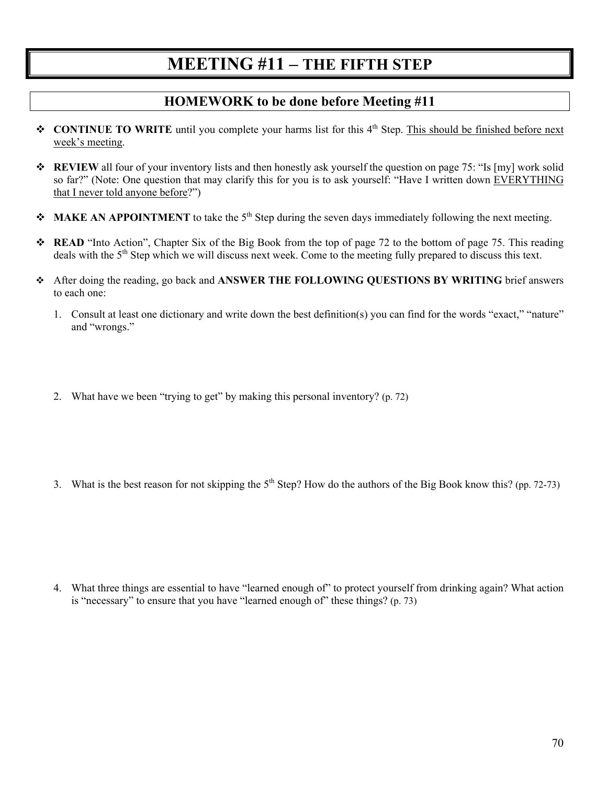# **MEETING #11 – THE FIFTH STEP**

#### **HOMEWORK to be done before Meeting #11**

- **CONTINUE TO WRITE** until you complete your harms list for this 4<sup>th</sup> Step. This should be finished before next week's meeting.
- **REVIEW** all four of your inventory lists and then honestly ask yourself the question on page 75: "Is [my] work solid so far?" (Note: One question that may clarify this for you is to ask yourself: "Have I written down EVERYTHING that I never told anyone before?")
- **MAKE AN APPOINTMENT** to take the  $5<sup>th</sup>$  Step during the seven days immediately following the next meeting.
- **EXEAD** "Into Action", Chapter Six of the Big Book from the top of page 72 to the bottom of page 75. This reading deals with the 5<sup>th</sup> Step which we will discuss next week. Come to the meeting fully prepared to discuss this text.
- After doing the reading, go back and **ANSWER THE FOLLOWING QUESTIONS BY WRITING** brief answers to each one:
	- 1. Consult at least one dictionary and write down the best definition(s) you can find for the words "exact," "nature" and "wrongs."
	- 2. What have we been "trying to get" by making this personal inventory? (p. 72)
	- 3. What is the best reason for not skipping the  $5<sup>th</sup>$  Step? How do the authors of the Big Book know this? (pp. 72-73)

4. What three things are essential to have "learned enough of" to protect yourself from drinking again? What action is "necessary" to ensure that you have "learned enough of" these things? (p. 73)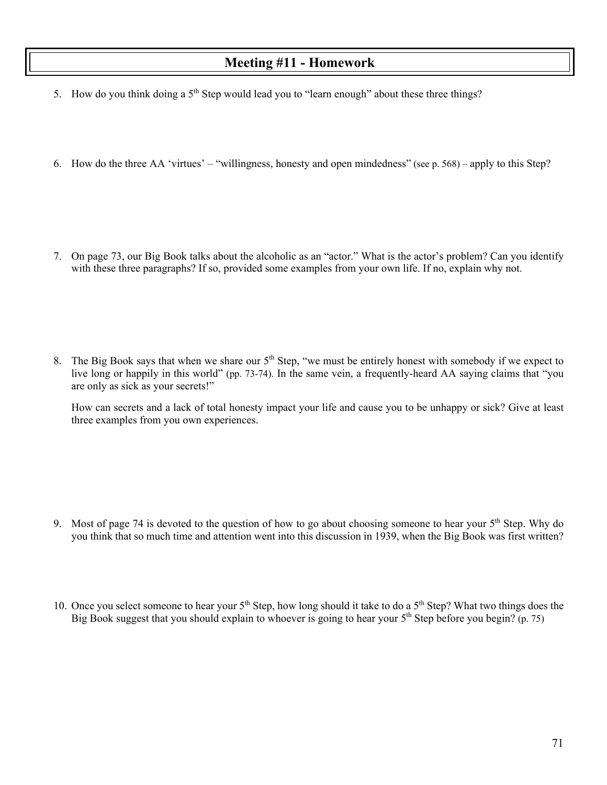- 5. How do you think doing a  $5<sup>th</sup>$  Step would lead you to "learn enough" about these three things?
- 6. How do the three AA 'virtues' "willingness, honesty and open mindedness" (see p. 568) apply to this Step?

- 7. On page 73, our Big Book talks about the alcoholic as an "actor." What is the actor's problem? Can you identify with these three paragraphs? If so, provided some examples from your own life. If no, explain why not.
- 8. The Big Book says that when we share our  $5<sup>th</sup>$  Step, "we must be entirely honest with somebody if we expect to live long or happily in this world" (pp. 73-74). In the same vein, a frequently-heard AA saying claims that "you are only as sick as your secrets!"

How can secrets and a lack of total honesty impact your life and cause you to be unhappy or sick? Give at least three examples from you own experiences.

- 9. Most of page 74 is devoted to the question of how to go about choosing someone to hear your  $5<sup>th</sup>$  Step. Why do you think that so much time and attention went into this discussion in 1939, when the Big Book was first written?
- 10. Once you select someone to hear your  $5<sup>th</sup>$  Step, how long should it take to do a  $5<sup>th</sup>$  Step? What two things does the Big Book suggest that you should explain to whoever is going to hear your 5<sup>th</sup> Step before you begin? (p. 75)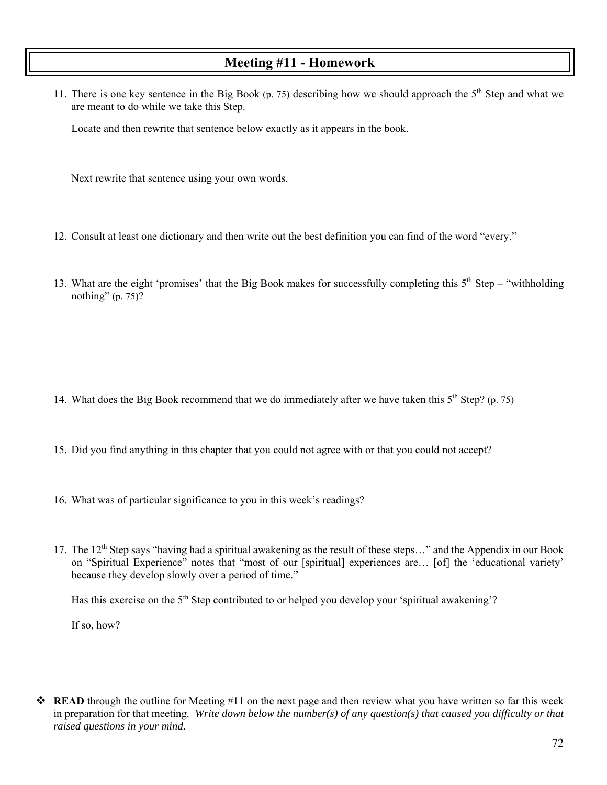### **Meeting #11 - Homework**

11. There is one key sentence in the Big Book (p. 75) describing how we should approach the  $5<sup>th</sup>$  Step and what we are meant to do while we take this Step.

Locate and then rewrite that sentence below exactly as it appears in the book.

Next rewrite that sentence using your own words.

- 12. Consult at least one dictionary and then write out the best definition you can find of the word "every."
- 13. What are the eight 'promises' that the Big Book makes for successfully completing this  $5<sup>th</sup>$  Step "withholding nothing"  $(p. 75)$ ?

- 14. What does the Big Book recommend that we do immediately after we have taken this  $5<sup>th</sup>$  Step? (p. 75)
- 15. Did you find anything in this chapter that you could not agree with or that you could not accept?
- 16. What was of particular significance to you in this week's readings?
- 17. The  $12<sup>th</sup>$  Step says "having had a spiritual awakening as the result of these steps..." and the Appendix in our Book on "Spiritual Experience" notes that "most of our [spiritual] experiences are… [of] the 'educational variety' because they develop slowly over a period of time."

Has this exercise on the 5<sup>th</sup> Step contributed to or helped you develop your 'spiritual awakening'?

If so, how?

**EXAD** through the outline for Meeting #11 on the next page and then review what you have written so far this week in preparation for that meeting. *Write down below the number(s) of any question(s) that caused you difficulty or that raised questions in your mind.*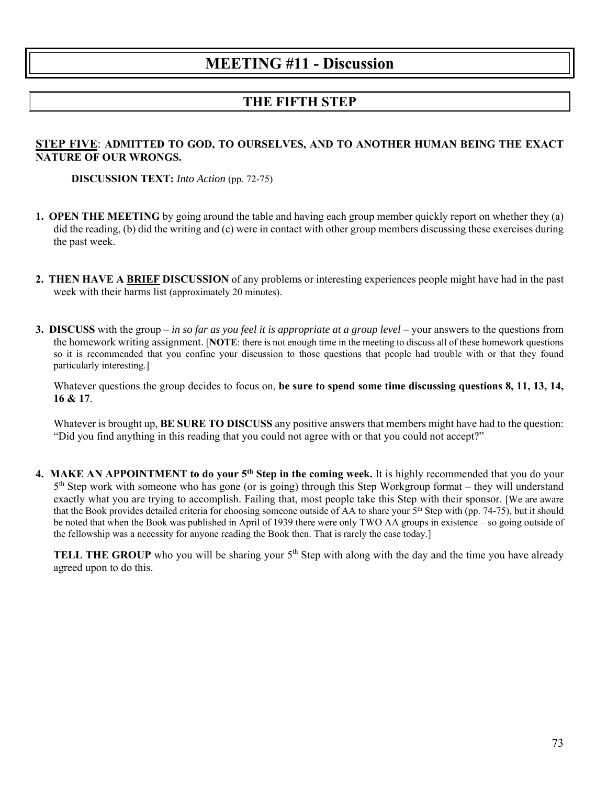# **MEETING #11 - Discussion**

# **THE FIFTH STEP**

#### **STEP FIVE**: **ADMITTED TO GOD, TO OURSELVES, AND TO ANOTHER HUMAN BEING THE EXACT NATURE OF OUR WRONGS.**

**DISCUSSION TEXT:** *Into Action* (pp. 72-75)

- **1. OPEN THE MEETING** by going around the table and having each group member quickly report on whether they (a) did the reading, (b) did the writing and (c) were in contact with other group members discussing these exercises during the past week.
- **2. THEN HAVE A BRIEF DISCUSSION** of any problems or interesting experiences people might have had in the past week with their harms list (approximately 20 minutes).
- **3. DISCUSS** with the group *in so far as you feel it is appropriate at a group level* your answers to the questions from the homework writing assignment. [**NOTE**: there is not enough time in the meeting to discuss all of these homework questions so it is recommended that you confine your discussion to those questions that people had trouble with or that they found particularly interesting.]

Whatever questions the group decides to focus on, **be sure to spend some time discussing questions 8, 11, 13, 14, 16 & 17**.

Whatever is brought up, **BE SURE TO DISCUSS** any positive answers that members might have had to the question: "Did you find anything in this reading that you could not agree with or that you could not accept?"

4. MAKE AN APPOINTMENT to do your 5<sup>th</sup> Step in the coming week. It is highly recommended that you do your  $5<sup>th</sup>$  Step work with someone who has gone (or is going) through this Step Workgroup format – they will understand exactly what you are trying to accomplish. Failing that, most people take this Step with their sponsor. [We are aware that the Book provides detailed criteria for choosing someone outside of AA to share your 5th Step with (pp. 74-75), but it should be noted that when the Book was published in April of 1939 there were only TWO AA groups in existence – so going outside of the fellowship was a necessity for anyone reading the Book then. That is rarely the case today.]

**TELL THE GROUP** who you will be sharing your 5<sup>th</sup> Step with along with the day and the time you have already agreed upon to do this.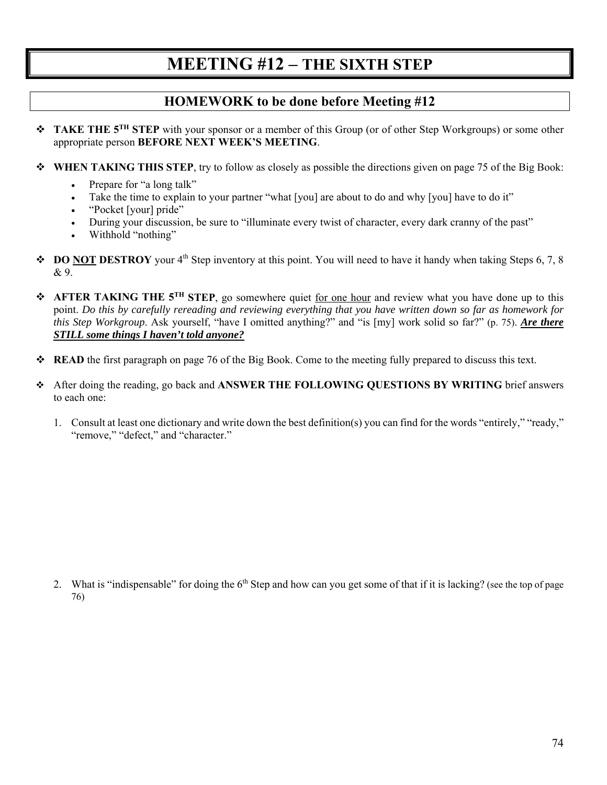# **MEETING #12 – THE SIXTH STEP**

# **HOMEWORK to be done before Meeting #12**

 **TAKE THE 5TH STEP** with your sponsor or a member of this Group (or of other Step Workgroups) or some other appropriate person **BEFORE NEXT WEEK'S MEETING**.

- **WHEN TAKING THIS STEP**, try to follow as closely as possible the directions given on page 75 of the Big Book:
	- Prepare for "a long talk"
	- Take the time to explain to your partner "what [you] are about to do and why [you] have to do it"
	- "Pocket [your] pride"
	- During your discussion, be sure to "illuminate every twist of character, every dark cranny of the past"
	- Withhold "nothing"
- $\bullet$  **DO NOT DESTROY** your 4<sup>th</sup> Step inventory at this point. You will need to have it handy when taking Steps 6, 7, 8 & 9.
- **AFTER TAKING THE 5<sup>TH</sup> STEP**, go somewhere quiet for one hour and review what you have done up to this point. *Do this by carefully rereading and reviewing everything that you have written down so far as homework for this Step Workgroup*. Ask yourself, "have I omitted anything?" and "is [my] work solid so far?" (p. 75). *Are there STILL some things I haven't told anyone?*
- **\*** READ the first paragraph on page 76 of the Big Book. Come to the meeting fully prepared to discuss this text.
- After doing the reading, go back and **ANSWER THE FOLLOWING QUESTIONS BY WRITING** brief answers to each one:
	- 1. Consult at least one dictionary and write down the best definition(s) you can find for the words "entirely," "ready," "remove," "defect," and "character."

2. What is "indispensable" for doing the  $6<sup>th</sup>$  Step and how can you get some of that if it is lacking? (see the top of page 76)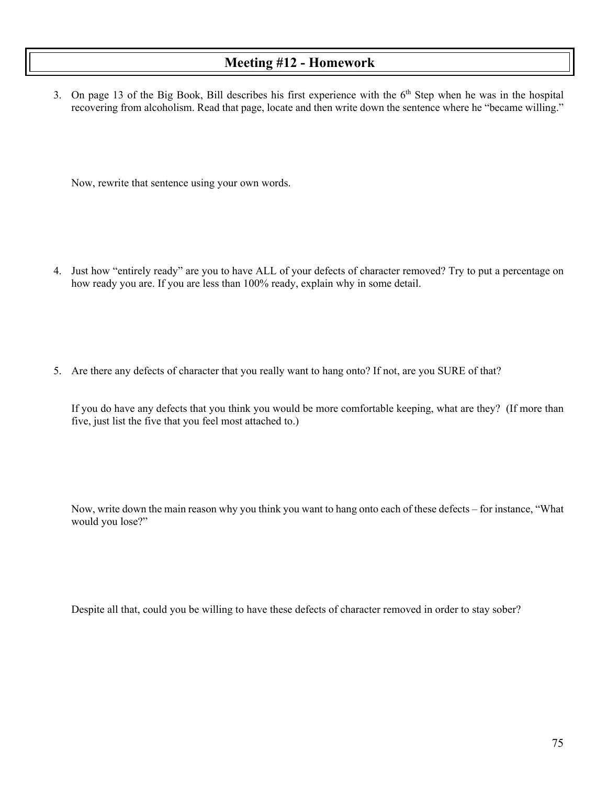### **Meeting #12 - Homework**

3. On page 13 of the Big Book, Bill describes his first experience with the  $6<sup>th</sup>$  Step when he was in the hospital recovering from alcoholism. Read that page, locate and then write down the sentence where he "became willing."

Now, rewrite that sentence using your own words.

- 4. Just how "entirely ready" are you to have ALL of your defects of character removed? Try to put a percentage on how ready you are. If you are less than 100% ready, explain why in some detail.
- 5. Are there any defects of character that you really want to hang onto? If not, are you SURE of that?

If you do have any defects that you think you would be more comfortable keeping, what are they? (If more than five, just list the five that you feel most attached to.)

Now, write down the main reason why you think you want to hang onto each of these defects – for instance, "What would you lose?"

Despite all that, could you be willing to have these defects of character removed in order to stay sober?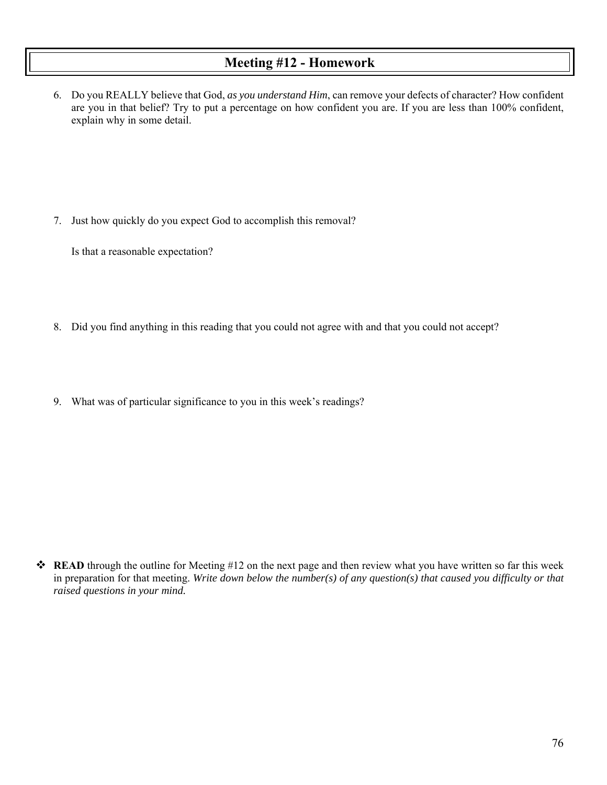### **Meeting #12 - Homework**

6. Do you REALLY believe that God, *as you understand Him*, can remove your defects of character? How confident are you in that belief? Try to put a percentage on how confident you are. If you are less than 100% confident, explain why in some detail.

7. Just how quickly do you expect God to accomplish this removal?

Is that a reasonable expectation?

- 8. Did you find anything in this reading that you could not agree with and that you could not accept?
- 9. What was of particular significance to you in this week's readings?

**READ** through the outline for Meeting #12 on the next page and then review what you have written so far this week in preparation for that meeting. *Write down below the number(s) of any question(s) that caused you difficulty or that raised questions in your mind.*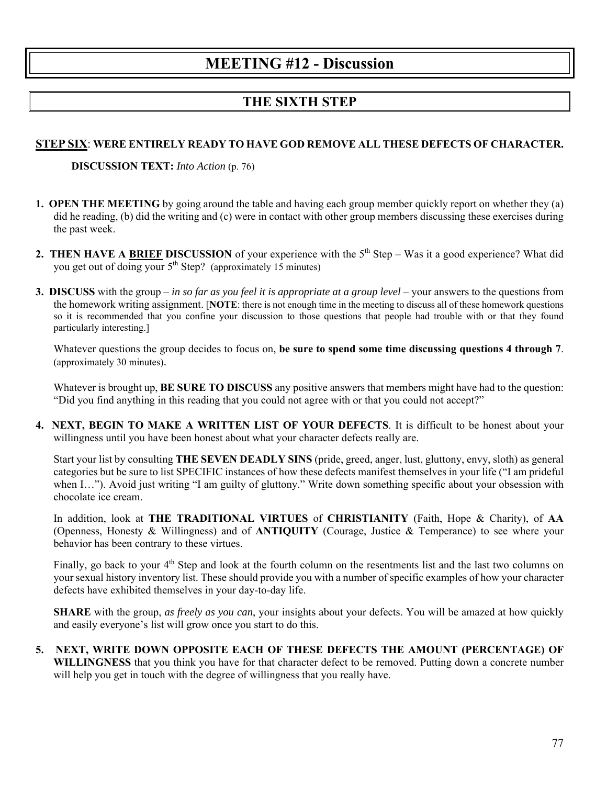# **MEETING #12 - Discussion**

# **THE SIXTH STEP**

#### **STEP SIX**: **WERE ENTIRELY READY TO HAVE GOD REMOVE ALL THESE DEFECTS OF CHARACTER.**

**DISCUSSION TEXT:** *Into Action* (p. 76)

- **1. OPEN THE MEETING** by going around the table and having each group member quickly report on whether they (a) did he reading, (b) did the writing and (c) were in contact with other group members discussing these exercises during the past week.
- **2. THEN HAVE A BRIEF DISCUSSION** of your experience with the 5<sup>th</sup> Step Was it a good experience? What did you get out of doing your 5<sup>th</sup> Step? (approximately 15 minutes)
- **3. DISCUSS** with the group *in so far as you feel it is appropriate at a group level* your answers to the questions from the homework writing assignment. [**NOTE**: there is not enough time in the meeting to discuss all of these homework questions so it is recommended that you confine your discussion to those questions that people had trouble with or that they found particularly interesting.]

Whatever questions the group decides to focus on, **be sure to spend some time discussing questions 4 through 7**. (approximately 30 minutes).

Whatever is brought up, **BE SURE TO DISCUSS** any positive answers that members might have had to the question: "Did you find anything in this reading that you could not agree with or that you could not accept?"

**4. NEXT, BEGIN TO MAKE A WRITTEN LIST OF YOUR DEFECTS**. It is difficult to be honest about your willingness until you have been honest about what your character defects really are.

Start your list by consulting **THE SEVEN DEADLY SINS** (pride, greed, anger, lust, gluttony, envy, sloth) as general categories but be sure to list SPECIFIC instances of how these defects manifest themselves in your life ("I am prideful when I..."). Avoid just writing "I am guilty of gluttony." Write down something specific about your obsession with chocolate ice cream.

In addition, look at **THE TRADITIONAL VIRTUES** of **CHRISTIANITY** (Faith, Hope & Charity), of **AA**  (Openness, Honesty & Willingness) and of **ANTIQUITY** (Courage, Justice & Temperance) to see where your behavior has been contrary to these virtues.

Finally, go back to your 4<sup>th</sup> Step and look at the fourth column on the resentments list and the last two columns on your sexual history inventory list. These should provide you with a number of specific examples of how your character defects have exhibited themselves in your day-to-day life.

**SHARE** with the group, *as freely as you can*, your insights about your defects. You will be amazed at how quickly and easily everyone's list will grow once you start to do this.

**5. NEXT, WRITE DOWN OPPOSITE EACH OF THESE DEFECTS THE AMOUNT (PERCENTAGE) OF WILLINGNESS** that you think you have for that character defect to be removed. Putting down a concrete number will help you get in touch with the degree of willingness that you really have.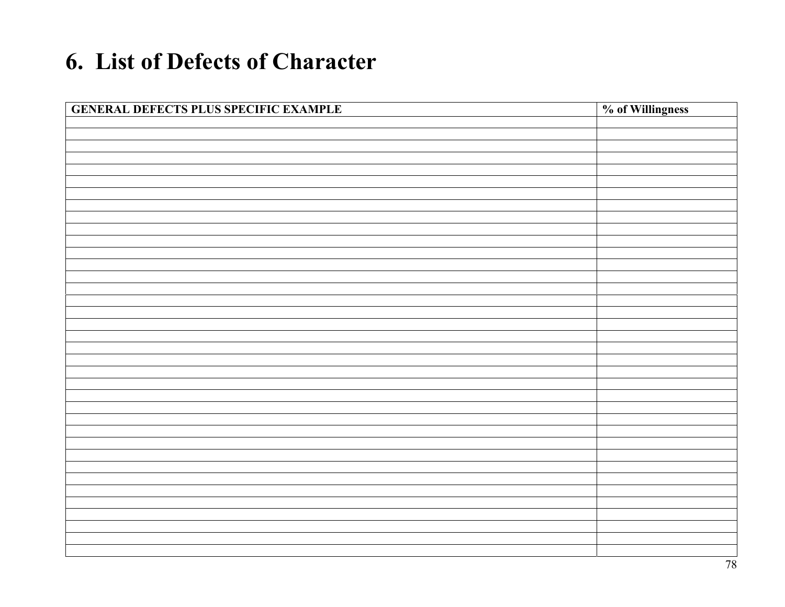# **6. List of Defects of Character**

| <b>GENERAL DEFECTS PLUS SPECIFIC EXAMPLE</b> | % of Willingness |
|----------------------------------------------|------------------|
|                                              |                  |
|                                              |                  |
|                                              |                  |
|                                              |                  |
|                                              |                  |
|                                              |                  |
|                                              |                  |
|                                              |                  |
|                                              |                  |
|                                              |                  |
|                                              |                  |
|                                              |                  |
|                                              |                  |
|                                              |                  |
|                                              |                  |
|                                              |                  |
|                                              |                  |
|                                              |                  |
|                                              |                  |
|                                              |                  |
|                                              |                  |
|                                              |                  |
|                                              |                  |
|                                              |                  |
|                                              |                  |
|                                              |                  |
|                                              |                  |
|                                              |                  |
|                                              |                  |
|                                              |                  |
|                                              |                  |
|                                              |                  |
|                                              |                  |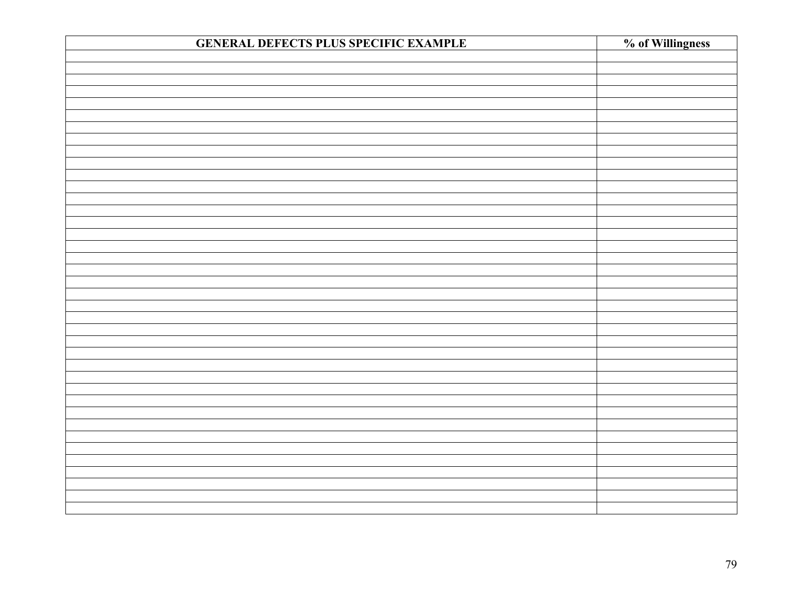| GENERAL DEFECTS PLUS SPECIFIC EXAMPLE | % of Willingness |
|---------------------------------------|------------------|
|                                       |                  |
|                                       |                  |
|                                       |                  |
|                                       |                  |
|                                       |                  |
|                                       |                  |
|                                       |                  |
|                                       |                  |
|                                       |                  |
|                                       |                  |
|                                       |                  |
|                                       |                  |
|                                       |                  |
|                                       |                  |
|                                       |                  |
|                                       |                  |
|                                       |                  |
|                                       |                  |
|                                       |                  |
|                                       |                  |
|                                       |                  |
|                                       |                  |
|                                       |                  |
|                                       |                  |
|                                       |                  |
|                                       |                  |
|                                       |                  |
|                                       |                  |
|                                       |                  |
|                                       |                  |
|                                       |                  |
|                                       |                  |
|                                       |                  |
|                                       |                  |
|                                       |                  |
|                                       |                  |
|                                       |                  |
|                                       |                  |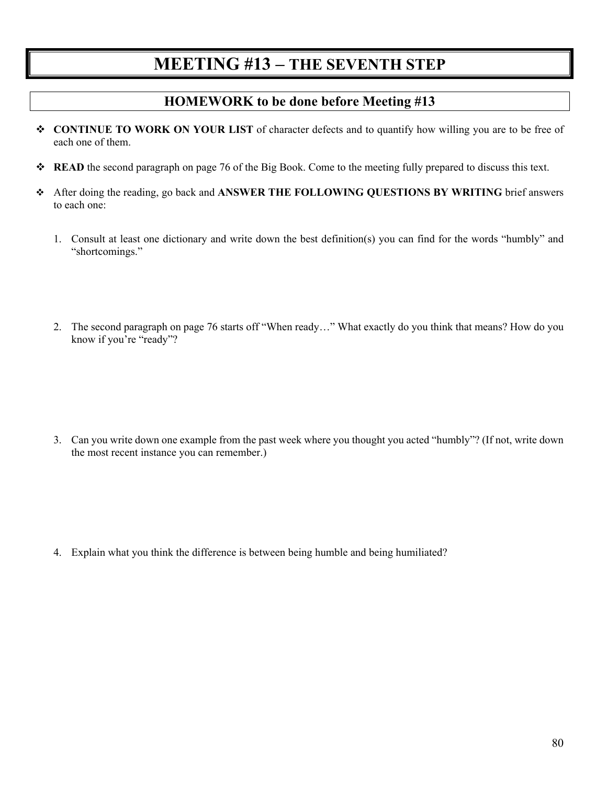# **MEETING #13 – THE SEVENTH STEP**

### **HOMEWORK to be done before Meeting #13**

- **CONTINUE TO WORK ON YOUR LIST** of character defects and to quantify how willing you are to be free of each one of them.
- **READ** the second paragraph on page 76 of the Big Book. Come to the meeting fully prepared to discuss this text.
- After doing the reading, go back and **ANSWER THE FOLLOWING QUESTIONS BY WRITING** brief answers to each one:
	- 1. Consult at least one dictionary and write down the best definition(s) you can find for the words "humbly" and "shortcomings."
	- 2. The second paragraph on page 76 starts off "When ready…" What exactly do you think that means? How do you know if you're "ready"?

3. Can you write down one example from the past week where you thought you acted "humbly"? (If not, write down the most recent instance you can remember.)

4. Explain what you think the difference is between being humble and being humiliated?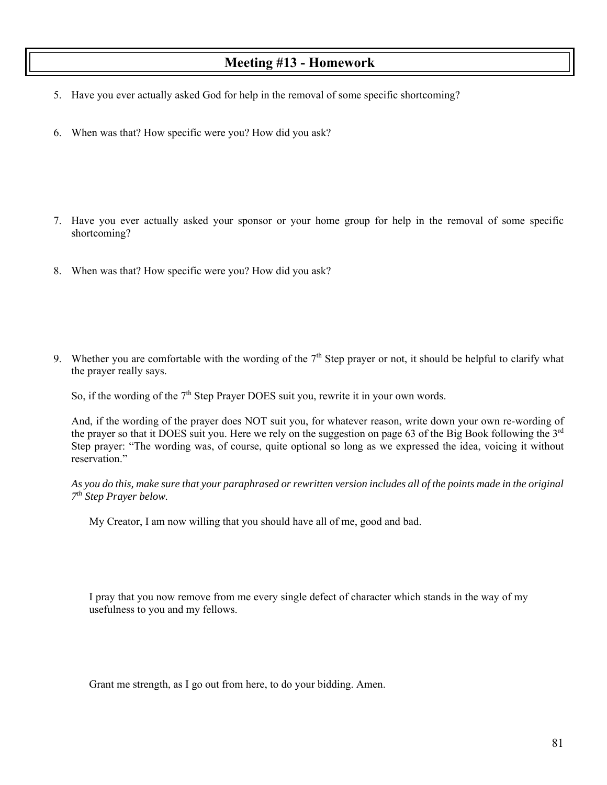- 5. Have you ever actually asked God for help in the removal of some specific shortcoming?
- 6. When was that? How specific were you? How did you ask?
- 7. Have you ever actually asked your sponsor or your home group for help in the removal of some specific shortcoming?
- 8. When was that? How specific were you? How did you ask?
- 9. Whether you are comfortable with the wording of the  $7<sup>th</sup>$  Step prayer or not, it should be helpful to clarify what the prayer really says.

So, if the wording of the  $7<sup>th</sup>$  Step Prayer DOES suit you, rewrite it in your own words.

And, if the wording of the prayer does NOT suit you, for whatever reason, write down your own re-wording of the prayer so that it DOES suit you. Here we rely on the suggestion on page 63 of the Big Book following the  $3<sup>rd</sup>$ Step prayer: "The wording was, of course, quite optional so long as we expressed the idea, voicing it without reservation."

*As you do this, make sure that your paraphrased or rewritten version includes all of the points made in the original 7th Step Prayer below.* 

My Creator, I am now willing that you should have all of me, good and bad.

I pray that you now remove from me every single defect of character which stands in the way of my usefulness to you and my fellows.

Grant me strength, as I go out from here, to do your bidding. Amen.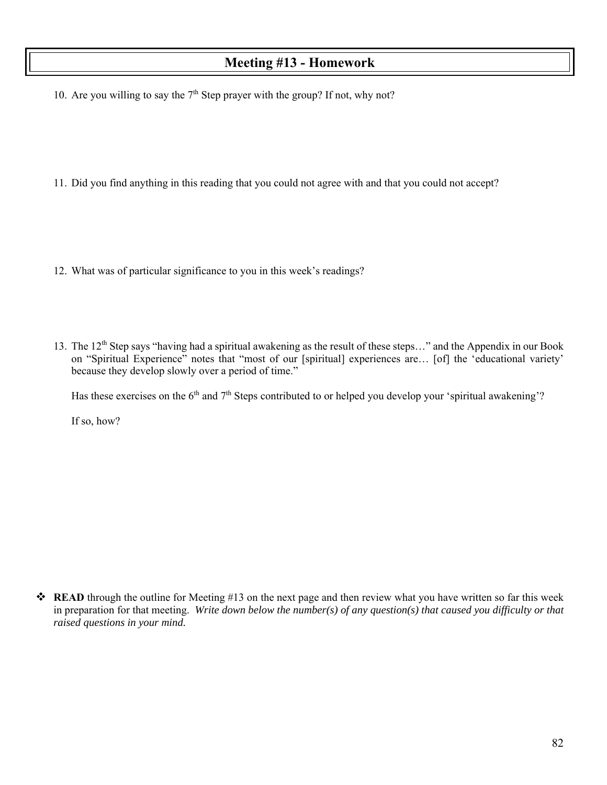- 10. Are you willing to say the  $7<sup>th</sup>$  Step prayer with the group? If not, why not?
- 11. Did you find anything in this reading that you could not agree with and that you could not accept?
- 12. What was of particular significance to you in this week's readings?
- 13. The  $12<sup>th</sup>$  Step says "having had a spiritual awakening as the result of these steps..." and the Appendix in our Book on "Spiritual Experience" notes that "most of our [spiritual] experiences are… [of] the 'educational variety' because they develop slowly over a period of time."

Has these exercises on the  $6<sup>th</sup>$  and  $7<sup>th</sup>$  Steps contributed to or helped you develop your 'spiritual awakening'?

If so, how?

**READ** through the outline for Meeting #13 on the next page and then review what you have written so far this week in preparation for that meeting. *Write down below the number(s) of any question(s) that caused you difficulty or that raised questions in your mind.*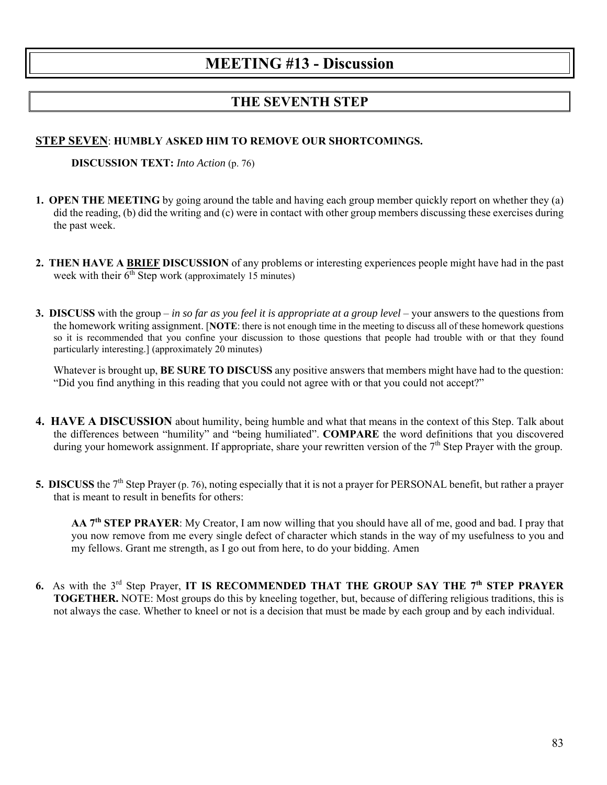# **MEETING #13 - Discussion**

# **THE SEVENTH STEP**

#### **STEP SEVEN**: **HUMBLY ASKED HIM TO REMOVE OUR SHORTCOMINGS.**

#### **DISCUSSION TEXT:** *Into Action* (p. 76)

- **1. OPEN THE MEETING** by going around the table and having each group member quickly report on whether they (a) did the reading, (b) did the writing and (c) were in contact with other group members discussing these exercises during the past week.
- **2. THEN HAVE A BRIEF DISCUSSION** of any problems or interesting experiences people might have had in the past week with their  $6<sup>th</sup>$  Step work (approximately 15 minutes)
- **3. DISCUSS** with the group *in so far as you feel it is appropriate at a group level* your answers to the questions from the homework writing assignment. [**NOTE**: there is not enough time in the meeting to discuss all of these homework questions so it is recommended that you confine your discussion to those questions that people had trouble with or that they found particularly interesting.] (approximately 20 minutes)

Whatever is brought up, **BE SURE TO DISCUSS** any positive answers that members might have had to the question: "Did you find anything in this reading that you could not agree with or that you could not accept?"

- **4. HAVE A DISCUSSION** about humility, being humble and what that means in the context of this Step. Talk about the differences between "humility" and "being humiliated". **COMPARE** the word definitions that you discovered during your homework assignment. If appropriate, share your rewritten version of the  $7<sup>th</sup>$  Step Prayer with the group.
- **5. DISCUSS** the 7<sup>th</sup> Step Prayer (p. 76), noting especially that it is not a prayer for PERSONAL benefit, but rather a prayer that is meant to result in benefits for others:

**AA 7th STEP PRAYER**: My Creator, I am now willing that you should have all of me, good and bad. I pray that you now remove from me every single defect of character which stands in the way of my usefulness to you and my fellows. Grant me strength, as I go out from here, to do your bidding. Amen

**6.** As with the 3<sup>rd</sup> Step Prayer, **IT IS RECOMMENDED THAT THE GROUP SAY THE 7<sup>th</sup> STEP PRAYER TOGETHER.** NOTE: Most groups do this by kneeling together, but, because of differing religious traditions, this is not always the case. Whether to kneel or not is a decision that must be made by each group and by each individual.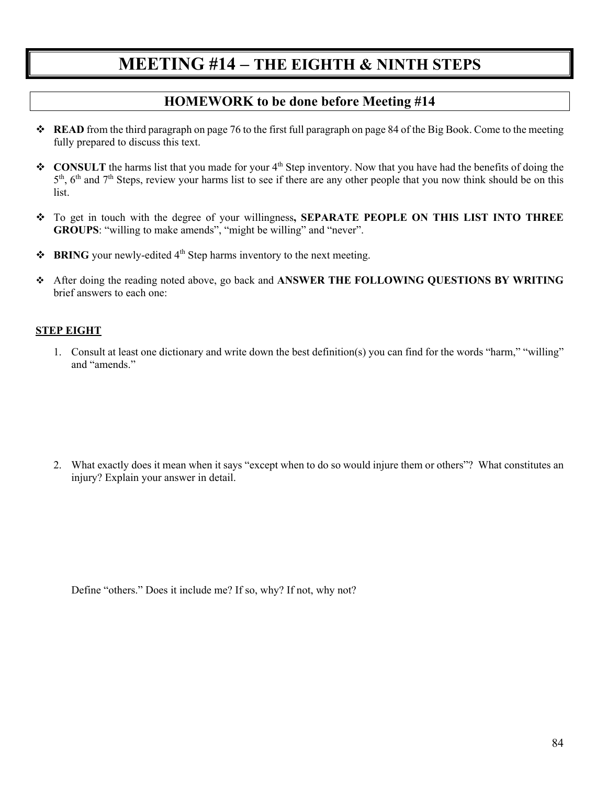# **MEETING #14 – THE EIGHTH & NINTH STEPS**

### **HOMEWORK to be done before Meeting #14**

- **\*** READ from the third paragraph on page 76 to the first full paragraph on page 84 of the Big Book. Come to the meeting fully prepared to discuss this text.
- **CONSULT** the harms list that you made for your 4<sup>th</sup> Step inventory. Now that you have had the benefits of doing the 5<sup>th</sup>, 6<sup>th</sup> and 7<sup>th</sup> Steps, review your harms list to see if there are any other people that you now think should be on this list.
- To get in touch with the degree of your willingness**, SEPARATE PEOPLE ON THIS LIST INTO THREE GROUPS**: "willing to make amends", "might be willing" and "never".
- $\bullet$  **BRING** your newly-edited 4<sup>th</sup> Step harms inventory to the next meeting.
- After doing the reading noted above, go back and **ANSWER THE FOLLOWING QUESTIONS BY WRITING** brief answers to each one:

### **STEP EIGHT**

1. Consult at least one dictionary and write down the best definition(s) you can find for the words "harm," "willing" and "amends."

2. What exactly does it mean when it says "except when to do so would injure them or others"? What constitutes an injury? Explain your answer in detail.

Define "others." Does it include me? If so, why? If not, why not?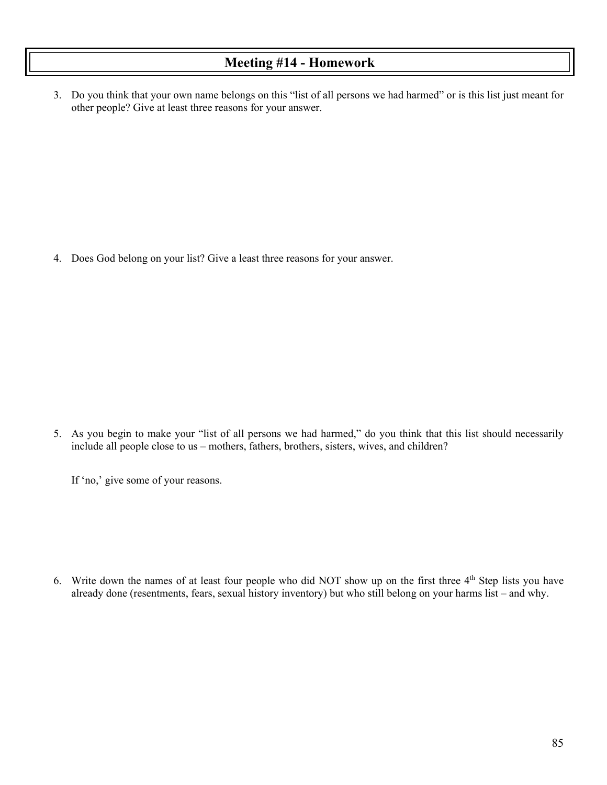3. Do you think that your own name belongs on this "list of all persons we had harmed" or is this list just meant for other people? Give at least three reasons for your answer.

4. Does God belong on your list? Give a least three reasons for your answer.

5. As you begin to make your "list of all persons we had harmed," do you think that this list should necessarily include all people close to us – mothers, fathers, brothers, sisters, wives, and children?

If 'no,' give some of your reasons.

6. Write down the names of at least four people who did NOT show up on the first three  $4<sup>th</sup>$  Step lists you have already done (resentments, fears, sexual history inventory) but who still belong on your harms list – and why.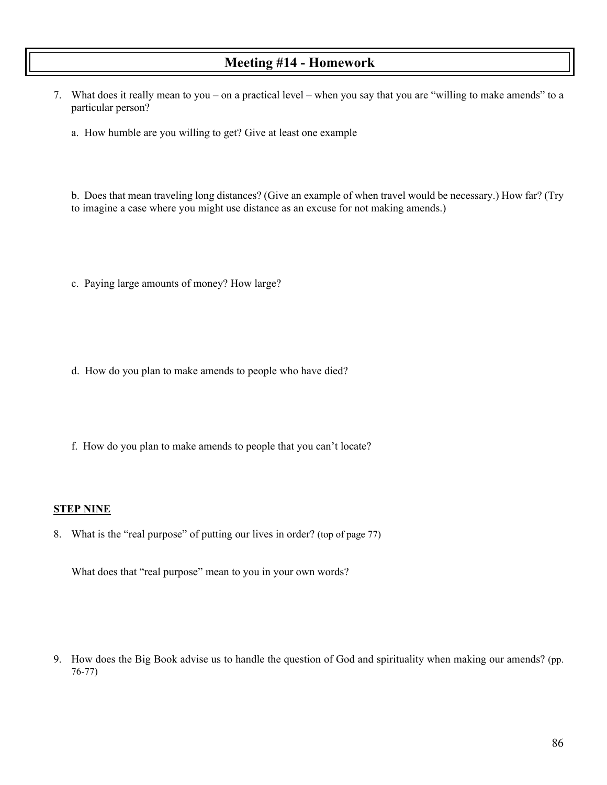### **Meeting #14 - Homework**

- 7. What does it really mean to you on a practical level when you say that you are "willing to make amends" to a particular person?
	- a. How humble are you willing to get? Give at least one example

b. Does that mean traveling long distances? (Give an example of when travel would be necessary.) How far? (Try to imagine a case where you might use distance as an excuse for not making amends.)

- c. Paying large amounts of money? How large?
- d. How do you plan to make amends to people who have died?
- f. How do you plan to make amends to people that you can't locate?

#### **STEP NINE**

8. What is the "real purpose" of putting our lives in order? (top of page 77)

What does that "real purpose" mean to you in your own words?

9. How does the Big Book advise us to handle the question of God and spirituality when making our amends? (pp. 76-77)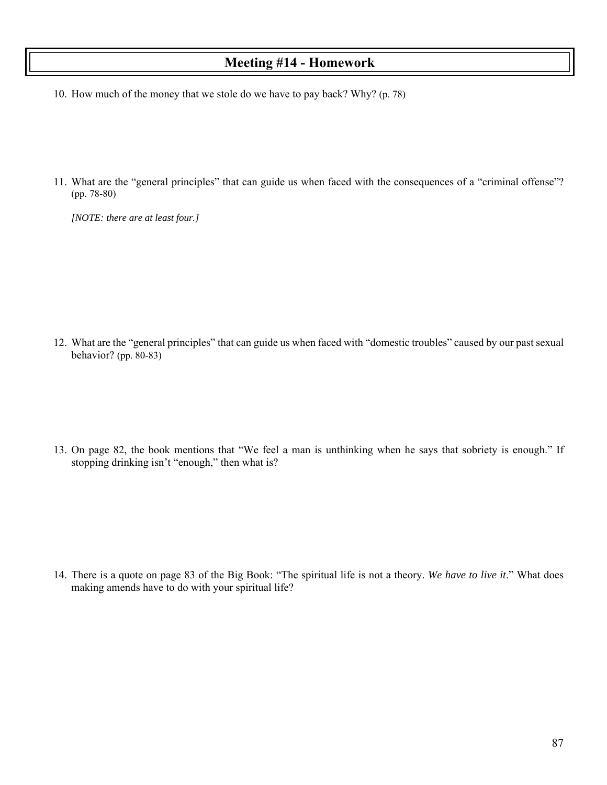- 10. How much of the money that we stole do we have to pay back? Why? (p. 78)
- 11. What are the "general principles" that can guide us when faced with the consequences of a "criminal offense"? (pp. 78-80)

*[NOTE: there are at least four.]*

12. What are the "general principles" that can guide us when faced with "domestic troubles" caused by our past sexual behavior? (pp. 80-83)

13. On page 82, the book mentions that "We feel a man is unthinking when he says that sobriety is enough." If stopping drinking isn't "enough," then what is?

14. There is a quote on page 83 of the Big Book: "The spiritual life is not a theory. *We have to live it*." What does making amends have to do with your spiritual life?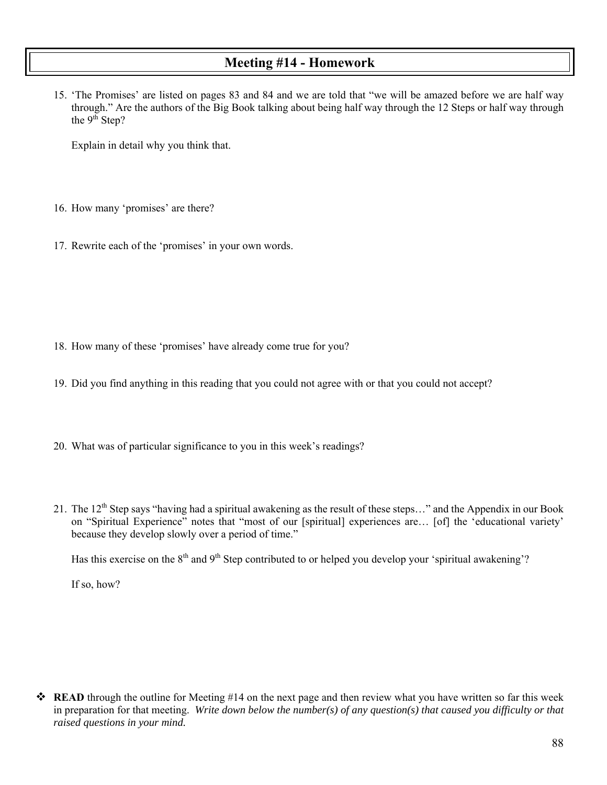# **Meeting #14 - Homework**

15. 'The Promises' are listed on pages 83 and 84 and we are told that "we will be amazed before we are half way through." Are the authors of the Big Book talking about being half way through the 12 Steps or half way through the  $9<sup>th</sup>$  Step?

Explain in detail why you think that.

- 16. How many 'promises' are there?
- 17. Rewrite each of the 'promises' in your own words.

- 18. How many of these 'promises' have already come true for you?
- 19. Did you find anything in this reading that you could not agree with or that you could not accept?
- 20. What was of particular significance to you in this week's readings?
- 21. The  $12<sup>th</sup>$  Step says "having had a spiritual awakening as the result of these steps..." and the Appendix in our Book on "Spiritual Experience" notes that "most of our [spiritual] experiences are… [of] the 'educational variety' because they develop slowly over a period of time."

Has this exercise on the  $8<sup>th</sup>$  and  $9<sup>th</sup>$  Step contributed to or helped you develop your 'spiritual awakening'?

If so, how?

**READ** through the outline for Meeting #14 on the next page and then review what you have written so far this week in preparation for that meeting. *Write down below the number(s) of any question(s) that caused you difficulty or that raised questions in your mind.*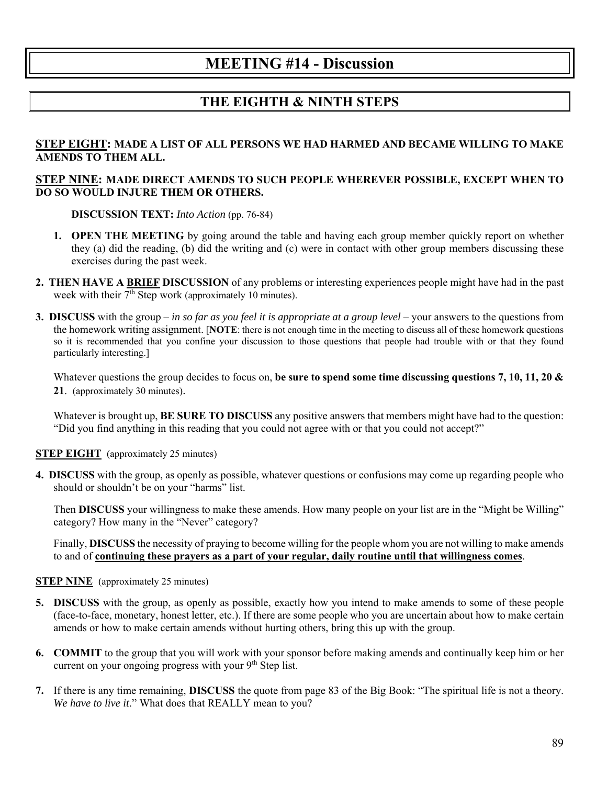# **MEETING #14 - Discussion**

# **THE EIGHTH & NINTH STEPS**

#### **STEP EIGHT: MADE A LIST OF ALL PERSONS WE HAD HARMED AND BECAME WILLING TO MAKE AMENDS TO THEM ALL.**

#### **STEP NINE: MADE DIRECT AMENDS TO SUCH PEOPLE WHEREVER POSSIBLE, EXCEPT WHEN TO DO SO WOULD INJURE THEM OR OTHERS.**

**DISCUSSION TEXT:** *Into Action* (pp. 76-84)

- **1. OPEN THE MEETING** by going around the table and having each group member quickly report on whether they (a) did the reading, (b) did the writing and (c) were in contact with other group members discussing these exercises during the past week.
- **2. THEN HAVE A BRIEF DISCUSSION** of any problems or interesting experiences people might have had in the past week with their  $7<sup>th</sup>$  Step work (approximately 10 minutes).
- **3. DISCUSS** with the group *in so far as you feel it is appropriate at a group level* your answers to the questions from the homework writing assignment. [**NOTE**: there is not enough time in the meeting to discuss all of these homework questions so it is recommended that you confine your discussion to those questions that people had trouble with or that they found particularly interesting.]

Whatever questions the group decides to focus on, **be sure to spend some time discussing questions 7, 10, 11, 20 & 21**. (approximately 30 minutes).

Whatever is brought up, **BE SURE TO DISCUSS** any positive answers that members might have had to the question: "Did you find anything in this reading that you could not agree with or that you could not accept?"

#### **STEP EIGHT** (approximately 25 minutes)

**4. DISCUSS** with the group, as openly as possible, whatever questions or confusions may come up regarding people who should or shouldn't be on your "harms" list.

Then **DISCUSS** your willingness to make these amends. How many people on your list are in the "Might be Willing" category? How many in the "Never" category?

Finally, **DISCUSS** the necessity of praying to become willing for the people whom you are not willing to make amends to and of **continuing these prayers as a part of your regular, daily routine until that willingness comes**.

#### **STEP NINE** (approximately 25 minutes)

- **5. DISCUSS** with the group, as openly as possible, exactly how you intend to make amends to some of these people (face-to-face, monetary, honest letter, etc.). If there are some people who you are uncertain about how to make certain amends or how to make certain amends without hurting others, bring this up with the group.
- **6. COMMIT** to the group that you will work with your sponsor before making amends and continually keep him or her current on your ongoing progress with your  $9<sup>th</sup>$  Step list.
- **7.** If there is any time remaining, **DISCUSS** the quote from page 83 of the Big Book: "The spiritual life is not a theory. *We have to live it*." What does that REALLY mean to you?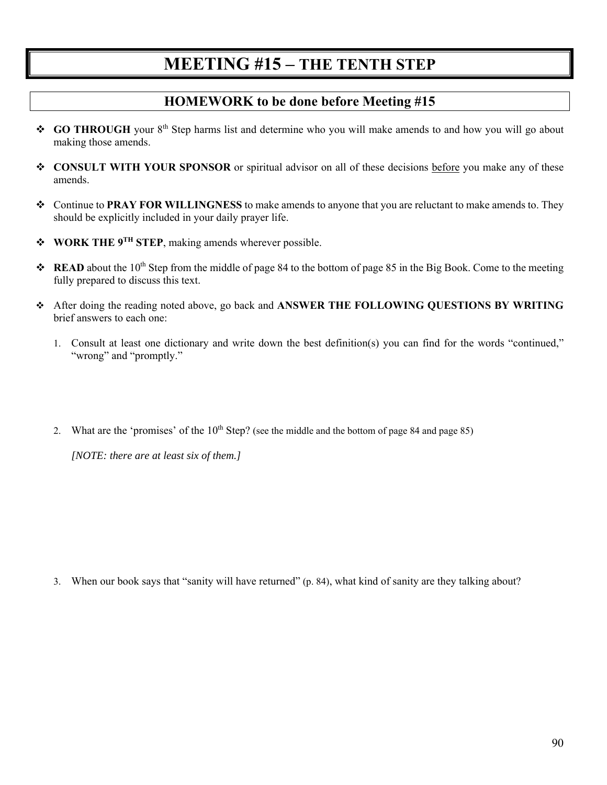# **MEETING #15 – THE TENTH STEP**

# **HOMEWORK to be done before Meeting #15**

- **◆ GO THROUGH** your 8<sup>th</sup> Step harms list and determine who you will make amends to and how you will go about making those amends.
- **CONSULT WITH YOUR SPONSOR** or spiritual advisor on all of these decisions before you make any of these amends.
- Continue to **PRAY FOR WILLINGNESS** to make amends to anyone that you are reluctant to make amends to. They should be explicitly included in your daily prayer life.
- **WORK THE 9TH STEP**, making amends wherever possible.
- **READ** about the 10<sup>th</sup> Step from the middle of page 84 to the bottom of page 85 in the Big Book. Come to the meeting fully prepared to discuss this text.
- After doing the reading noted above, go back and **ANSWER THE FOLLOWING QUESTIONS BY WRITING** brief answers to each one:
	- 1. Consult at least one dictionary and write down the best definition(s) you can find for the words "continued," "wrong" and "promptly."
	- 2. What are the 'promises' of the  $10<sup>th</sup>$  Step? (see the middle and the bottom of page 84 and page 85)

*[NOTE: there are at least six of them.]* 

3. When our book says that "sanity will have returned" (p. 84), what kind of sanity are they talking about?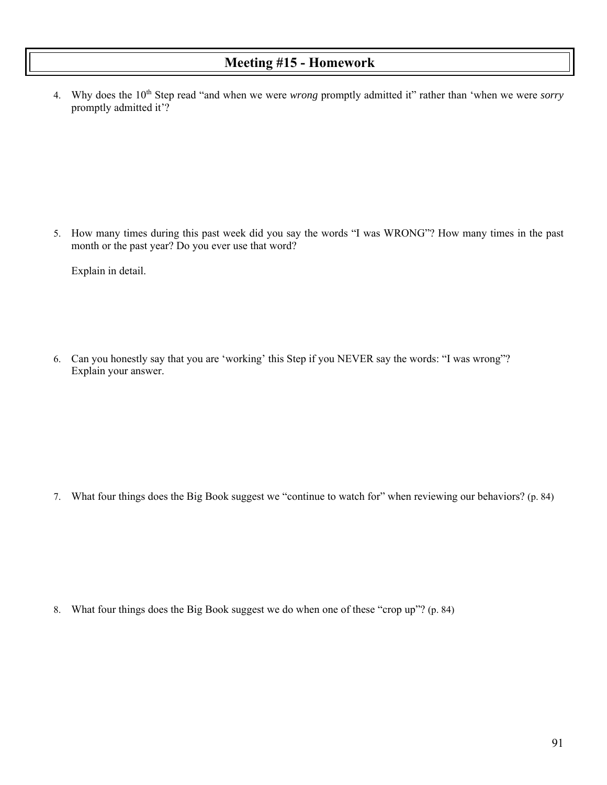4. Why does the 10th Step read "and when we were *wrong* promptly admitted it" rather than 'when we were *sorry*  promptly admitted it'?

5. How many times during this past week did you say the words "I was WRONG"? How many times in the past month or the past year? Do you ever use that word?

Explain in detail.

6. Can you honestly say that you are 'working' this Step if you NEVER say the words: "I was wrong"? Explain your answer.

7. What four things does the Big Book suggest we "continue to watch for" when reviewing our behaviors? (p. 84)

8. What four things does the Big Book suggest we do when one of these "crop up"? (p. 84)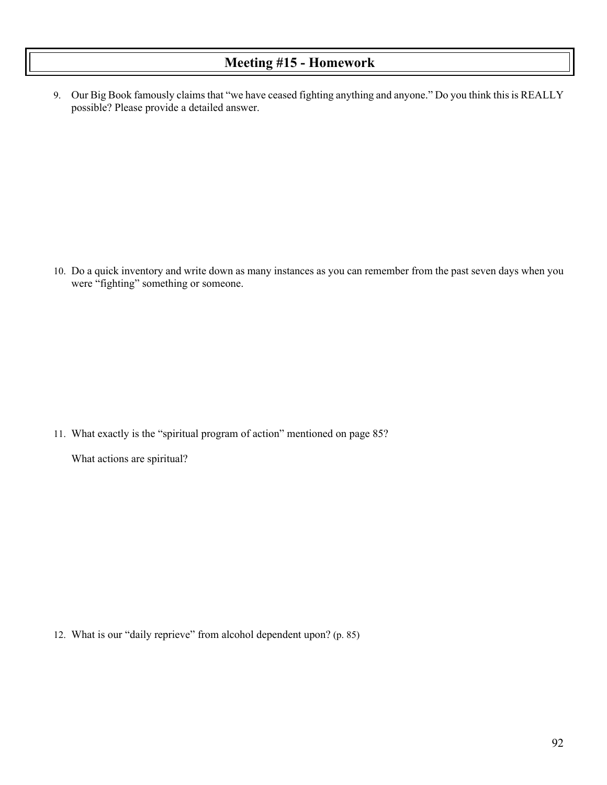9. Our Big Book famously claims that "we have ceased fighting anything and anyone." Do you think this is REALLY possible? Please provide a detailed answer.

10. Do a quick inventory and write down as many instances as you can remember from the past seven days when you were "fighting" something or someone.

11. What exactly is the "spiritual program of action" mentioned on page 85?

What actions are spiritual?

12. What is our "daily reprieve" from alcohol dependent upon? (p. 85)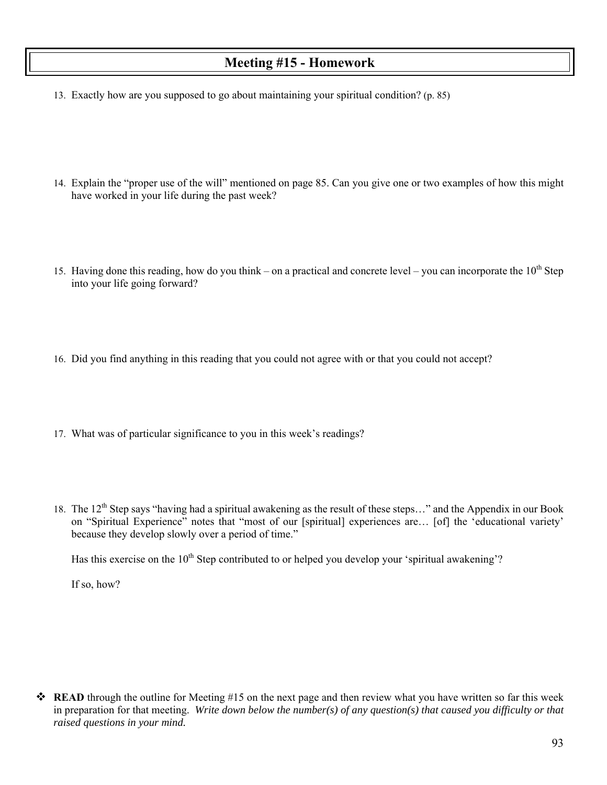- 13. Exactly how are you supposed to go about maintaining your spiritual condition? (p. 85)
- 14. Explain the "proper use of the will" mentioned on page 85. Can you give one or two examples of how this might have worked in your life during the past week?
- 15. Having done this reading, how do you think on a practical and concrete level you can incorporate the  $10^{th}$  Step into your life going forward?
- 16. Did you find anything in this reading that you could not agree with or that you could not accept?
- 17. What was of particular significance to you in this week's readings?
- 18. The  $12<sup>th</sup>$  Step says "having had a spiritual awakening as the result of these steps..." and the Appendix in our Book on "Spiritual Experience" notes that "most of our [spiritual] experiences are… [of] the 'educational variety' because they develop slowly over a period of time."

Has this exercise on the  $10<sup>th</sup>$  Step contributed to or helped you develop your 'spiritual awakening'?

If so, how?

**READ** through the outline for Meeting #15 on the next page and then review what you have written so far this week in preparation for that meeting. *Write down below the number(s) of any question(s) that caused you difficulty or that raised questions in your mind.*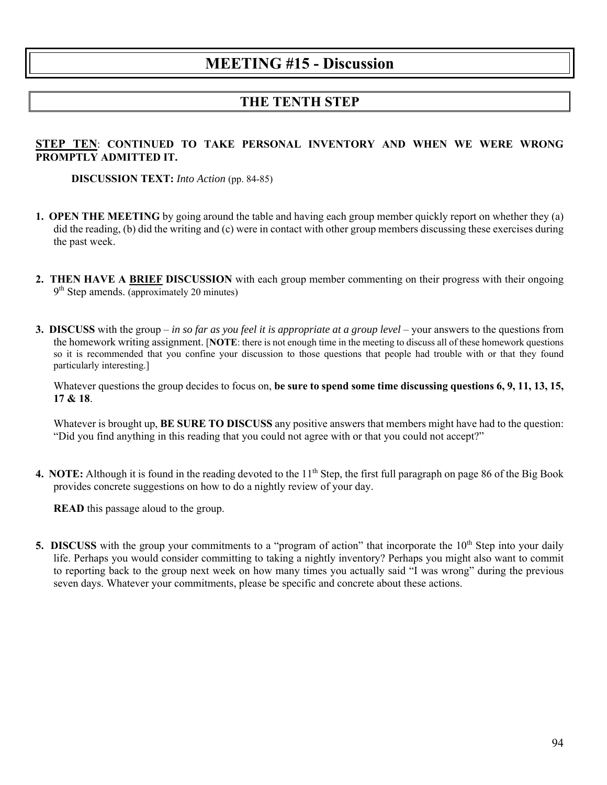# **MEETING #15 - Discussion**

# **THE TENTH STEP**

#### **STEP TEN**: **CONTINUED TO TAKE PERSONAL INVENTORY AND WHEN WE WERE WRONG PROMPTLY ADMITTED IT.**

**DISCUSSION TEXT:** *Into Action* (pp. 84-85)

- **1. OPEN THE MEETING** by going around the table and having each group member quickly report on whether they (a) did the reading, (b) did the writing and (c) were in contact with other group members discussing these exercises during the past week.
- **2. THEN HAVE A BRIEF DISCUSSION** with each group member commenting on their progress with their ongoing  $9<sup>th</sup>$  Step amends. (approximately 20 minutes)
- **3. DISCUSS** with the group *in so far as you feel it is appropriate at a group level* your answers to the questions from the homework writing assignment. [**NOTE**: there is not enough time in the meeting to discuss all of these homework questions so it is recommended that you confine your discussion to those questions that people had trouble with or that they found particularly interesting.]

Whatever questions the group decides to focus on, **be sure to spend some time discussing questions 6, 9, 11, 13, 15, 17 & 18**.

Whatever is brought up, **BE SURE TO DISCUSS** any positive answers that members might have had to the question: "Did you find anything in this reading that you could not agree with or that you could not accept?"

**4. NOTE:** Although it is found in the reading devoted to the  $11<sup>th</sup>$  Step, the first full paragraph on page 86 of the Big Book provides concrete suggestions on how to do a nightly review of your day.

**READ** this passage aloud to the group.

**5. DISCUSS** with the group your commitments to a "program of action" that incorporate the 10<sup>th</sup> Step into your daily life. Perhaps you would consider committing to taking a nightly inventory? Perhaps you might also want to commit to reporting back to the group next week on how many times you actually said "I was wrong" during the previous seven days. Whatever your commitments, please be specific and concrete about these actions.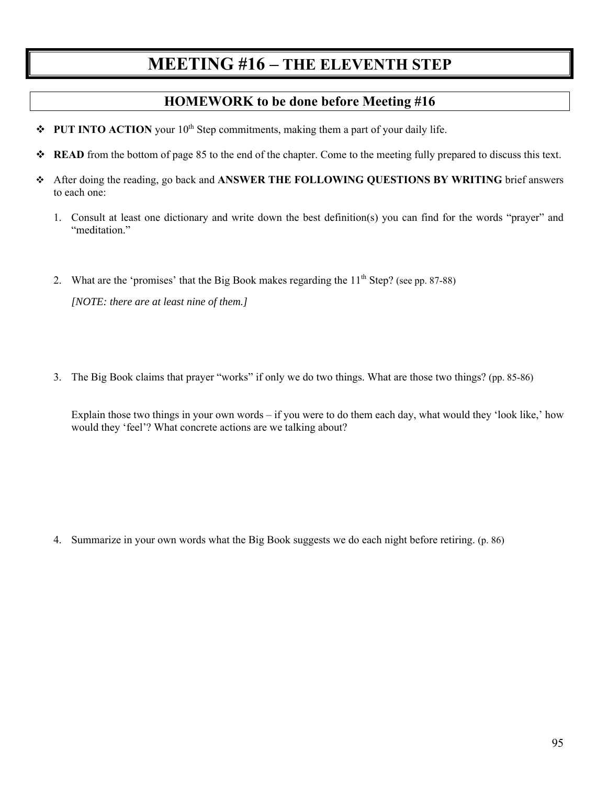# **MEETING #16 – THE ELEVENTH STEP**

### **HOMEWORK to be done before Meeting #16**

- **PUT INTO ACTION** your  $10^{th}$  Step commitments, making them a part of your daily life.
- **READ** from the bottom of page 85 to the end of the chapter. Come to the meeting fully prepared to discuss this text.
- After doing the reading, go back and **ANSWER THE FOLLOWING QUESTIONS BY WRITING** brief answers to each one:
	- 1. Consult at least one dictionary and write down the best definition(s) you can find for the words "prayer" and "meditation."
	- 2. What are the 'promises' that the Big Book makes regarding the  $11<sup>th</sup>$  Step? (see pp. 87-88) *[NOTE: there are at least nine of them.]*
	- 3. The Big Book claims that prayer "works" if only we do two things. What are those two things? (pp. 85-86)

Explain those two things in your own words – if you were to do them each day, what would they 'look like,' how would they 'feel'? What concrete actions are we talking about?

4. Summarize in your own words what the Big Book suggests we do each night before retiring. (p. 86)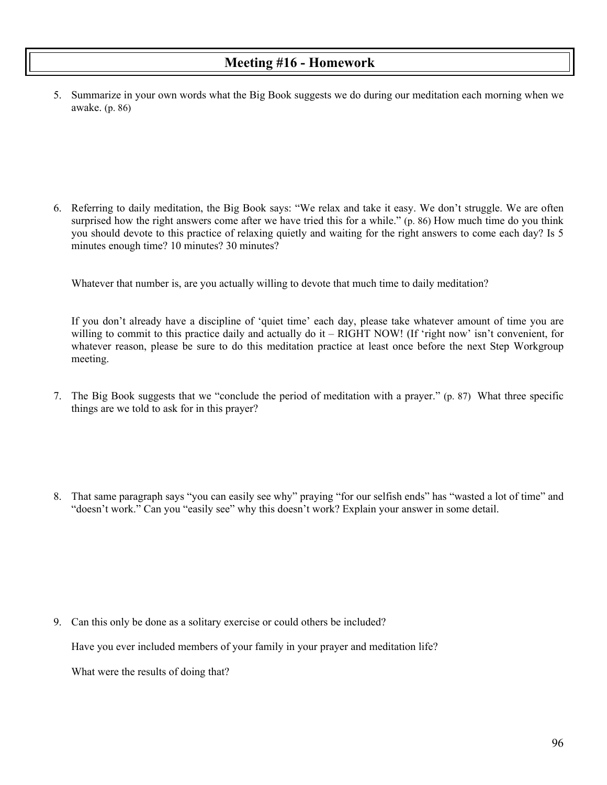5. Summarize in your own words what the Big Book suggests we do during our meditation each morning when we awake. (p. 86)

6. Referring to daily meditation, the Big Book says: "We relax and take it easy. We don't struggle. We are often surprised how the right answers come after we have tried this for a while." (p. 86) How much time do you think you should devote to this practice of relaxing quietly and waiting for the right answers to come each day? Is 5 minutes enough time? 10 minutes? 30 minutes?

Whatever that number is, are you actually willing to devote that much time to daily meditation?

If you don't already have a discipline of 'quiet time' each day, please take whatever amount of time you are willing to commit to this practice daily and actually do it – RIGHT NOW! (If 'right now' isn't convenient, for whatever reason, please be sure to do this meditation practice at least once before the next Step Workgroup meeting.

- 7. The Big Book suggests that we "conclude the period of meditation with a prayer." (p. 87) What three specific things are we told to ask for in this prayer?
- 8. That same paragraph says "you can easily see why" praying "for our selfish ends" has "wasted a lot of time" and "doesn't work." Can you "easily see" why this doesn't work? Explain your answer in some detail.

9. Can this only be done as a solitary exercise or could others be included?

Have you ever included members of your family in your prayer and meditation life?

What were the results of doing that?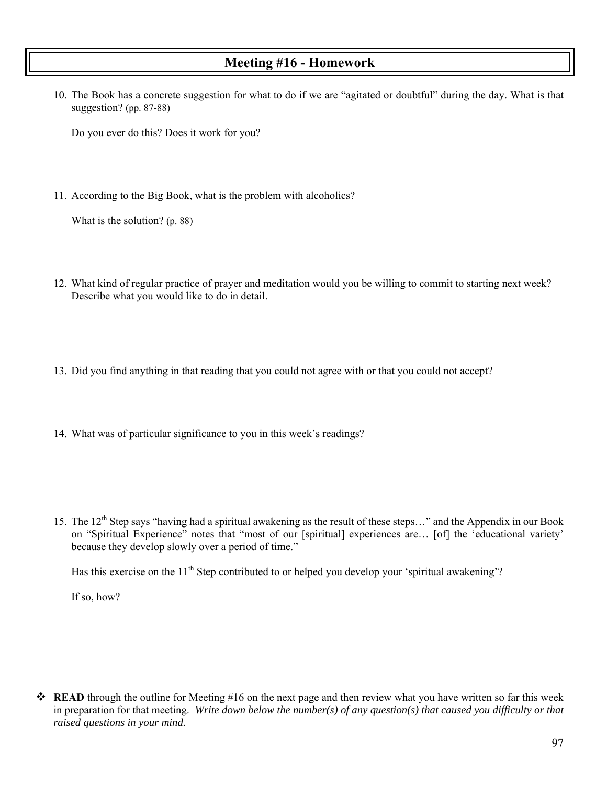### **Meeting #16 - Homework**

10. The Book has a concrete suggestion for what to do if we are "agitated or doubtful" during the day. What is that suggestion? (pp. 87-88)

Do you ever do this? Does it work for you?

11. According to the Big Book, what is the problem with alcoholics?

What is the solution? (p. 88)

- 12. What kind of regular practice of prayer and meditation would you be willing to commit to starting next week? Describe what you would like to do in detail.
- 13. Did you find anything in that reading that you could not agree with or that you could not accept?
- 14. What was of particular significance to you in this week's readings?
- 15. The 12<sup>th</sup> Step says "having had a spiritual awakening as the result of these steps..." and the Appendix in our Book on "Spiritual Experience" notes that "most of our [spiritual] experiences are… [of] the 'educational variety' because they develop slowly over a period of time."

Has this exercise on the 11<sup>th</sup> Step contributed to or helped you develop your 'spiritual awakening'?

If so, how?

**READ** through the outline for Meeting #16 on the next page and then review what you have written so far this week in preparation for that meeting. *Write down below the number(s) of any question(s) that caused you difficulty or that raised questions in your mind.*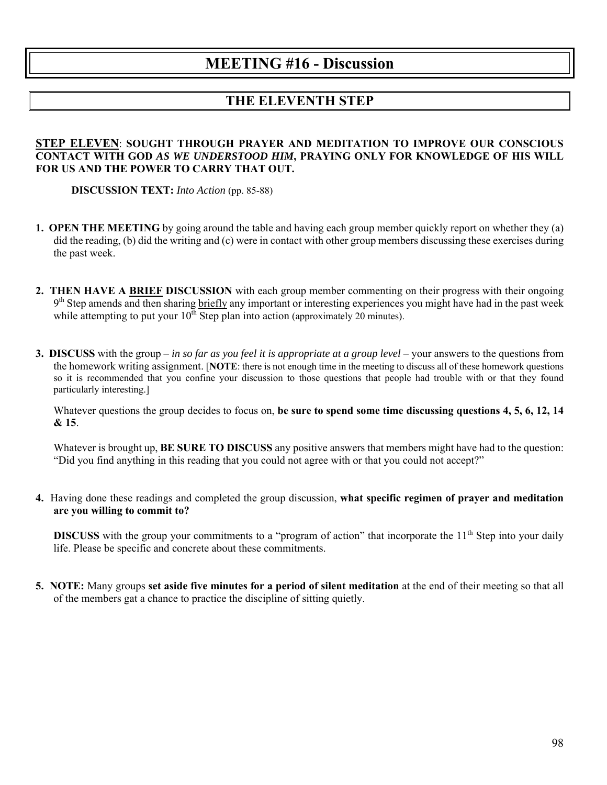# **MEETING #16 - Discussion**

# **THE ELEVENTH STEP**

#### **STEP ELEVEN**: **SOUGHT THROUGH PRAYER AND MEDITATION TO IMPROVE OUR CONSCIOUS CONTACT WITH GOD** *AS WE UNDERSTOOD HIM***, PRAYING ONLY FOR KNOWLEDGE OF HIS WILL FOR US AND THE POWER TO CARRY THAT OUT.**

**DISCUSSION TEXT:** *Into Action* (pp. 85-88)

- **1. OPEN THE MEETING** by going around the table and having each group member quickly report on whether they (a) did the reading, (b) did the writing and (c) were in contact with other group members discussing these exercises during the past week.
- **2. THEN HAVE A BRIEF DISCUSSION** with each group member commenting on their progress with their ongoing  $9<sup>th</sup>$  Step amends and then sharing briefly any important or interesting experiences you might have had in the past week while attempting to put your  $10<sup>th</sup>$  Step plan into action (approximately 20 minutes).
- **3. DISCUSS** with the group *in so far as you feel it is appropriate at a group level* your answers to the questions from the homework writing assignment. [**NOTE**: there is not enough time in the meeting to discuss all of these homework questions so it is recommended that you confine your discussion to those questions that people had trouble with or that they found particularly interesting.]

Whatever questions the group decides to focus on, **be sure to spend some time discussing questions 4, 5, 6, 12, 14 & 15**.

Whatever is brought up, **BE SURE TO DISCUSS** any positive answers that members might have had to the question: "Did you find anything in this reading that you could not agree with or that you could not accept?"

**4.** Having done these readings and completed the group discussion, **what specific regimen of prayer and meditation are you willing to commit to?** 

**DISCUSS** with the group your commitments to a "program of action" that incorporate the  $11<sup>th</sup>$  Step into your daily life. Please be specific and concrete about these commitments.

**5. NOTE:** Many groups **set aside five minutes for a period of silent meditation** at the end of their meeting so that all of the members gat a chance to practice the discipline of sitting quietly.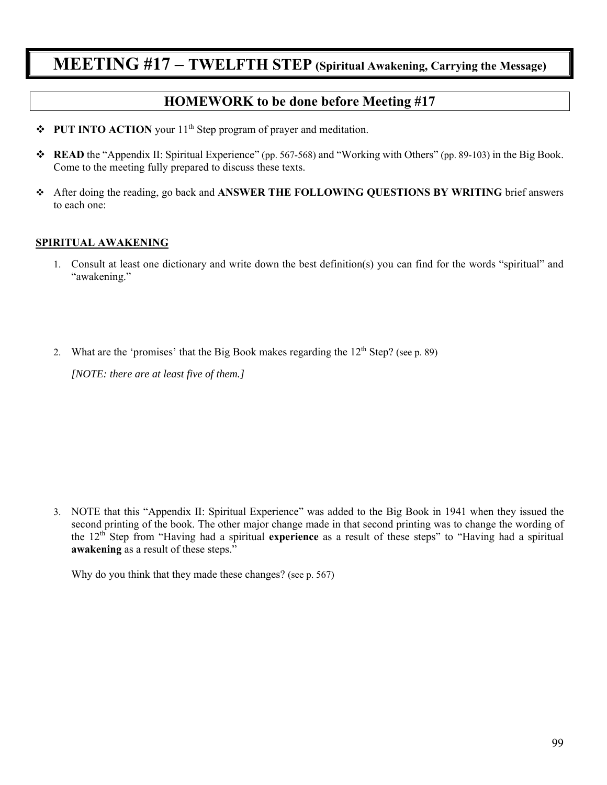# **MEETING #17 – TWELFTH STEP (Spiritual Awakening, Carrying the Message)**

### **HOMEWORK to be done before Meeting #17**

- **PUT INTO ACTION** your 11<sup>th</sup> Step program of prayer and meditation.
- **\*** READ the "Appendix II: Spiritual Experience" (pp. 567-568) and "Working with Others" (pp. 89-103) in the Big Book. Come to the meeting fully prepared to discuss these texts.
- After doing the reading, go back and **ANSWER THE FOLLOWING QUESTIONS BY WRITING** brief answers to each one:

#### **SPIRITUAL AWAKENING**

- 1. Consult at least one dictionary and write down the best definition(s) you can find for the words "spiritual" and "awakening."
- 2. What are the 'promises' that the Big Book makes regarding the  $12<sup>th</sup>$  Step? (see p. 89)

*[NOTE: there are at least five of them.]* 

3. NOTE that this "Appendix II: Spiritual Experience" was added to the Big Book in 1941 when they issued the second printing of the book. The other major change made in that second printing was to change the wording of the 12th Step from "Having had a spiritual **experience** as a result of these steps" to "Having had a spiritual **awakening** as a result of these steps."

Why do you think that they made these changes? (see p. 567)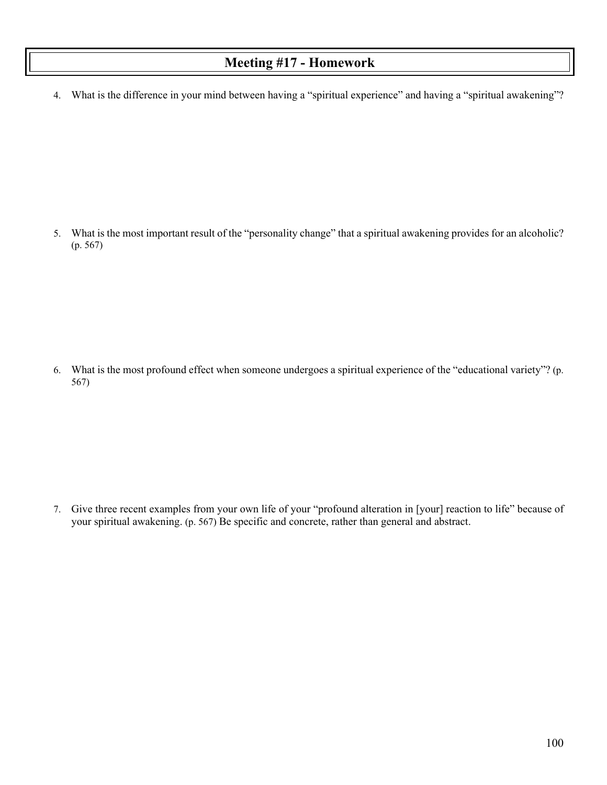4. What is the difference in your mind between having a "spiritual experience" and having a "spiritual awakening"?

5. What is the most important result of the "personality change" that a spiritual awakening provides for an alcoholic? (p. 567)

6. What is the most profound effect when someone undergoes a spiritual experience of the "educational variety"? (p. 567)

7. Give three recent examples from your own life of your "profound alteration in [your] reaction to life" because of your spiritual awakening. (p. 567) Be specific and concrete, rather than general and abstract.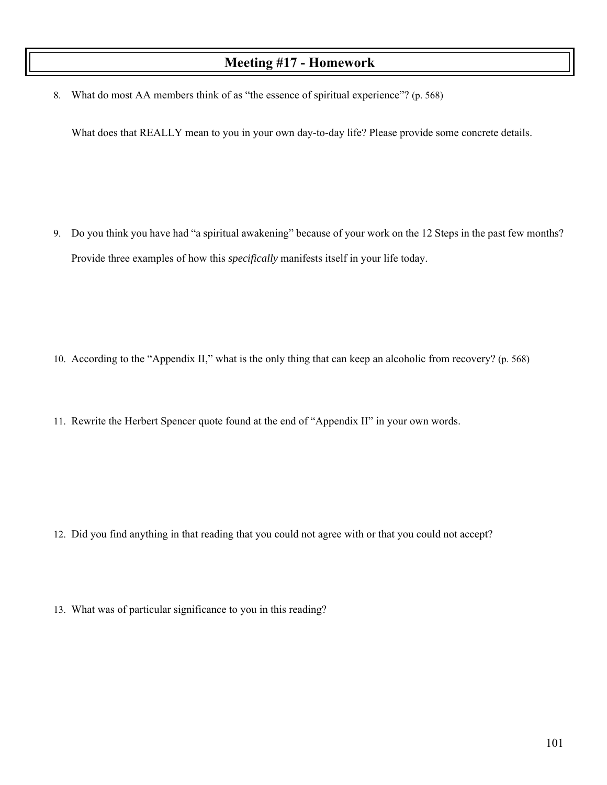8. What do most AA members think of as "the essence of spiritual experience"? (p. 568)

What does that REALLY mean to you in your own day-to-day life? Please provide some concrete details.

9. Do you think you have had "a spiritual awakening" because of your work on the 12 Steps in the past few months? Provide three examples of how this *specifically* manifests itself in your life today.

- 10. According to the "Appendix II," what is the only thing that can keep an alcoholic from recovery? (p. 568)
- 11. Rewrite the Herbert Spencer quote found at the end of "Appendix II" in your own words.

- 12. Did you find anything in that reading that you could not agree with or that you could not accept?
- 13. What was of particular significance to you in this reading?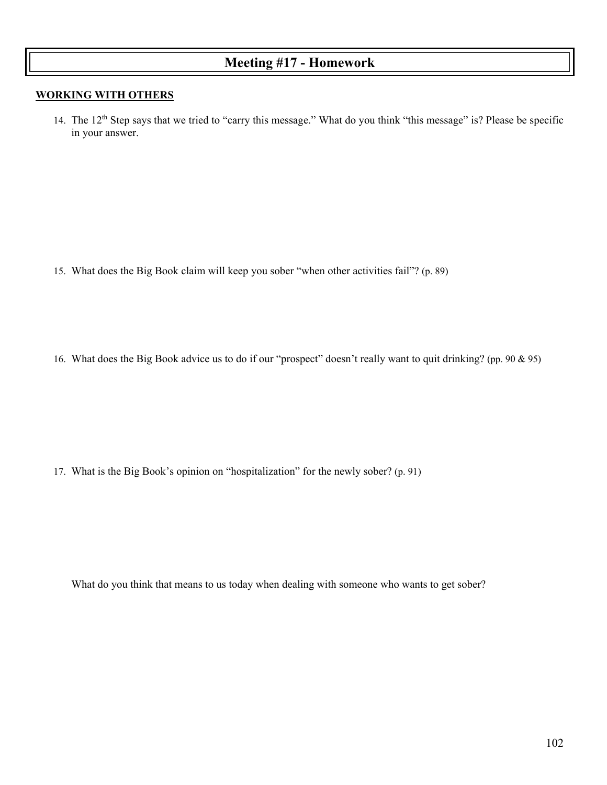#### **WORKING WITH OTHERS**

14. The 12<sup>th</sup> Step says that we tried to "carry this message." What do you think "this message" is? Please be specific in your answer.

15. What does the Big Book claim will keep you sober "when other activities fail"? (p. 89)

16. What does the Big Book advice us to do if our "prospect" doesn't really want to quit drinking? (pp. 90 & 95)

17. What is the Big Book's opinion on "hospitalization" for the newly sober? (p. 91)

What do you think that means to us today when dealing with someone who wants to get sober?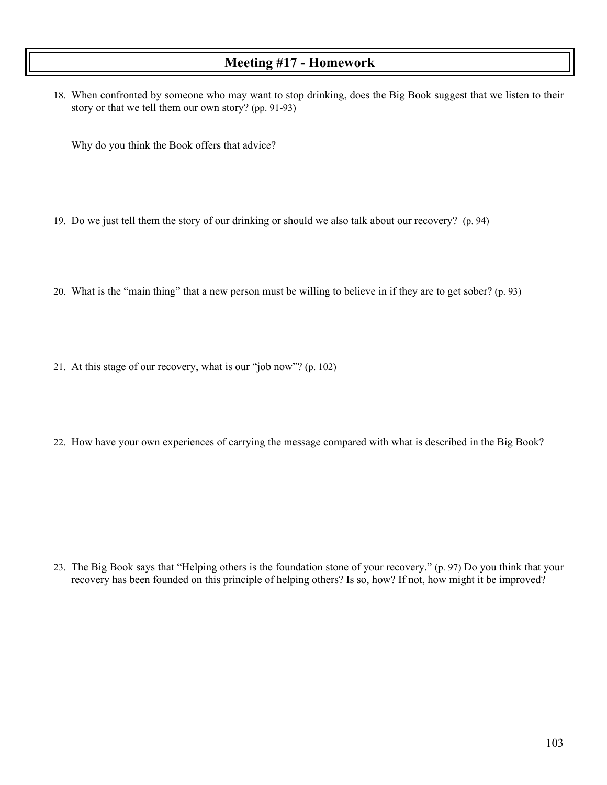18. When confronted by someone who may want to stop drinking, does the Big Book suggest that we listen to their story or that we tell them our own story? (pp. 91-93)

Why do you think the Book offers that advice?

- 19. Do we just tell them the story of our drinking or should we also talk about our recovery? (p. 94)
- 20. What is the "main thing" that a new person must be willing to believe in if they are to get sober? (p. 93)
- 21. At this stage of our recovery, what is our "job now"? (p. 102)
- 22. How have your own experiences of carrying the message compared with what is described in the Big Book?

23. The Big Book says that "Helping others is the foundation stone of your recovery." (p. 97) Do you think that your recovery has been founded on this principle of helping others? Is so, how? If not, how might it be improved?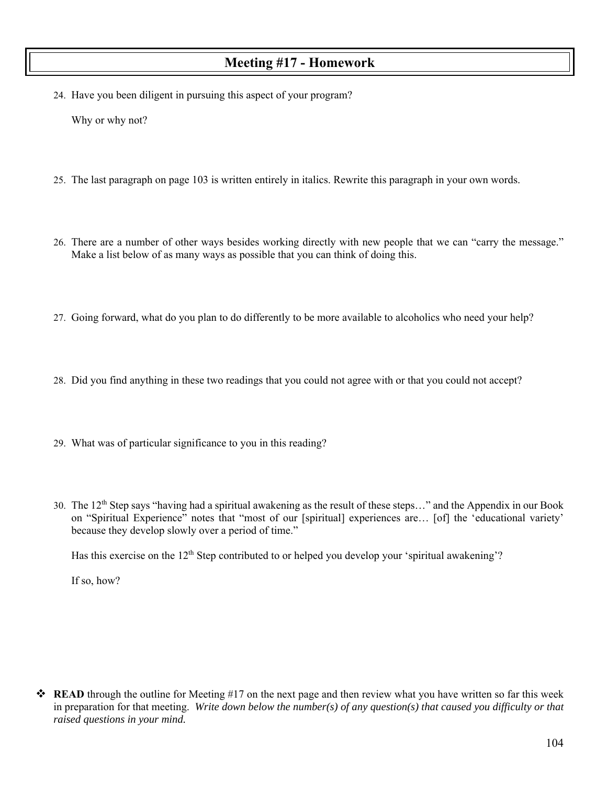24. Have you been diligent in pursuing this aspect of your program?

Why or why not?

- 25. The last paragraph on page 103 is written entirely in italics. Rewrite this paragraph in your own words.
- 26. There are a number of other ways besides working directly with new people that we can "carry the message." Make a list below of as many ways as possible that you can think of doing this.
- 27. Going forward, what do you plan to do differently to be more available to alcoholics who need your help?
- 28. Did you find anything in these two readings that you could not agree with or that you could not accept?
- 29. What was of particular significance to you in this reading?
- 30. The  $12<sup>th</sup>$  Step says "having had a spiritual awakening as the result of these steps..." and the Appendix in our Book on "Spiritual Experience" notes that "most of our [spiritual] experiences are… [of] the 'educational variety' because they develop slowly over a period of time."

Has this exercise on the  $12<sup>th</sup>$  Step contributed to or helped you develop your 'spiritual awakening'?

If so, how?

**EXAD** through the outline for Meeting #17 on the next page and then review what you have written so far this week in preparation for that meeting. *Write down below the number(s) of any question(s) that caused you difficulty or that raised questions in your mind.*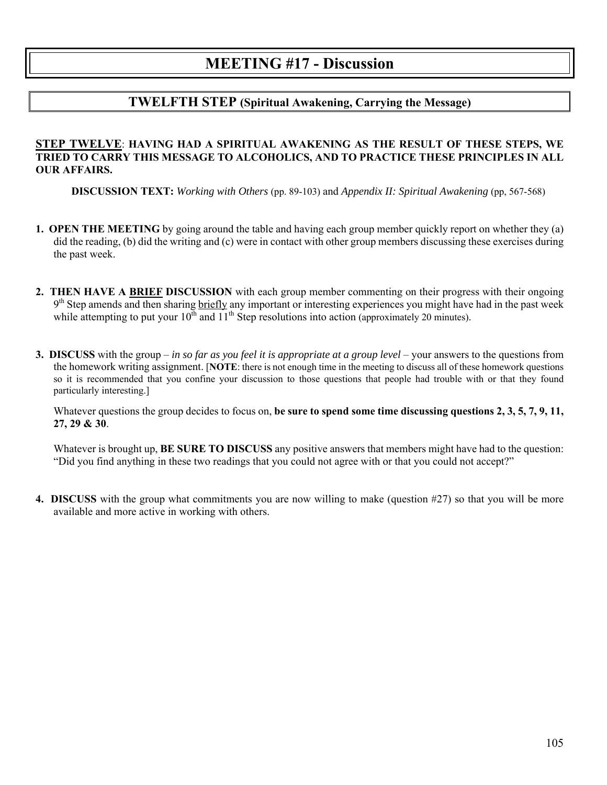# **MEETING #17 - Discussion**

### **TWELFTH STEP (Spiritual Awakening, Carrying the Message)**

#### **STEP TWELVE**: **HAVING HAD A SPIRITUAL AWAKENING AS THE RESULT OF THESE STEPS, WE TRIED TO CARRY THIS MESSAGE TO ALCOHOLICS, AND TO PRACTICE THESE PRINCIPLES IN ALL OUR AFFAIRS.**

**DISCUSSION TEXT:** *Working with Others* (pp. 89-103) and *Appendix II: Spiritual Awakening* (pp, 567-568)

- **1. OPEN THE MEETING** by going around the table and having each group member quickly report on whether they (a) did the reading, (b) did the writing and (c) were in contact with other group members discussing these exercises during the past week.
- **2. THEN HAVE A BRIEF DISCUSSION** with each group member commenting on their progress with their ongoing  $9<sup>th</sup>$  Step amends and then sharing briefly any important or interesting experiences you might have had in the past week while attempting to put your  $10^{th}$  and  $11^{th}$  Step resolutions into action (approximately 20 minutes).
- **3. DISCUSS** with the group *in so far as you feel it is appropriate at a group level* your answers to the questions from the homework writing assignment. [**NOTE**: there is not enough time in the meeting to discuss all of these homework questions so it is recommended that you confine your discussion to those questions that people had trouble with or that they found particularly interesting.]

Whatever questions the group decides to focus on, **be sure to spend some time discussing questions 2, 3, 5, 7, 9, 11, 27, 29 & 30**.

Whatever is brought up, **BE SURE TO DISCUSS** any positive answers that members might have had to the question: "Did you find anything in these two readings that you could not agree with or that you could not accept?"

**4. DISCUSS** with the group what commitments you are now willing to make (question #27) so that you will be more available and more active in working with others.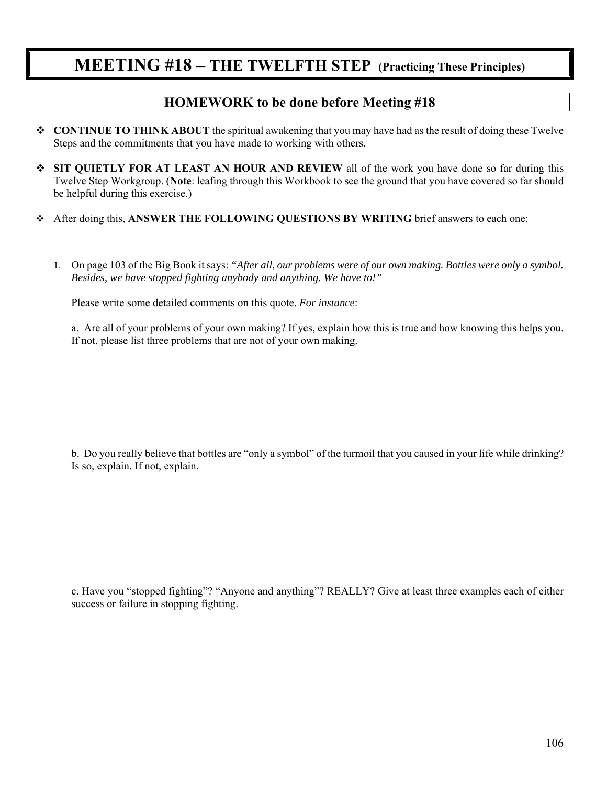# **MEETING #18 – THE TWELFTH STEP (Practicing These Principles)**

# **HOMEWORK to be done before Meeting #18**

- **CONTINUE TO THINK ABOUT** the spiritual awakening that you may have had as the result of doing these Twelve Steps and the commitments that you have made to working with others.
- $\div$  SIT QUIETLY FOR AT LEAST AN HOUR AND REVIEW all of the work you have done so far during this Twelve Step Workgroup. (**Note**: leafing through this Workbook to see the ground that you have covered so far should be helpful during this exercise.)
- After doing this, **ANSWER THE FOLLOWING QUESTIONS BY WRITING** brief answers to each one:
	- 1. On page 103 of the Big Book it says: *"After all, our problems were of our own making. Bottles were only a symbol. Besides, we have stopped fighting anybody and anything. We have to!"*

Please write some detailed comments on this quote. *For instance*:

a. Are all of your problems of your own making? If yes, explain how this is true and how knowing this helps you. If not, please list three problems that are not of your own making.

b. Do you really believe that bottles are "only a symbol" of the turmoil that you caused in your life while drinking? Is so, explain. If not, explain.

c. Have you "stopped fighting"? "Anyone and anything"? REALLY? Give at least three examples each of either success or failure in stopping fighting.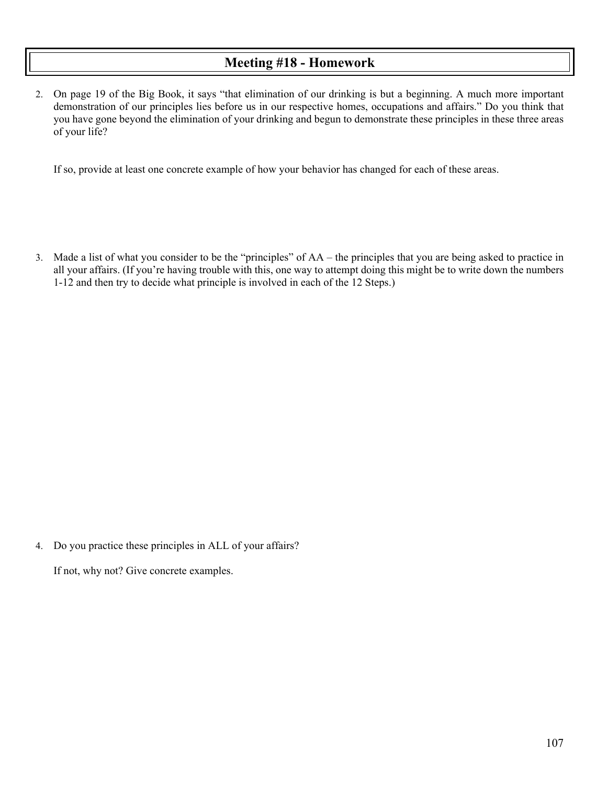# **Meeting #18 - Homework**

2. On page 19 of the Big Book, it says "that elimination of our drinking is but a beginning. A much more important demonstration of our principles lies before us in our respective homes, occupations and affairs." Do you think that you have gone beyond the elimination of your drinking and begun to demonstrate these principles in these three areas of your life?

If so, provide at least one concrete example of how your behavior has changed for each of these areas.

3. Made a list of what you consider to be the "principles" of AA – the principles that you are being asked to practice in all your affairs. (If you're having trouble with this, one way to attempt doing this might be to write down the numbers 1-12 and then try to decide what principle is involved in each of the 12 Steps.)

4. Do you practice these principles in ALL of your affairs?

If not, why not? Give concrete examples.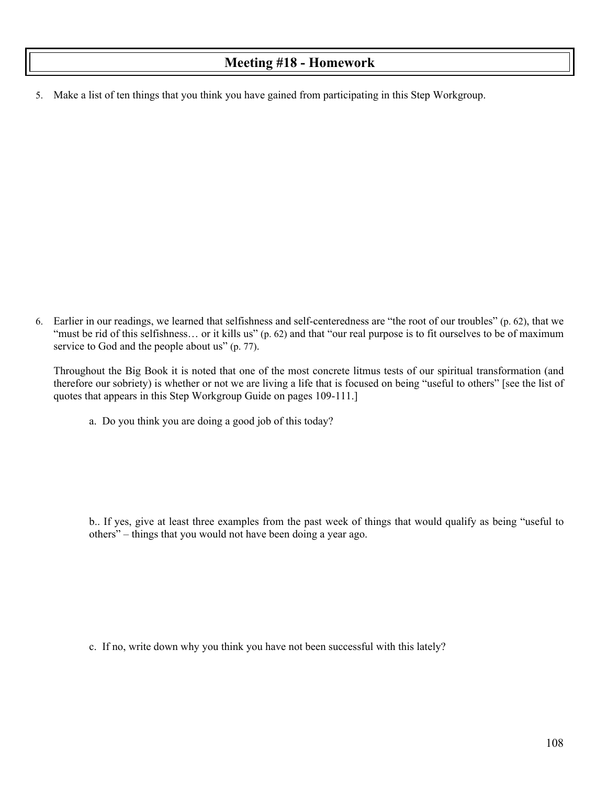5. Make a list of ten things that you think you have gained from participating in this Step Workgroup.

6. Earlier in our readings, we learned that selfishness and self-centeredness are "the root of our troubles" (p. 62), that we "must be rid of this selfishness... or it kills us" (p. 62) and that "our real purpose is to fit ourselves to be of maximum service to God and the people about us" (p. 77).

Throughout the Big Book it is noted that one of the most concrete litmus tests of our spiritual transformation (and therefore our sobriety) is whether or not we are living a life that is focused on being "useful to others" [see the list of quotes that appears in this Step Workgroup Guide on pages 109-111.]

a. Do you think you are doing a good job of this today?

b.. If yes, give at least three examples from the past week of things that would qualify as being "useful to others" – things that you would not have been doing a year ago.

c. If no, write down why you think you have not been successful with this lately?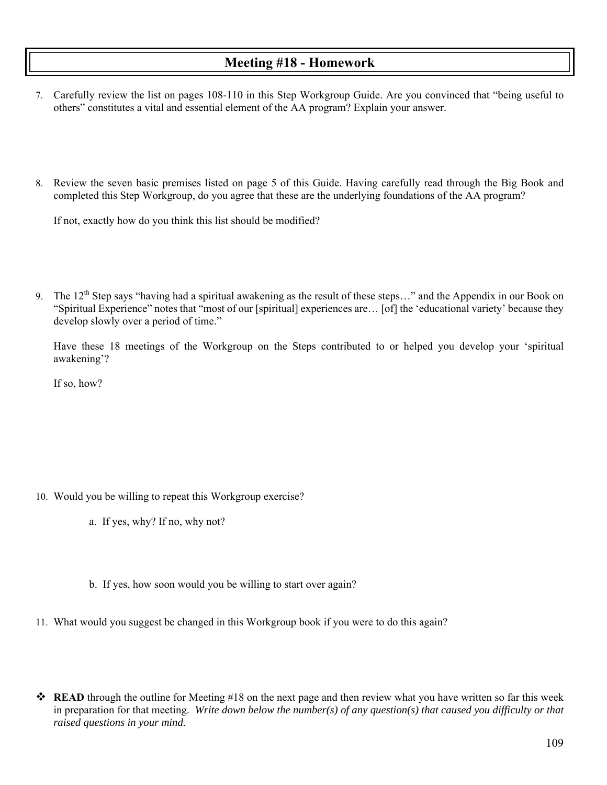#### **Meeting #18 - Homework**

- 7. Carefully review the list on pages 108-110 in this Step Workgroup Guide. Are you convinced that "being useful to others" constitutes a vital and essential element of the AA program? Explain your answer.
- 8. Review the seven basic premises listed on page 5 of this Guide. Having carefully read through the Big Book and completed this Step Workgroup, do you agree that these are the underlying foundations of the AA program?

If not, exactly how do you think this list should be modified?

9. The  $12<sup>th</sup>$  Step says "having had a spiritual awakening as the result of these steps..." and the Appendix in our Book on "Spiritual Experience" notes that "most of our [spiritual] experiences are… [of] the 'educational variety' because they develop slowly over a period of time."

Have these 18 meetings of the Workgroup on the Steps contributed to or helped you develop your 'spiritual awakening'?

If so, how?

- 10. Would you be willing to repeat this Workgroup exercise?
	- a. If yes, why? If no, why not?
	- b. If yes, how soon would you be willing to start over again?
- 11. What would you suggest be changed in this Workgroup book if you were to do this again?
- **READ** through the outline for Meeting #18 on the next page and then review what you have written so far this week in preparation for that meeting. *Write down below the number(s) of any question(s) that caused you difficulty or that raised questions in your mind.*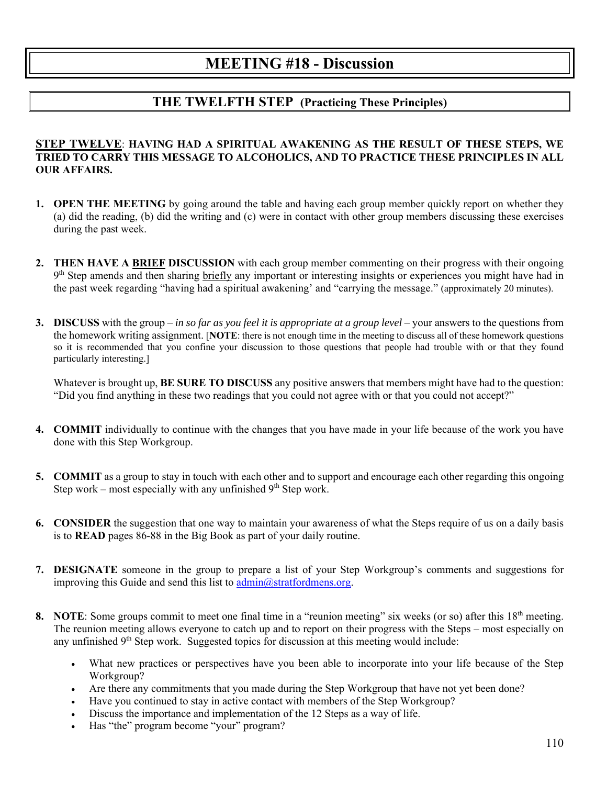#### **MEETING #18 - Discussion**

#### **THE TWELFTH STEP (Practicing These Principles)**

#### **STEP TWELVE**: **HAVING HAD A SPIRITUAL AWAKENING AS THE RESULT OF THESE STEPS, WE TRIED TO CARRY THIS MESSAGE TO ALCOHOLICS, AND TO PRACTICE THESE PRINCIPLES IN ALL OUR AFFAIRS.**

- **1. OPEN THE MEETING** by going around the table and having each group member quickly report on whether they (a) did the reading, (b) did the writing and (c) were in contact with other group members discussing these exercises during the past week.
- **2. THEN HAVE A BRIEF DISCUSSION** with each group member commenting on their progress with their ongoing  $9<sup>th</sup>$  Step amends and then sharing briefly any important or interesting insights or experiences you might have had in the past week regarding "having had a spiritual awakening' and "carrying the message." (approximately 20 minutes).
- **3. DISCUSS** with the group *in so far as you feel it is appropriate at a group level* your answers to the questions from the homework writing assignment. [**NOTE**: there is not enough time in the meeting to discuss all of these homework questions so it is recommended that you confine your discussion to those questions that people had trouble with or that they found particularly interesting.]

Whatever is brought up, **BE SURE TO DISCUSS** any positive answers that members might have had to the question: "Did you find anything in these two readings that you could not agree with or that you could not accept?"

- **4. COMMIT** individually to continue with the changes that you have made in your life because of the work you have done with this Step Workgroup.
- **5. COMMIT** as a group to stay in touch with each other and to support and encourage each other regarding this ongoing Step work – most especially with any unfinished  $9<sup>th</sup>$  Step work.
- **6. CONSIDER** the suggestion that one way to maintain your awareness of what the Steps require of us on a daily basis is to **READ** pages 86-88 in the Big Book as part of your daily routine.
- **7. DESIGNATE** someone in the group to prepare a list of your Step Workgroup's comments and suggestions for improving this Guide and send this list to  $\frac{\text{admin}(a)\text{stratfordmens.org}}{\text{atim}(a)}$ .
- **8. NOTE**: Some groups commit to meet one final time in a "reunion meeting" six weeks (or so) after this 18<sup>th</sup> meeting. The reunion meeting allows everyone to catch up and to report on their progress with the Steps – most especially on any unfinished  $9<sup>th</sup>$  Step work. Suggested topics for discussion at this meeting would include:
	- What new practices or perspectives have you been able to incorporate into your life because of the Step Workgroup?
	- Are there any commitments that you made during the Step Workgroup that have not yet been done?
	- Have you continued to stay in active contact with members of the Step Workgroup?
	- Discuss the importance and implementation of the 12 Steps as a way of life.
	- Has "the" program become "your" program?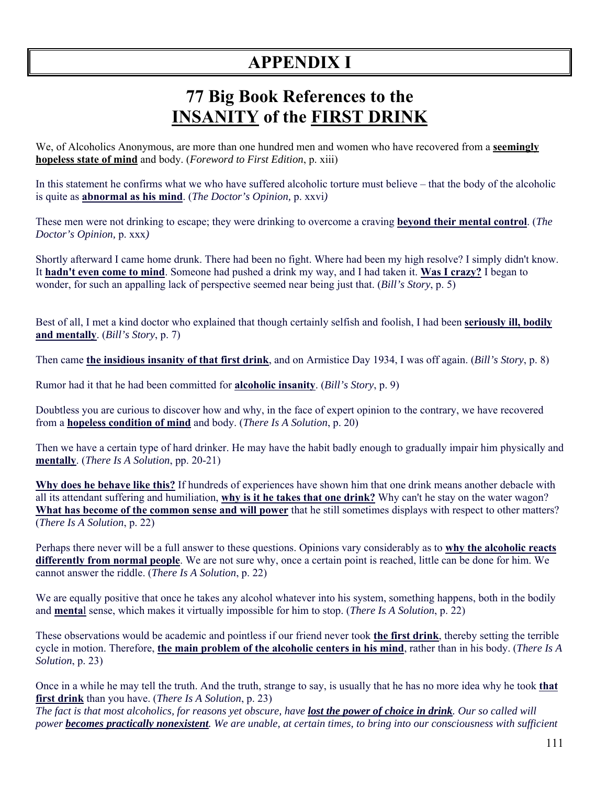# **APPENDIX I**

## **77 Big Book References to the INSANITY of the FIRST DRINK**

We, of Alcoholics Anonymous, are more than one hundred men and women who have recovered from a **seemingly hopeless state of mind** and body. (*Foreword to First Edition*, p. xiii)

In this statement he confirms what we who have suffered alcoholic torture must believe – that the body of the alcoholic is quite as **abnormal as his mind**. (*The Doctor's Opinion,* p. xxvi*)*

These men were not drinking to escape; they were drinking to overcome a craving **beyond their mental control**. (*The Doctor's Opinion,* p. xxx*)* 

Shortly afterward I came home drunk. There had been no fight. Where had been my high resolve? I simply didn't know. It **hadn't even come to mind**. Someone had pushed a drink my way, and I had taken it. **Was I crazy?** I began to wonder, for such an appalling lack of perspective seemed near being just that. (*Bill's Story*, p. 5)

Best of all, I met a kind doctor who explained that though certainly selfish and foolish, I had been **seriously ill, bodily and mentally**. (*Bill's Story*, p. 7)

Then came **the insidious insanity of that first drink**, and on Armistice Day 1934, I was off again. (*Bill's Story*, p. 8)

Rumor had it that he had been committed for **alcoholic insanity**. (*Bill's Story*, p. 9)

Doubtless you are curious to discover how and why, in the face of expert opinion to the contrary, we have recovered from a **hopeless condition of mind** and body. (*There Is A Solution*, p. 20)

Then we have a certain type of hard drinker. He may have the habit badly enough to gradually impair him physically and **mentally**. (*There Is A Solution*, pp. 20-21)

**Why does he behave like this?** If hundreds of experiences have shown him that one drink means another debacle with all its attendant suffering and humiliation, **why is it he takes that one drink?** Why can't he stay on the water wagon? **What has become of the common sense and will power** that he still sometimes displays with respect to other matters? (*There Is A Solution*, p. 22)

Perhaps there never will be a full answer to these questions. Opinions vary considerably as to **why the alcoholic reacts differently from normal people**. We are not sure why, once a certain point is reached, little can be done for him. We cannot answer the riddle. (*There Is A Solution*, p. 22)

We are equally positive that once he takes any alcohol whatever into his system, something happens, both in the bodily and **menta**l sense, which makes it virtually impossible for him to stop. (*There Is A Solution*, p. 22)

These observations would be academic and pointless if our friend never took **the first drink**, thereby setting the terrible cycle in motion. Therefore, **the main problem of the alcoholic centers in his mind**, rather than in his body. (*There Is A Solution*, p. 23)

Once in a while he may tell the truth. And the truth, strange to say, is usually that he has no more idea why he took **that first drink** than you have. (*There Is A Solution*, p. 23)

The fact is that most alcoholics, for reasons yet obscure, have **lost the power of choice in drink**. Our so called will *power becomes practically nonexistent. We are unable, at certain times, to bring into our consciousness with sufficient*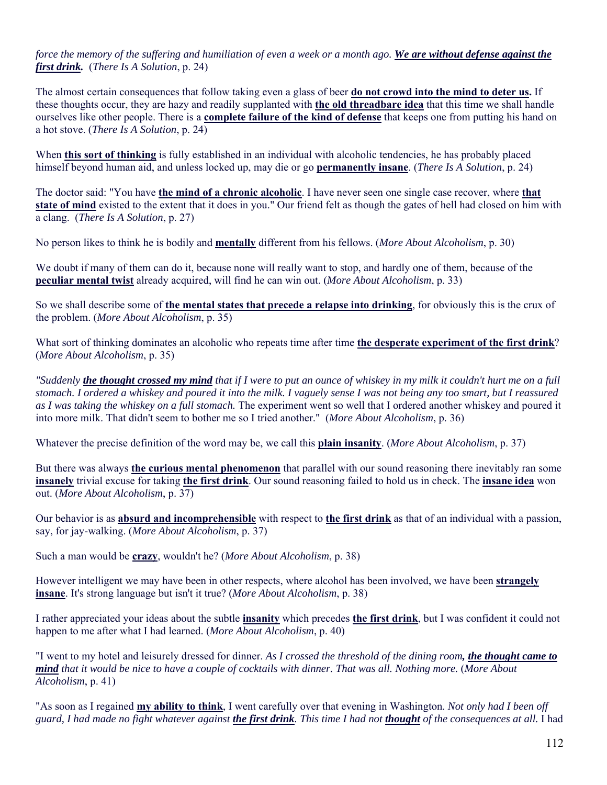*force the memory of the suffering and humiliation of even a week or a month ago. We are without defense against the first drink.* (*There Is A Solution*, p. 24)

The almost certain consequences that follow taking even a glass of beer **do not crowd into the mind to deter us.** If these thoughts occur, they are hazy and readily supplanted with **the old threadbare idea** that this time we shall handle ourselves like other people. There is a **complete failure of the kind of defense** that keeps one from putting his hand on a hot stove. (*There Is A Solution*, p. 24)

When **this sort of thinking** is fully established in an individual with alcoholic tendencies, he has probably placed himself beyond human aid, and unless locked up, may die or go **permanently insane**. (*There Is A Solution*, p. 24)

The doctor said: "You have **the mind of a chronic alcoholic**. I have never seen one single case recover, where **that**  state of mind existed to the extent that it does in you." Our friend felt as though the gates of hell had closed on him with a clang. (*There Is A Solution*, p. 27)

No person likes to think he is bodily and **mentally** different from his fellows. (*More About Alcoholism*, p. 30)

We doubt if many of them can do it, because none will really want to stop, and hardly one of them, because of the **peculiar mental twist** already acquired, will find he can win out. (*More About Alcoholism*, p. 33)

So we shall describe some of **the mental states that precede a relapse into drinking**, for obviously this is the crux of the problem. (*More About Alcoholism*, p. 35)

What sort of thinking dominates an alcoholic who repeats time after time **the desperate experiment of the first drink**? (*More About Alcoholism*, p. 35)

*"Suddenly the thought crossed my mind that if I were to put an ounce of whiskey in my milk it couldn't hurt me on a full stomach. I ordered a whiskey and poured it into the milk. I vaguely sense I was not being any too smart, but I reassured as I was taking the whiskey on a full stomach.* The experiment went so well that I ordered another whiskey and poured it into more milk. That didn't seem to bother me so I tried another." (*More About Alcoholism*, p. 36)

Whatever the precise definition of the word may be, we call this **plain insanity**. (*More About Alcoholism*, p. 37)

But there was always **the curious mental phenomenon** that parallel with our sound reasoning there inevitably ran some **insanely** trivial excuse for taking **the first drink**. Our sound reasoning failed to hold us in check. The **insane idea** won out. (*More About Alcoholism*, p. 37)

Our behavior is as **absurd and incomprehensible** with respect to **the first drink** as that of an individual with a passion, say, for jay-walking. (*More About Alcoholism*, p. 37)

Such a man would be **crazy**, wouldn't he? (*More About Alcoholism*, p. 38)

However intelligent we may have been in other respects, where alcohol has been involved, we have been **strangely insane**. It's strong language but isn't it true? (*More About Alcoholism*, p. 38)

I rather appreciated your ideas about the subtle **insanity** which precedes **the first drink**, but I was confident it could not happen to me after what I had learned. (*More About Alcoholism*, p. 40)

"I went to my hotel and leisurely dressed for dinner. *As I crossed the threshold of the dining room, the thought came to mind that it would be nice to have a couple of cocktails with dinner. That was all. Nothing more.* (*More About Alcoholism*, p. 41)

"As soon as I regained **my ability to think**, I went carefully over that evening in Washington. *Not only had I been off guard, I had made no fight whatever against the first drink. This time I had not thought of the consequences at all.* I had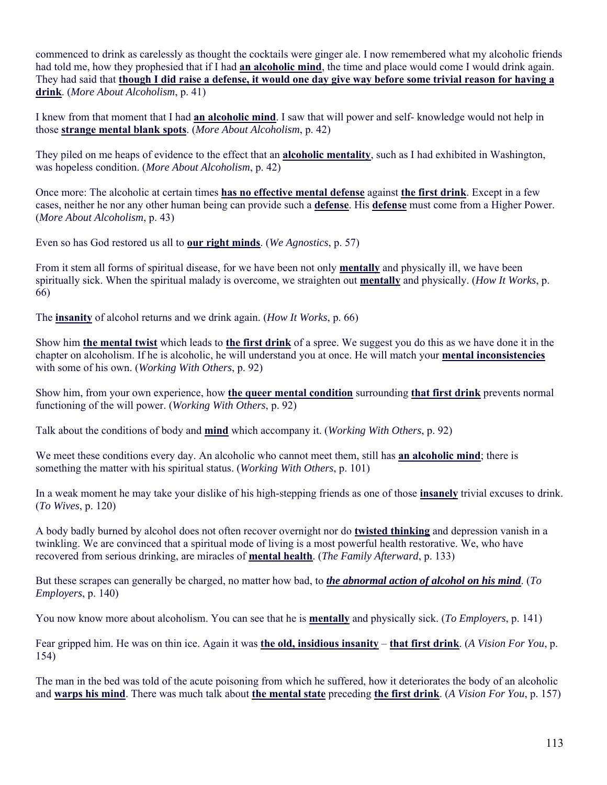commenced to drink as carelessly as thought the cocktails were ginger ale. I now remembered what my alcoholic friends had told me, how they prophesied that if I had **an alcoholic mind**, the time and place would come I would drink again. They had said that **though I did raise a defense, it would one day give way before some trivial reason for having a drink**. (*More About Alcoholism*, p. 41)

I knew from that moment that I had **an alcoholic mind**. I saw that will power and self- knowledge would not help in those **strange mental blank spots**. (*More About Alcoholism*, p. 42)

They piled on me heaps of evidence to the effect that an **alcoholic mentality**, such as I had exhibited in Washington, was hopeless condition. (*More About Alcoholism*, p. 42)

Once more: The alcoholic at certain times **has no effective mental defense** against **the first drink**. Except in a few cases, neither he nor any other human being can provide such a **defense**. His **defense** must come from a Higher Power. (*More About Alcoholism*, p. 43)

Even so has God restored us all to **our right minds**. (*We Agnostics*, p. 57)

From it stem all forms of spiritual disease, for we have been not only **mentally** and physically ill, we have been spiritually sick. When the spiritual malady is overcome, we straighten out **mentally** and physically. (*How It Works*, p. 66)

The **insanity** of alcohol returns and we drink again. (*How It Works*, p. 66)

Show him **the mental twist** which leads to **the first drink** of a spree. We suggest you do this as we have done it in the chapter on alcoholism. If he is alcoholic, he will understand you at once. He will match your **mental inconsistencies** with some of his own. (*Working With Others*, p. 92)

Show him, from your own experience, how **the queer mental condition** surrounding **that first drink** prevents normal functioning of the will power. (*Working With Others*, p. 92)

Talk about the conditions of body and **mind** which accompany it. (*Working With Others*, p. 92)

We meet these conditions every day. An alcoholic who cannot meet them, still has **an alcoholic mind**; there is something the matter with his spiritual status. (*Working With Others*, p. 101)

In a weak moment he may take your dislike of his high-stepping friends as one of those **insanely** trivial excuses to drink. (*To Wives*, p. 120)

A body badly burned by alcohol does not often recover overnight nor do **twisted thinking** and depression vanish in a twinkling. We are convinced that a spiritual mode of living is a most powerful health restorative. We, who have recovered from serious drinking, are miracles of **mental health**. (*The Family Afterward*, p. 133)

But these scrapes can generally be charged, no matter how bad, to *the abnormal action of alcohol on his mind*. (*To Employers*, p. 140)

You now know more about alcoholism. You can see that he is **mentally** and physically sick. (*To Employers*, p. 141)

Fear gripped him. He was on thin ice. Again it was **the old, insidious insanity** – **that first drink**. (*A Vision For You*, p. 154)

The man in the bed was told of the acute poisoning from which he suffered, how it deteriorates the body of an alcoholic and **warps his mind**. There was much talk about **the mental state** preceding **the first drink**. (*A Vision For You*, p. 157)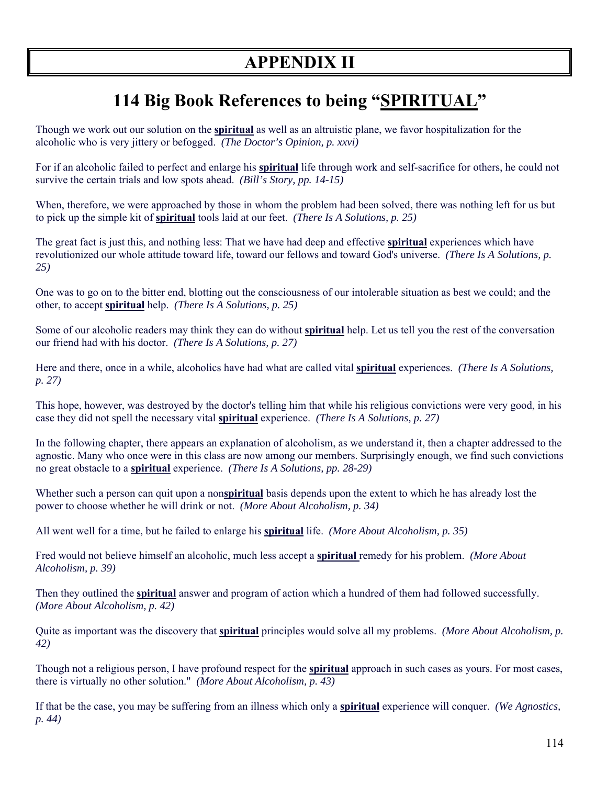# **114 Big Book References to being "SPIRITUAL"**

Though we work out our solution on the **spiritual** as well as an altruistic plane, we favor hospitalization for the alcoholic who is very jittery or befogged. *(The Doctor's Opinion, p. xxvi)*

For if an alcoholic failed to perfect and enlarge his **spiritual** life through work and self-sacrifice for others, he could not survive the certain trials and low spots ahead. *(Bill's Story, pp. 14-15)*

When, therefore, we were approached by those in whom the problem had been solved, there was nothing left for us but to pick up the simple kit of **spiritual** tools laid at our feet. *(There Is A Solutions, p. 25)* 

The great fact is just this, and nothing less: That we have had deep and effective **spiritual** experiences which have revolutionized our whole attitude toward life, toward our fellows and toward God's universe. *(There Is A Solutions, p. 25)*

One was to go on to the bitter end, blotting out the consciousness of our intolerable situation as best we could; and the other, to accept **spiritual** help. *(There Is A Solutions, p. 25)*

Some of our alcoholic readers may think they can do without **spiritual** help. Let us tell you the rest of the conversation our friend had with his doctor. *(There Is A Solutions, p. 27)*

Here and there, once in a while, alcoholics have had what are called vital **spiritual** experiences. *(There Is A Solutions, p. 27)*

This hope, however, was destroyed by the doctor's telling him that while his religious convictions were very good, in his case they did not spell the necessary vital **spiritual** experience. *(There Is A Solutions, p. 27)*

In the following chapter, there appears an explanation of alcoholism, as we understand it, then a chapter addressed to the agnostic. Many who once were in this class are now among our members. Surprisingly enough, we find such convictions no great obstacle to a **spiritual** experience. *(There Is A Solutions, pp. 28-29)*

Whether such a person can quit upon a non**spiritual** basis depends upon the extent to which he has already lost the power to choose whether he will drink or not. *(More About Alcoholism, p. 34)*

All went well for a time, but he failed to enlarge his **spiritual** life. *(More About Alcoholism, p. 35)*

Fred would not believe himself an alcoholic, much less accept a **spiritual** remedy for his problem. *(More About Alcoholism, p. 39)*

Then they outlined the **spiritual** answer and program of action which a hundred of them had followed successfully. *(More About Alcoholism, p. 42)*

Quite as important was the discovery that **spiritual** principles would solve all my problems. *(More About Alcoholism, p. 42)*

Though not a religious person, I have profound respect for the **spiritual** approach in such cases as yours. For most cases, there is virtually no other solution." *(More About Alcoholism, p. 43)*

If that be the case, you may be suffering from an illness which only a **spiritual** experience will conquer. *(We Agnostics, p. 44)*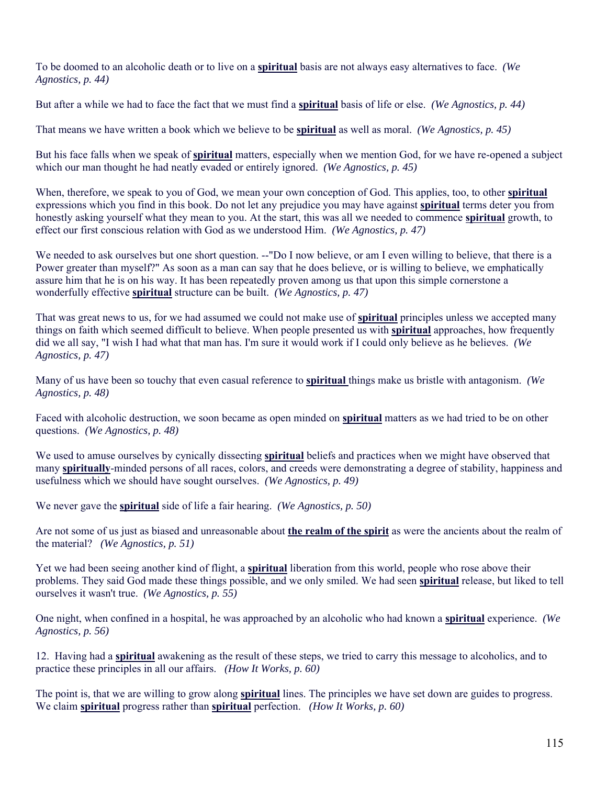To be doomed to an alcoholic death or to live on a **spiritual** basis are not always easy alternatives to face. *(We Agnostics, p. 44)*

But after a while we had to face the fact that we must find a **spiritual** basis of life or else. *(We Agnostics, p. 44)*

That means we have written a book which we believe to be **spiritual** as well as moral. *(We Agnostics, p. 45)*

But his face falls when we speak of **spiritual** matters, especially when we mention God, for we have re-opened a subject which our man thought he had neatly evaded or entirely ignored. *(We Agnostics, p. 45)*

When, therefore, we speak to you of God, we mean your own conception of God. This applies, too, to other **spiritual**  expressions which you find in this book. Do not let any prejudice you may have against **spiritual** terms deter you from honestly asking yourself what they mean to you. At the start, this was all we needed to commence **spiritual** growth, to effect our first conscious relation with God as we understood Him. *(We Agnostics, p. 47)*

We needed to ask ourselves but one short question. --"Do I now believe, or am I even willing to believe, that there is a Power greater than myself?" As soon as a man can say that he does believe, or is willing to believe, we emphatically assure him that he is on his way. It has been repeatedly proven among us that upon this simple cornerstone a wonderfully effective **spiritual** structure can be built. *(We Agnostics, p. 47)*

That was great news to us, for we had assumed we could not make use of **spiritual** principles unless we accepted many things on faith which seemed difficult to believe. When people presented us with **spiritual** approaches, how frequently did we all say, "I wish I had what that man has. I'm sure it would work if I could only believe as he believes. *(We Agnostics, p. 47)*

Many of us have been so touchy that even casual reference to **spiritual** things make us bristle with antagonism. *(We Agnostics, p. 48)*

Faced with alcoholic destruction, we soon became as open minded on **spiritual** matters as we had tried to be on other questions. *(We Agnostics, p. 48)*

We used to amuse ourselves by cynically dissecting **spiritual** beliefs and practices when we might have observed that many **spiritually**-minded persons of all races, colors, and creeds were demonstrating a degree of stability, happiness and usefulness which we should have sought ourselves. *(We Agnostics, p. 49)*

We never gave the **spiritual** side of life a fair hearing. *(We Agnostics, p. 50)*

Are not some of us just as biased and unreasonable about **the realm of the spirit** as were the ancients about the realm of the material? *(We Agnostics, p. 51)*

Yet we had been seeing another kind of flight, a **spiritual** liberation from this world, people who rose above their problems. They said God made these things possible, and we only smiled. We had seen **spiritual** release, but liked to tell ourselves it wasn't true. *(We Agnostics, p. 55)*

One night, when confined in a hospital, he was approached by an alcoholic who had known a **spiritual** experience. *(We Agnostics, p. 56)*

12. Having had a **spiritual** awakening as the result of these steps, we tried to carry this message to alcoholics, and to practice these principles in all our affairs. *(How It Works, p. 60)*

The point is, that we are willing to grow along **spiritual** lines. The principles we have set down are guides to progress. We claim **spiritual** progress rather than **spiritual** perfection. *(How It Works, p. 60)*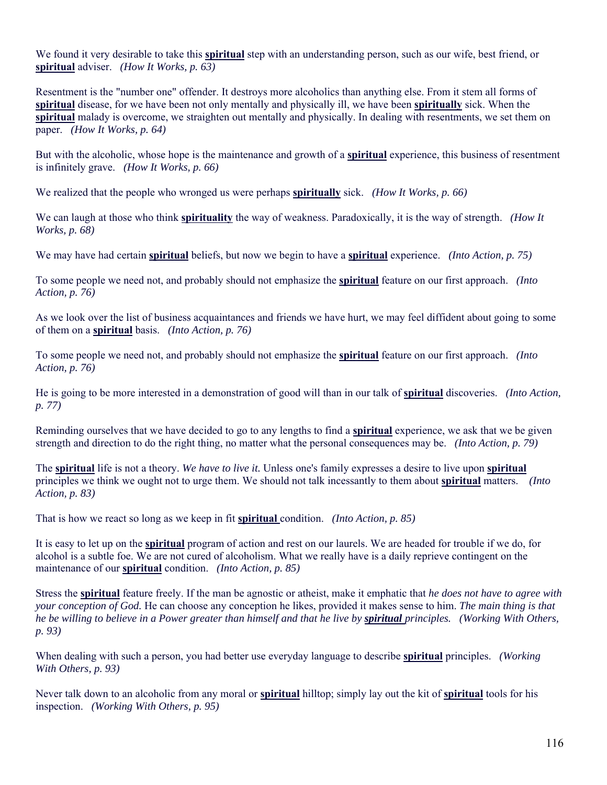We found it very desirable to take this **spiritual** step with an understanding person, such as our wife, best friend, or **spiritual** adviser. *(How It Works, p. 63)*

Resentment is the "number one" offender. It destroys more alcoholics than anything else. From it stem all forms of **spiritual** disease, for we have been not only mentally and physically ill, we have been **spiritually** sick. When the **spiritual** malady is overcome, we straighten out mentally and physically. In dealing with resentments, we set them on paper. *(How It Works, p. 64)*

But with the alcoholic, whose hope is the maintenance and growth of a **spiritual** experience, this business of resentment is infinitely grave. *(How It Works, p. 66)*

We realized that the people who wronged us were perhaps **spiritually** sick. *(How It Works, p. 66)*

We can laugh at those who think **spirituality** the way of weakness. Paradoxically, it is the way of strength. *(How It Works, p. 68)*

We may have had certain **spiritual** beliefs, but now we begin to have a **spiritual** experience. *(Into Action, p. 75)*

To some people we need not, and probably should not emphasize the **spiritual** feature on our first approach. *(Into Action, p. 76)*

As we look over the list of business acquaintances and friends we have hurt, we may feel diffident about going to some of them on a **spiritual** basis. *(Into Action, p. 76)*

To some people we need not, and probably should not emphasize the **spiritual** feature on our first approach. *(Into Action, p. 76)*

He is going to be more interested in a demonstration of good will than in our talk of **spiritual** discoveries. *(Into Action, p. 77)*

Reminding ourselves that we have decided to go to any lengths to find a **spiritual** experience, we ask that we be given strength and direction to do the right thing, no matter what the personal consequences may be. *(Into Action, p. 79)*

The **spiritual** life is not a theory. *We have to live it.* Unless one's family expresses a desire to live upon **spiritual** principles we think we ought not to urge them. We should not talk incessantly to them about **spiritual** matters. *(Into Action, p. 83)*

That is how we react so long as we keep in fit **spiritual** condition. *(Into Action, p. 85)*

It is easy to let up on the **spiritual** program of action and rest on our laurels. We are headed for trouble if we do, for alcohol is a subtle foe. We are not cured of alcoholism. What we really have is a daily reprieve contingent on the maintenance of our **spiritual** condition. *(Into Action, p. 85)*

Stress the **spiritual** feature freely. If the man be agnostic or atheist, make it emphatic that *he does not have to agree with your conception of God.* He can choose any conception he likes, provided it makes sense to him. *The main thing is that he be willing to believe in a Power greater than himself and that he live by spiritual principles. (Working With Others, p. 93)*

When dealing with such a person, you had better use everyday language to describe **spiritual** principles. *(Working With Others, p. 93)*

Never talk down to an alcoholic from any moral or **spiritual** hilltop; simply lay out the kit of **spiritual** tools for his inspection. *(Working With Others, p. 95)*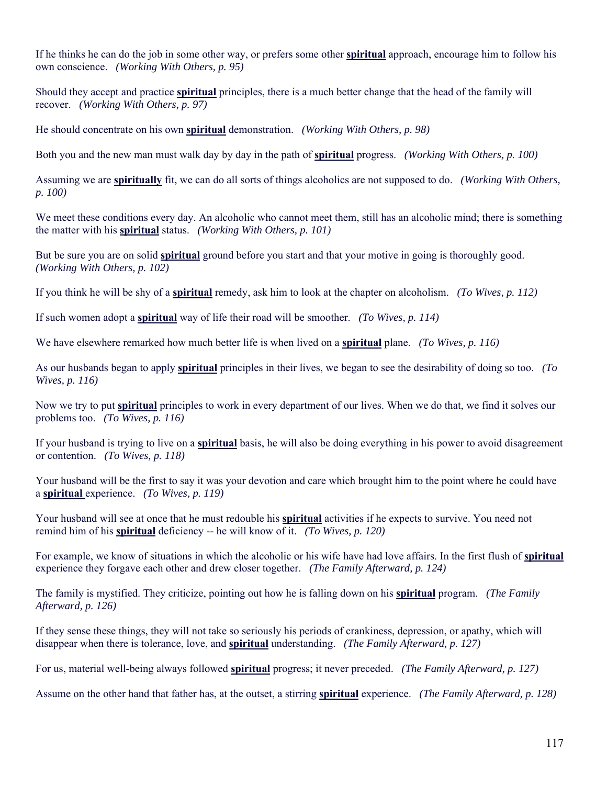If he thinks he can do the job in some other way, or prefers some other **spiritual** approach, encourage him to follow his own conscience. *(Working With Others, p. 95)*

Should they accept and practice **spiritual** principles, there is a much better change that the head of the family will recover. *(Working With Others, p. 97)*

He should concentrate on his own **spiritual** demonstration. *(Working With Others, p. 98)*

Both you and the new man must walk day by day in the path of **spiritual** progress. *(Working With Others, p. 100)*

Assuming we are **spiritually** fit, we can do all sorts of things alcoholics are not supposed to do. *(Working With Others, p. 100)*

We meet these conditions every day. An alcoholic who cannot meet them, still has an alcoholic mind; there is something the matter with his **spiritual** status. *(Working With Others, p. 101)*

But be sure you are on solid **spiritual** ground before you start and that your motive in going is thoroughly good. *(Working With Others, p. 102)*

If you think he will be shy of a **spiritual** remedy, ask him to look at the chapter on alcoholism. *(To Wives, p. 112)*

If such women adopt a **spiritual** way of life their road will be smoother. *(To Wives, p. 114)*

We have elsewhere remarked how much better life is when lived on a **spiritual** plane. *(To Wives, p. 116)*

As our husbands began to apply **spiritual** principles in their lives, we began to see the desirability of doing so too. *(To Wives, p. 116)*

Now we try to put **spiritual** principles to work in every department of our lives. When we do that, we find it solves our problems too. *(To Wives, p. 116)*

If your husband is trying to live on a **spiritual** basis, he will also be doing everything in his power to avoid disagreement or contention. *(To Wives, p. 118)*

Your husband will be the first to say it was your devotion and care which brought him to the point where he could have a **spiritual** experience. *(To Wives, p. 119)*

Your husband will see at once that he must redouble his **spiritual** activities if he expects to survive. You need not remind him of his **spiritual** deficiency -- he will know of it. *(To Wives, p. 120)*

For example, we know of situations in which the alcoholic or his wife have had love affairs. In the first flush of **spiritual** experience they forgave each other and drew closer together. *(The Family Afterward, p. 124)*

The family is mystified. They criticize, pointing out how he is falling down on his **spiritual** program. *(The Family Afterward, p. 126)*

If they sense these things, they will not take so seriously his periods of crankiness, depression, or apathy, which will disappear when there is tolerance, love, and **spiritual** understanding. *(The Family Afterward, p. 127)*

For us, material well-being always followed **spiritual** progress; it never preceded. *(The Family Afterward, p. 127)*

Assume on the other hand that father has, at the outset, a stirring **spiritual** experience. *(The Family Afterward, p. 128)*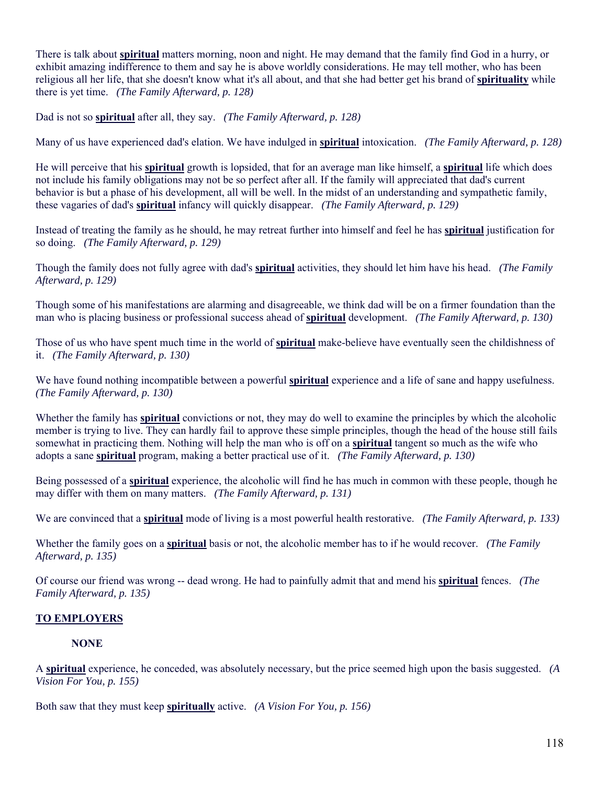There is talk about **spiritual** matters morning, noon and night. He may demand that the family find God in a hurry, or exhibit amazing indifference to them and say he is above worldly considerations. He may tell mother, who has been religious all her life, that she doesn't know what it's all about, and that she had better get his brand of **spirituality** while there is yet time. *(The Family Afterward, p. 128)*

Dad is not so **spiritual** after all, they say. *(The Family Afterward, p. 128)*

Many of us have experienced dad's elation. We have indulged in **spiritual** intoxication. *(The Family Afterward, p. 128)*

He will perceive that his **spiritual** growth is lopsided, that for an average man like himself, a **spiritual** life which does not include his family obligations may not be so perfect after all. If the family will appreciated that dad's current behavior is but a phase of his development, all will be well. In the midst of an understanding and sympathetic family, these vagaries of dad's **spiritual** infancy will quickly disappear. *(The Family Afterward, p. 129)*

Instead of treating the family as he should, he may retreat further into himself and feel he has **spiritual** justification for so doing. *(The Family Afterward, p. 129)*

Though the family does not fully agree with dad's **spiritual** activities, they should let him have his head. *(The Family Afterward, p. 129)*

Though some of his manifestations are alarming and disagreeable, we think dad will be on a firmer foundation than the man who is placing business or professional success ahead of **spiritual** development. *(The Family Afterward, p. 130)*

Those of us who have spent much time in the world of **spiritual** make-believe have eventually seen the childishness of it. *(The Family Afterward, p. 130)*

We have found nothing incompatible between a powerful **spiritual** experience and a life of sane and happy usefulness. *(The Family Afterward, p. 130)*

Whether the family has **spiritual** convictions or not, they may do well to examine the principles by which the alcoholic member is trying to live. They can hardly fail to approve these simple principles, though the head of the house still fails somewhat in practicing them. Nothing will help the man who is off on a **spiritual** tangent so much as the wife who adopts a sane **spiritual** program, making a better practical use of it. *(The Family Afterward, p. 130)*

Being possessed of a **spiritual** experience, the alcoholic will find he has much in common with these people, though he may differ with them on many matters. *(The Family Afterward, p. 131)*

We are convinced that a **spiritual** mode of living is a most powerful health restorative. *(The Family Afterward, p. 133)*

Whether the family goes on a **spiritual** basis or not, the alcoholic member has to if he would recover. *(The Family Afterward, p. 135)*

Of course our friend was wrong -- dead wrong. He had to painfully admit that and mend his **spiritual** fences. *(The Family Afterward, p. 135)*

#### **TO EMPLOYERS**

#### **NONE**

A **spiritual** experience, he conceded, was absolutely necessary, but the price seemed high upon the basis suggested. *(A Vision For You, p. 155)*

Both saw that they must keep **spiritually** active. *(A Vision For You, p. 156)*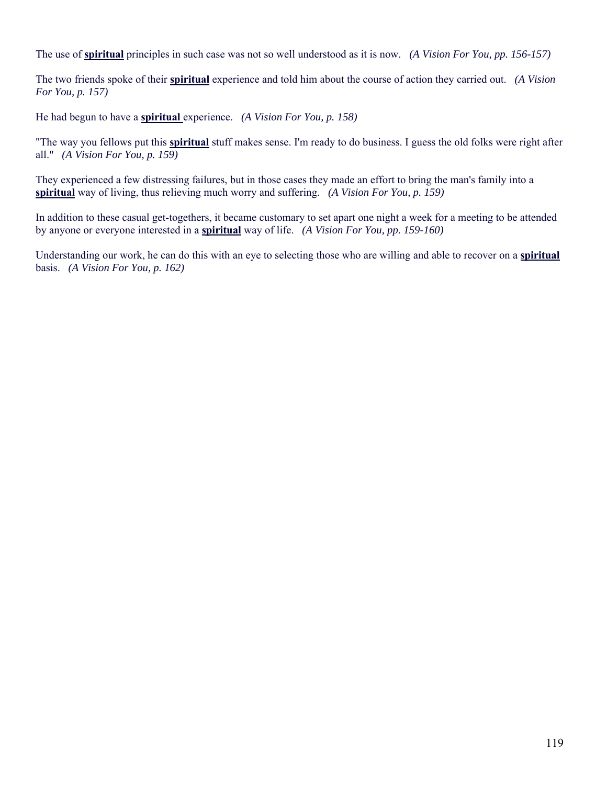The use of **spiritual** principles in such case was not so well understood as it is now. *(A Vision For You, pp. 156-157)*

The two friends spoke of their **spiritual** experience and told him about the course of action they carried out. *(A Vision For You, p. 157)*

He had begun to have a **spiritual** experience. *(A Vision For You, p. 158)*

"The way you fellows put this **spiritual** stuff makes sense. I'm ready to do business. I guess the old folks were right after all." *(A Vision For You, p. 159)*

They experienced a few distressing failures, but in those cases they made an effort to bring the man's family into a **spiritual** way of living, thus relieving much worry and suffering. *(A Vision For You, p. 159)*

In addition to these casual get-togethers, it became customary to set apart one night a week for a meeting to be attended by anyone or everyone interested in a **spiritual** way of life. *(A Vision For You, pp. 159-160)*

Understanding our work, he can do this with an eye to selecting those who are willing and able to recover on a **spiritual** basis. *(A Vision For You, p. 162)*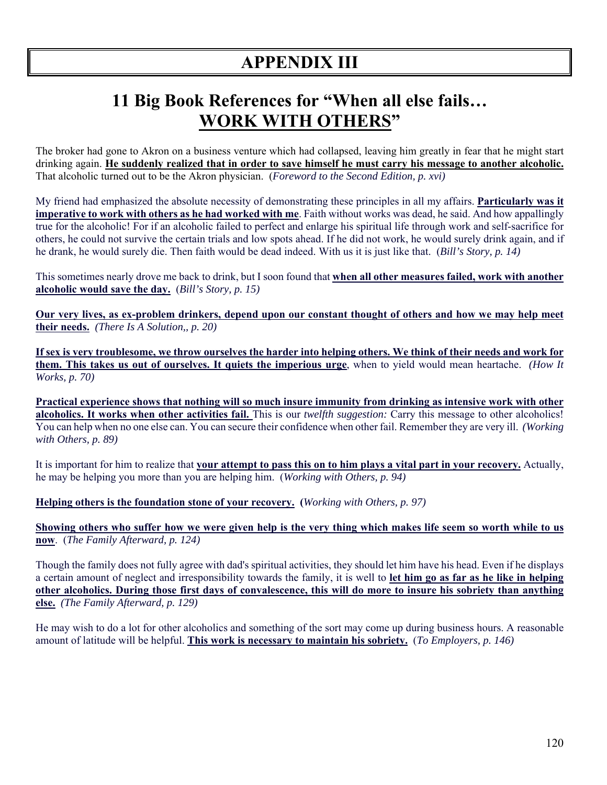## **11 Big Book References for "When all else fails… WORK WITH OTHERS"**

The broker had gone to Akron on a business venture which had collapsed, leaving him greatly in fear that he might start drinking again. **He suddenly realized that in order to save himself he must carry his message to another alcoholic.** That alcoholic turned out to be the Akron physician. (*Foreword to the Second Edition, p. xvi)* 

My friend had emphasized the absolute necessity of demonstrating these principles in all my affairs. **Particularly was it imperative to work with others as he had worked with me**. Faith without works was dead, he said. And how appallingly true for the alcoholic! For if an alcoholic failed to perfect and enlarge his spiritual life through work and self-sacrifice for others, he could not survive the certain trials and low spots ahead. If he did not work, he would surely drink again, and if he drank, he would surely die. Then faith would be dead indeed. With us it is just like that. (*Bill's Story, p. 14)* 

This sometimes nearly drove me back to drink, but I soon found that **when all other measures failed, work with another alcoholic would save the day.** (*Bill's Story, p. 15)* 

**Our very lives, as ex-problem drinkers, depend upon our constant thought of others and how we may help meet their needs.** *(There Is A Solution,, p. 20)* 

**If sex is very troublesome, we throw ourselves the harder into helping others. We think of their needs and work for them. This takes us out of ourselves. It quiets the imperious urge**, when to yield would mean heartache. *(How It Works, p. 70)* 

**Practical experience shows that nothing will so much insure immunity from drinking as intensive work with other alcoholics. It works when other activities fail.** This is our *twelfth suggestion:* Carry this message to other alcoholics! You can help when no one else can. You can secure their confidence when other fail. Remember they are very ill. *(Working with Others, p. 89)* 

It is important for him to realize that **your attempt to pass this on to him plays a vital part in your recovery.** Actually, he may be helping you more than you are helping him. (*Working with Others, p. 94)* 

**Helping others is the foundation stone of your recovery. (***Working with Others, p. 97)* 

**Showing others who suffer how we were given help is the very thing which makes life seem so worth while to us now**. (*The Family Afterward, p. 124)* 

Though the family does not fully agree with dad's spiritual activities, they should let him have his head. Even if he displays a certain amount of neglect and irresponsibility towards the family, it is well to **let him go as far as he like in helping other alcoholics. During those first days of convalescence, this will do more to insure his sobriety than anything else.** *(The Family Afterward, p. 129)* 

He may wish to do a lot for other alcoholics and something of the sort may come up during business hours. A reasonable amount of latitude will be helpful. **This work is necessary to maintain his sobriety.** (*To Employers, p. 146)*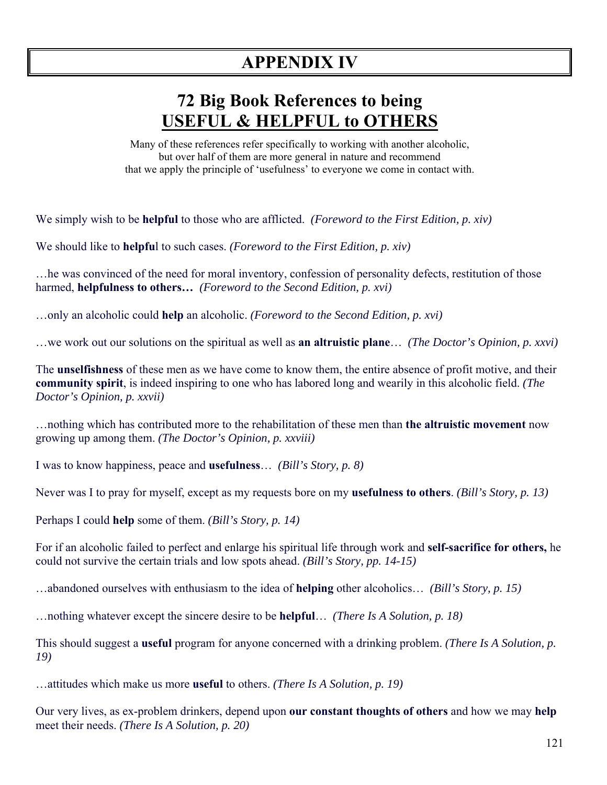## **APPENDIX IV**

### **72 Big Book References to being USEFUL & HELPFUL to OTHERS**

Many of these references refer specifically to working with another alcoholic, but over half of them are more general in nature and recommend that we apply the principle of 'usefulness' to everyone we come in contact with.

We simply wish to be **helpful** to those who are afflicted. *(Foreword to the First Edition, p. xiv)*

We should like to **helpfu**l to such cases. *(Foreword to the First Edition, p. xiv)*

…he was convinced of the need for moral inventory, confession of personality defects, restitution of those harmed, **helpfulness to others…** *(Foreword to the Second Edition, p. xvi)*

…only an alcoholic could **help** an alcoholic. *(Foreword to the Second Edition, p. xvi)*

…we work out our solutions on the spiritual as well as **an altruistic plane**… *(The Doctor's Opinion, p. xxvi)*

The **unselfishness** of these men as we have come to know them, the entire absence of profit motive, and their **community spirit**, is indeed inspiring to one who has labored long and wearily in this alcoholic field. *(The Doctor's Opinion, p. xxvii)*

…nothing which has contributed more to the rehabilitation of these men than **the altruistic movement** now growing up among them. *(The Doctor's Opinion, p. xxviii)*

I was to know happiness, peace and **usefulness**… *(Bill's Story, p. 8)* 

Never was I to pray for myself, except as my requests bore on my **usefulness to others**. *(Bill's Story, p. 13)*

Perhaps I could **help** some of them. *(Bill's Story, p. 14)*

For if an alcoholic failed to perfect and enlarge his spiritual life through work and **self-sacrifice for others,** he could not survive the certain trials and low spots ahead. *(Bill's Story, pp. 14-15)*

…abandoned ourselves with enthusiasm to the idea of **helping** other alcoholics… *(Bill's Story, p. 15)*

…nothing whatever except the sincere desire to be **helpful**… *(There Is A Solution, p. 18)*

This should suggest a **useful** program for anyone concerned with a drinking problem. *(There Is A Solution, p. 19)*

…attitudes which make us more **useful** to others. *(There Is A Solution, p. 19)*

Our very lives, as ex-problem drinkers, depend upon **our constant thoughts of others** and how we may **help**  meet their needs. *(There Is A Solution, p. 20)*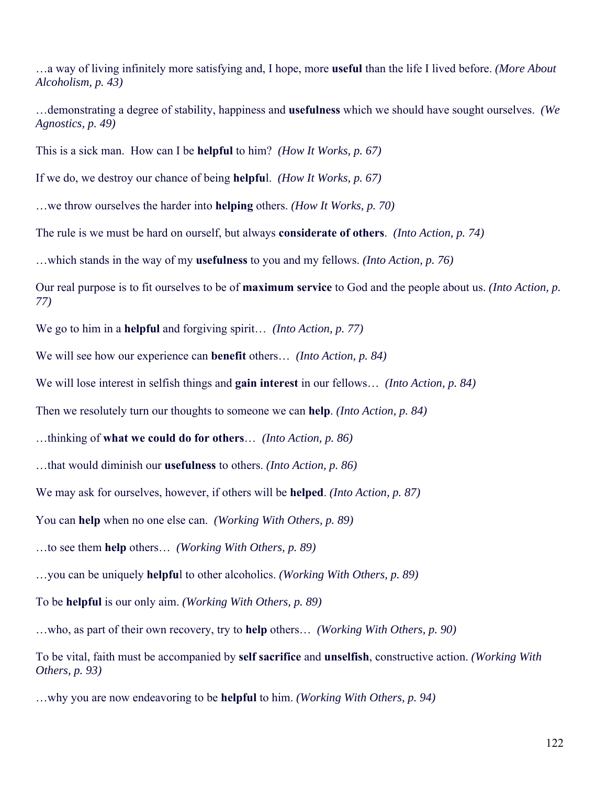…a way of living infinitely more satisfying and, I hope, more **useful** than the life I lived before. *(More About Alcoholism, p. 43)*

…demonstrating a degree of stability, happiness and **usefulness** which we should have sought ourselves. *(We Agnostics, p. 49)*

This is a sick man. How can I be **helpful** to him? *(How It Works, p. 67)*

If we do, we destroy our chance of being **helpfu**l. *(How It Works, p. 67)*

…we throw ourselves the harder into **helping** others. *(How It Works, p. 70)*

The rule is we must be hard on ourself, but always **considerate of others**. *(Into Action, p. 74)*

…which stands in the way of my **usefulness** to you and my fellows. *(Into Action, p. 76)*

Our real purpose is to fit ourselves to be of **maximum service** to God and the people about us. *(Into Action, p. 77)*

We go to him in a **helpful** and forgiving spirit… *(Into Action, p. 77)*

We will see how our experience can **benefit** others… *(Into Action, p. 84)*

We will lose interest in selfish things and **gain interest** in our fellows… *(Into Action, p. 84)*

Then we resolutely turn our thoughts to someone we can **help**. *(Into Action, p. 84)*

…thinking of **what we could do for others**… *(Into Action, p. 86)*

…that would diminish our **usefulness** to others. *(Into Action, p. 86)*

We may ask for ourselves, however, if others will be **helped**. *(Into Action, p. 87)*

You can **help** when no one else can. *(Working With Others, p. 89)*

…to see them **help** others… *(Working With Others, p. 89)*

…you can be uniquely **helpfu**l to other alcoholics. *(Working With Others, p. 89)*

To be **helpful** is our only aim. *(Working With Others, p. 89)*

…who, as part of their own recovery, try to **help** others… *(Working With Others, p. 90)*

To be vital, faith must be accompanied by **self sacrifice** and **unselfish**, constructive action. *(Working With Others, p. 93)*

…why you are now endeavoring to be **helpful** to him. *(Working With Others, p. 94)*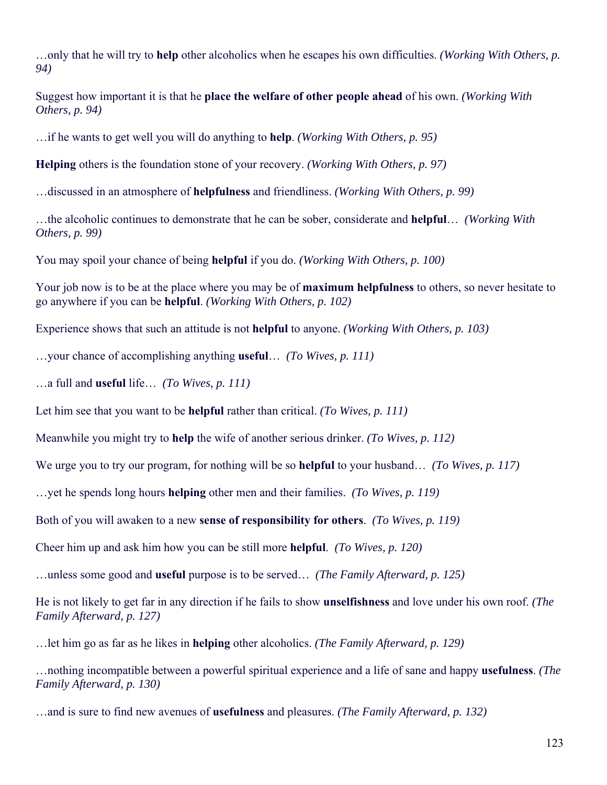…only that he will try to **help** other alcoholics when he escapes his own difficulties. *(Working With Others, p. 94)*

Suggest how important it is that he **place the welfare of other people ahead** of his own. *(Working With Others, p. 94)* 

…if he wants to get well you will do anything to **help**. *(Working With Others, p. 95)* 

**Helping** others is the foundation stone of your recovery. *(Working With Others, p. 97)*

…discussed in an atmosphere of **helpfulness** and friendliness. *(Working With Others, p. 99)*

…the alcoholic continues to demonstrate that he can be sober, considerate and **helpful**… *(Working With Others, p. 99)*

You may spoil your chance of being **helpful** if you do. *(Working With Others, p. 100)*

Your job now is to be at the place where you may be of **maximum helpfulness** to others, so never hesitate to go anywhere if you can be **helpful**. *(Working With Others, p. 102)*

Experience shows that such an attitude is not **helpful** to anyone. *(Working With Others, p. 103)* 

…your chance of accomplishing anything **useful**… *(To Wives, p. 111)*

…a full and **useful** life… *(To Wives, p. 111)* 

Let him see that you want to be **helpful** rather than critical. *(To Wives, p. 111)*

Meanwhile you might try to **help** the wife of another serious drinker. *(To Wives, p. 112)*

We urge you to try our program, for nothing will be so **helpful** to your husband… *(To Wives, p. 117)*

…yet he spends long hours **helping** other men and their families. *(To Wives, p. 119)*

Both of you will awaken to a new **sense of responsibility for others**. *(To Wives, p. 119)*

Cheer him up and ask him how you can be still more **helpful**. *(To Wives, p. 120)*

…unless some good and **useful** purpose is to be served… *(The Family Afterward, p. 125)*

He is not likely to get far in any direction if he fails to show **unselfishness** and love under his own roof. *(The Family Afterward, p. 127)*

…let him go as far as he likes in **helping** other alcoholics. *(The Family Afterward, p. 129)*

…nothing incompatible between a powerful spiritual experience and a life of sane and happy **usefulness**. *(The Family Afterward, p. 130)*

…and is sure to find new avenues of **usefulness** and pleasures. *(The Family Afterward, p. 132)*